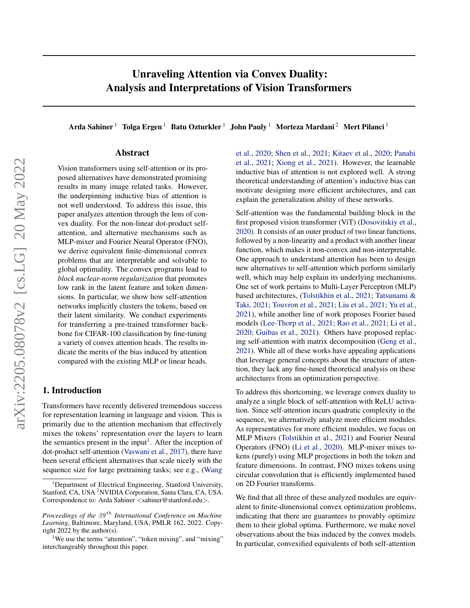## Unraveling Attention via Convex Duality: Analysis and Interpretations of Vision Transformers

Arda Sahiner<sup>1</sup> Tolga Ergen<sup>1</sup> Batu Ozturkler<sup>1</sup> John Pauly<sup>1</sup> Morteza Mardani<sup>2</sup> Mert Pilanci<sup>1</sup>

## Abstract

Vision transformers using self-attention or its proposed alternatives have demonstrated promising results in many image related tasks. However, the underpinning inductive bias of attention is not well understood. To address this issue, this paper analyzes attention through the lens of convex duality. For the non-linear dot-product selfattention, and alternative mechanisms such as MLP-mixer and Fourier Neural Operator (FNO), we derive equivalent finite-dimensional convex problems that are interpretable and solvable to global optimality. The convex programs lead to *block nuclear-norm regularization* that promotes low rank in the latent feature and token dimensions. In particular, we show how self-attention networks implicitly clusters the tokens, based on their latent similarity. We conduct experiments for transferring a pre-trained transformer backbone for CIFAR-100 classification by fine-tuning a variety of convex attention heads. The results indicate the merits of the bias induced by attention compared with the existing MLP or linear heads.

## 1. Introduction

Transformers have recently delivered tremendous success for representation learning in language and vision. This is primarily due to the attention mechanism that effectively mixes the tokens' representation over the layers to learn the semantics present in the input<sup>[1](#page-0-0)</sup>. After the inception of dot-product self-attention [\(Vaswani et al.,](#page-10-0) [2017\)](#page-10-0), there have been several efficient alternatives that scale nicely with the sequence size for large pretraining tasks; see e.g., [\(Wang](#page-11-0) [et al.,](#page-11-0) [2020;](#page-11-0) [Shen et al.,](#page-10-1) [2021;](#page-10-1) [Kitaev et al.,](#page-9-0) [2020;](#page-9-0) [Panahi](#page-10-2) [et al.,](#page-10-2) [2021;](#page-10-2) [Xiong et al.,](#page-11-1) [2021\)](#page-11-1). However, the learnable inductive bias of attention is not explored well. A strong theoretical understanding of attention's inductive bias can motivate designing more efficient architectures, and can explain the generalization ability of these networks.

Self-attention was the fundamental building block in the first proposed vision transformer (ViT) [\(Dosovitskiy et al.,](#page-9-1) [2020\)](#page-9-1). It consists of an outer product of two linear functions, followed by a non-linearity and a product with another linear function, which makes it non-convex and non-interpretable. One approach to understand attention has been to design new alternatives to self-attention which perform similarly well, which may help explain its underlying mechanisms. One set of work pertains to Multi-Layer Perceptron (MLP) based architectures, [\(Tolstikhin et al.,](#page-10-3) [2021;](#page-10-3) [Tatsunami &](#page-10-4) [Taki,](#page-10-4) [2021;](#page-10-4) [Touvron et al.,](#page-10-5) [2021;](#page-10-5) [Liu et al.,](#page-9-2) [2021;](#page-9-2) [Yu et al.,](#page-11-2) [2021\)](#page-11-2), while another line of work proposes Fourier based models [\(Lee-Thorp et al.,](#page-9-3) [2021;](#page-9-3) [Rao et al.,](#page-10-6) [2021;](#page-10-6) [Li et al.,](#page-9-4) [2020;](#page-9-4) [Guibas et al.,](#page-9-5) [2021\)](#page-9-5). Others have proposed replacing self-attention with matrix decomposition [\(Geng et al.,](#page-9-6) [2021\)](#page-9-6). While all of these works have appealing applications that leverage general concepts about the structure of attention, they lack any fine-tuned theoretical analysis on these architectures from an optimization perspective.

To address this shortcoming, we leverage convex duality to analyze a single block of self-attention with ReLU activation. Since self-attention incurs quadratic complexity in the sequence, we alternatively analyze more efficient modules. As representatives for more efficient modules, we focus on MLP Mixers [\(Tolstikhin et al.,](#page-10-3) [2021\)](#page-10-3) and Fourier Neural Operators (FNO) [\(Li et al.,](#page-9-4) [2020\)](#page-9-4). MLP-mixer mixes tokens (purely) using MLP projections in both the token and feature dimensions. In contrast, FNO mixes tokens using circular convolution that is efficiently implemented based on 2D Fourier transforms.

We find that all three of these analyzed modules are equivalent to finite-dimensional convex optimization problems, indicating that there are guarantees to provably optimize them to their global optima. Furthermore, we make novel observations about the bias induced by the convex models. In particular, convexified equivalents of both self-attention

<sup>1</sup>[Department of Electrical Engineering, Stanford University,](#page-11-0) Stanford, CA, USA <sup>2</sup>[NVIDIA Corporation, Santa Clara, CA, USA.](#page-11-0) [Correspondence to: Arda Sahiner](#page-11-0) <sahiner@stanford.edu>.

*Proceedings of the 39<sup>th</sup> [International Conference on Machine](#page-11-0) Learning*[, Baltimore, Maryland, USA, PMLR 162, 2022. Copy](#page-11-0)[right 2022 by the author\(s\).](#page-11-0)

<span id="page-0-0"></span><sup>&</sup>lt;sup>1</sup>[We use the terms "attention", "token mixing", and "mixing"](#page-11-0) [interchangeably throughout this paper.](#page-11-0)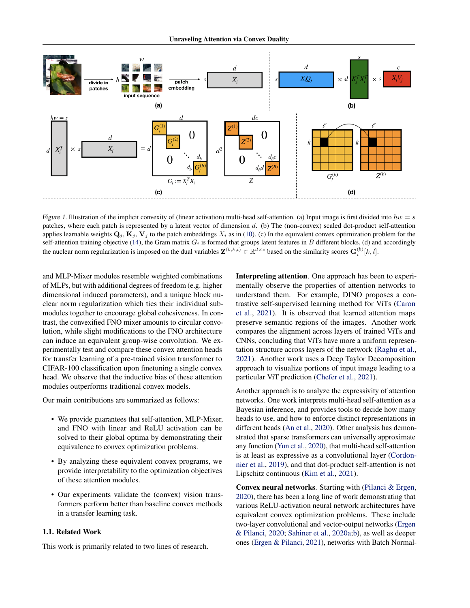<span id="page-1-0"></span>

Figure 1. Illustration of the implicit convexity of (linear activation) multi-head self-attention. (a) Input image is first divided into  $hw = s$ patches, where each patch is represented by a latent vector of dimension d. (b) The (non-convex) scaled dot-product self-attention applies learnable weights  $\mathbf{Q}_j$ ,  $\mathbf{K}_j$ ,  $\mathbf{V}_j$  to the patch embeddings  $X_i$  as in [\(10\)](#page-3-0). (c) In the equivalent convex optimization problem for the self-attention training objective [\(14\)](#page-4-0), the Gram matrix  $G_i$  is formed that groups latent features in  $B$  different blocks, (d) and accordingly the nuclear norm regularization is imposed on the dual variables  $\mathbf{Z}^{(b,k,l)} \in \mathbb{R}^{d \times c}$  based on the similarity scores  $\mathbf{G}_i^{(b)}[k,l]$ .

and MLP-Mixer modules resemble weighted combinations of MLPs, but with additional degrees of freedom (e.g. higher dimensional induced parameters), and a unique block nuclear norm regularization which ties their individual submodules together to encourage global cohesiveness. In contrast, the convexified FNO mixer amounts to circular convolution, while slight modifications to the FNO architecture can induce an equivalent group-wise convolution. We experimentally test and compare these convex attention heads for transfer learning of a pre-trained vision transformer to CIFAR-100 classification upon finetuning a single convex head. We observe that the inductive bias of these attention modules outperforms traditional convex models.

Our main contributions are summarized as follows:

- We provide guarantees that self-attention, MLP-Mixer, and FNO with linear and ReLU activation can be solved to their global optima by demonstrating their equivalence to convex optimization problems.
- By analyzing these equivalent convex programs, we provide interpretability to the optimization objectives of these attention modules.
- Our experiments validate the (convex) vision transformers perform better than baseline convex methods in a transfer learning task.

#### 1.1. Related Work

This work is primarily related to two lines of research.

Interpreting attention. One approach has been to experimentally observe the properties of attention networks to understand them. For example, DINO proposes a contrastive self-supervised learning method for ViTs [\(Caron](#page-9-7) [et al.,](#page-9-7) [2021\)](#page-9-7). It is observed that learned attention maps preserve semantic regions of the images. Another work compares the alignment across layers of trained ViTs and CNNs, concluding that ViTs have more a uniform representation structure across layers of the network [\(Raghu et al.,](#page-10-7) [2021\)](#page-10-7). Another work uses a Deep Taylor Decomposition approach to visualize portions of input image leading to a particular ViT prediction [\(Chefer et al.,](#page-9-8) [2021\)](#page-9-8).

Another approach is to analyze the expressivity of attention networks. One work interprets multi-head self-attention as a Bayesian inference, and provides tools to decide how many heads to use, and how to enforce distinct representations in different heads [\(An et al.,](#page-9-9) [2020\)](#page-9-9). Other analysis has demonstrated that sparse transformers can universally approximate any function [\(Yun et al.,](#page-11-3) [2020\)](#page-11-3), that multi-head self-attention is at least as expressive as a convolutional layer [\(Cordon](#page-9-10)[nier et al.,](#page-9-10) [2019\)](#page-9-10), and that dot-product self-attention is not Lipschitz continuous [\(Kim et al.,](#page-9-11) [2021\)](#page-9-11).

Convex neural networks. Starting with [\(Pilanci & Ergen,](#page-10-8) [2020\)](#page-10-8), there has been a long line of work demonstrating that various ReLU-activation neural network architectures have equivalent convex optimization problems. These include two-layer convolutional and vector-output networks [\(Ergen](#page-9-12) [& Pilanci,](#page-9-12) [2020;](#page-9-12) [Sahiner et al.,](#page-10-9) [2020a](#page-10-9)[;b\)](#page-10-10), as well as deeper ones [\(Ergen & Pilanci,](#page-9-13) [2021\)](#page-9-13), networks with Batch Normal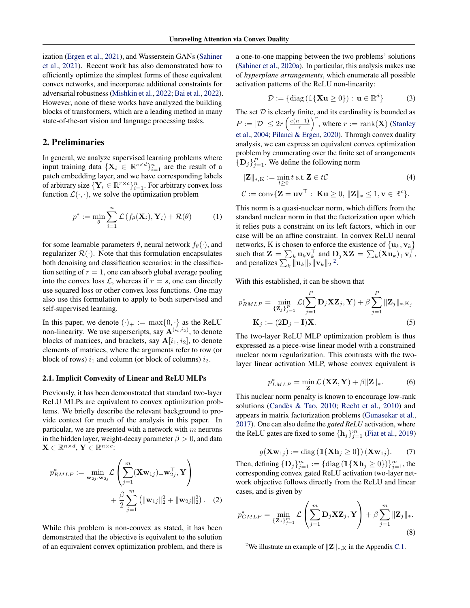ization [\(Ergen et al.,](#page-9-14) [2021\)](#page-9-14), and Wasserstein GANs [\(Sahiner](#page-10-11) [et al.,](#page-10-11) [2021\)](#page-10-11). Recent work has also demonstrated how to efficiently optimize the simplest forms of these equivalent convex networks, and incorporate additional constraints for adversarial robustness [\(Mishkin et al.,](#page-10-12) [2022;](#page-10-12) [Bai et al.,](#page-9-15) [2022\)](#page-9-15). However, none of these works have analyzed the building blocks of transformers, which are a leading method in many state-of-the-art vision and language processing tasks.

## 2. Preliminaries

In general, we analyze supervised learning problems where input training data  $\{X_i \in \mathbb{R}^{s \times d}\}_{i=1}^n$  are the result of a patch embedding layer, and we have corresponding labels of arbitrary size  $\{Y_i \in \mathbb{R}^{r \times c}\}_{i=1}^n$ . For arbitrary convex loss function  $\mathcal{L}(\cdot, \cdot)$ , we solve the optimization problem

$$
p^* := \min_{\theta} \sum_{i=1}^n \mathcal{L}\left(f_{\theta}(\mathbf{X}_i), \mathbf{Y}_i\right) + \mathcal{R}(\theta) \tag{1}
$$

for some learnable parameters  $\theta$ , neural network  $f_{\theta}(\cdot)$ , and regularizer  $\mathcal{R}(\cdot)$ . Note that this formulation encapsulates both denoising and classification scenarios: in the classification setting of  $r = 1$ , one can absorb global average pooling into the convex loss  $\mathcal{L}$ , whereas if  $r = s$ , one can directly use squared loss or other convex loss functions. One may also use this formulation to apply to both supervised and self-supervised learning.

In this paper, we denote  $(\cdot)_+ := \max\{0, \cdot\}$  as the ReLU non-linearity. We use superscripts, say  $\mathbf{A}^{(i_i,i_2)}$ , to denote blocks of matrices, and brackets, say  $A[i_1, i_2]$ , to denote elements of matrices, where the arguments refer to row (or block of rows)  $i_1$  and column (or block of columns)  $i_2$ .

#### <span id="page-2-3"></span>2.1. Implicit Convexity of Linear and ReLU MLPs

Previously, it has been demonstrated that standard two-layer ReLU MLPs are equivalent to convex optimization problems. We briefly describe the relevant background to provide context for much of the analysis in this paper. In particular, we are presented with a network with  $m$  neurons in the hidden layer, weight-decay parameter  $\beta > 0$ , and data  $\mathbf{X} \in \mathbb{R}^{n \times d}$ ,  $\mathbf{Y} \in \mathbb{R}^{n \times c}$ :

$$
p_{RMLP}^* := \min_{\mathbf{w}_{2j}, \mathbf{w}_{2j}} \mathcal{L}\left(\sum_{j=1}^m (\mathbf{X}\mathbf{w}_{1j})_+ \mathbf{w}_{2j}^\top, \mathbf{Y}\right) + \frac{\beta}{2} \sum_{j=1}^m \left(\|\mathbf{w}_{1j}\|_2^2 + \|\mathbf{w}_{2j}\|_2^2\right). \quad (2)
$$

While this problem is non-convex as stated, it has been demonstrated that the objective is equivalent to the solution of an equivalent convex optimization problem, and there is a one-to-one mapping between the two problems' solutions [\(Sahiner et al.,](#page-10-9) [2020a\)](#page-10-9). In particular, this analysis makes use of *hyperplane arrangements*, which enumerate all possible activation patterns of the ReLU non-linearity:

<span id="page-2-4"></span>
$$
\mathcal{D} := \{ \text{diag} \left( \mathbb{1} \{ \mathbf{Xu} \ge 0 \} \right) : \, \mathbf{u} \in \mathbb{R}^d \} \tag{3}
$$

The set  $D$  is clearly finite, and its cardinality is bounded as  $P := |\mathcal{D}| \leq 2r \left( \frac{e(n-1)}{r} \right)$  $\left(\frac{n-1}{r}\right)^r$ , where  $r := \text{rank}(\mathbf{X})$  [\(Stanley](#page-10-13) [et al.,](#page-10-13) [2004;](#page-10-13) [Pilanci & Ergen,](#page-10-8) [2020\)](#page-10-8). Through convex duality analysis, we can express an equivalent convex optimization problem by enumerating over the finite set of arrangements  $\{D_j\}_{j=1}^P$ . We define the following norm

$$
\|\mathbf{Z}\|_{*,\mathbf{K}} := \min_{t \ge 0} t \text{ s.t. } \mathbf{Z} \in t\mathcal{C}
$$
\n
$$
\mathcal{C} := \text{conv}\{\mathbf{Z} = \mathbf{u}\mathbf{v}^{\top} : \ \mathbf{K}\mathbf{u} \ge 0, \ \|\mathbf{Z}\|_{*} \le 1, \mathbf{v} \in \mathbb{R}^{c}\}.
$$
\n(4)

This norm is a quasi-nuclear norm, which differs from the standard nuclear norm in that the factorization upon which it relies puts a constraint on its left factors, which in our case will be an affine constraint. In convex ReLU neural networks, K is chosen to enforce the existence of  $\{u_k, v_k\}$ such that  $\mathbf{Z} = \sum_{k} \mathbf{u}_k \mathbf{v}_k^{\top}$  and  $\mathbf{D}_j \mathbf{X} \mathbf{Z} = \sum_{k} (\mathbf{X} \mathbf{u}_k)_{+} \mathbf{v}_k^{\top}$ , and penalizes  $\sum_k ||\mathbf{u}_k||_2 ||\mathbf{v}_k||_2^2$  $\sum_k ||\mathbf{u}_k||_2 ||\mathbf{v}_k||_2^2$  $\sum_k ||\mathbf{u}_k||_2 ||\mathbf{v}_k||_2^2$ .

With this established, it can be shown that

$$
p_{RMLP}^* = \min_{\{\mathbf{Z}_j\}_{j=1}^P} \mathcal{L}(\sum_{j=1}^P \mathbf{D}_j \mathbf{X} \mathbf{Z}_j, \mathbf{Y}) + \beta \sum_{j=1}^P \|\mathbf{Z}_j\|_{*, \mathbf{K}_j}
$$
  

$$
\mathbf{K}_j := (2\mathbf{D}_j - \mathbf{I})\mathbf{X}.
$$
 (5)

The two-layer ReLU MLP optimization problem is thus expressed as a piece-wise linear model with a constrained nuclear norm regularization. This contrasts with the twolayer linear activation MLP, whose convex equivalent is

<span id="page-2-2"></span>
$$
p_{LMLP}^* = \min_{\mathbf{Z}} \mathcal{L}\left(\mathbf{XZ}, \mathbf{Y}\right) + \beta \|\mathbf{Z}\|_*.\tag{6}
$$

<span id="page-2-1"></span>This nuclear norm penalty is known to encourage low-rank solutions (Candès & Tao, [2010;](#page-9-16) [Recht et al.,](#page-10-14) [2010\)](#page-10-14) and appears in matrix factorization problems [\(Gunasekar et al.,](#page-9-17) [2017\)](#page-9-17). One can also define the *gated ReLU* activation, where the ReLU gates are fixed to some  $\{\mathbf h_j\}_{j=1}^m$  [\(Fiat et al.,](#page-9-18) [2019\)](#page-9-18)

$$
g(\mathbf{X}\mathbf{w}_{1j}) := \text{diag}\left(\mathbb{1}\{\mathbf{X}\mathbf{h}_j \ge 0\}\right)(\mathbf{X}\mathbf{w}_{1j}).\tag{7}
$$

Then, defining  ${\{\mathbf{D}_j\}}_{j=1}^m := {\{\text{diag}\,(\mathbb{1}\{\mathbf{X}\mathbf{h}_j \geq 0\})\}}_{j=1}^m$ , the corresponding convex gated ReLU activation two-layer network objective follows directly from the ReLU and linear cases, and is given by

$$
p_{GMLP}^* = \min_{\{\mathbf{Z}_j\}_{j=1}^m} \mathcal{L}\left(\sum_{j=1}^m \mathbf{D}_j \mathbf{X} \mathbf{Z}_j, \mathbf{Y}\right) + \beta \sum_{j=1}^m \|\mathbf{Z}_j\|_*.
$$
\n(8)

<span id="page-2-0"></span><sup>&</sup>lt;sup>2</sup>We illustrate an example of  $||\mathbf{Z}||_{*,K}$  in the Appendix [C.1.](#page-27-0)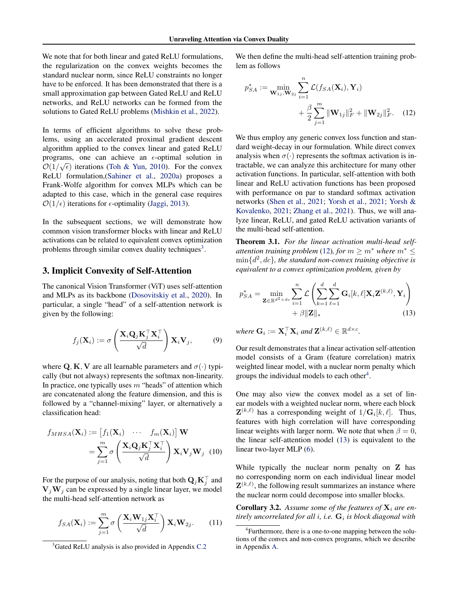We note that for both linear and gated ReLU formulations, the regularization on the convex weights becomes the standard nuclear norm, since ReLU constraints no longer have to be enforced. It has been demonstrated that there is a small approximation gap between Gated ReLU and ReLU networks, and ReLU networks can be formed from the solutions to Gated ReLU problems [\(Mishkin et al.,](#page-10-12) [2022\)](#page-10-12).

In terms of efficient algorithms to solve these problems, using an accelerated proximal gradient descent algorithm applied to the convex linear and gated ReLU programs, one can achieve an  $\epsilon$ -optimal solution in  $\mathcal{O}(1/\sqrt{\epsilon})$  iterations [\(Toh & Yun,](#page-10-15) [2010\)](#page-10-15). For the convex ReLU formulation,[\(Sahiner et al.,](#page-10-9) [2020a\)](#page-10-9) proposes a Frank-Wolfe algorithm for convex MLPs which can be adapted to this case, which in the general case requires  $\mathcal{O}(1/\epsilon)$  iterations for  $\epsilon$ -optimality [\(Jaggi,](#page-9-19) [2013\)](#page-9-19).

In the subsequent sections, we will demonstrate how common vision transformer blocks with linear and ReLU activations can be related to equivalent convex optimization problems through similar convex duality techniques<sup>[3](#page-3-1)</sup>.

## 3. Implicit Convexity of Self-Attention

The canonical Vision Transformer (ViT) uses self-attention and MLPs as its backbone [\(Dosovitskiy et al.,](#page-9-1) [2020\)](#page-9-1). In particular, a single "head" of a self-attention network is given by the following:

$$
f_j(\mathbf{X}_i) := \sigma \left( \frac{\mathbf{X}_i \mathbf{Q}_j \mathbf{K}_j^\top \mathbf{X}_i^\top}{\sqrt{d}} \right) \mathbf{X}_i \mathbf{V}_j, \tag{9}
$$

where Q, K, V are all learnable parameters and  $\sigma(\cdot)$  typically (but not always) represents the softmax non-linearity. In practice, one typically uses  $m$  "heads" of attention which are concatenated along the feature dimension, and this is followed by a "channel-mixing" layer, or alternatively a classification head:

$$
f_{MHSA}(\mathbf{X}_{i}) := \begin{bmatrix} f_{1}(\mathbf{X}_{i}) & \cdots & f_{m}(\mathbf{X}_{i}) \end{bmatrix} \mathbf{W}
$$

$$
= \sum_{j=1}^{m} \sigma \left( \frac{\mathbf{X}_{i} \mathbf{Q}_{j} \mathbf{K}_{j}^{\top} \mathbf{X}_{i}^{\top}}{\sqrt{d}} \right) \mathbf{X}_{i} \mathbf{V}_{j} \mathbf{W}_{j} \quad (10)
$$

For the purpose of our analysis, noting that both  $\mathbf{Q}_j \mathbf{K}_j^\top$  and  $V_iW_j$  can be expressed by a single linear layer, we model the multi-head self-attention network as

$$
f_{SA}(\mathbf{X}_i) := \sum_{j=1}^m \sigma\left(\frac{\mathbf{X}_i \mathbf{W}_{1j} \mathbf{X}_i^\top}{\sqrt{d}}\right) \mathbf{X}_i \mathbf{W}_{2j}.
$$
 (11)

We then define the multi-head self-attention training problem as follows

<span id="page-3-2"></span>
$$
p_{SA}^{*} := \min_{\mathbf{W}_{1j}, \mathbf{W}_{2j}} \sum_{i=1}^{n} \mathcal{L}(f_{SA}(\mathbf{X}_{i}), \mathbf{Y}_{i}) + \frac{\beta}{2} \sum_{j=1}^{m} ||\mathbf{W}_{1j}||_{F}^{2} + ||\mathbf{W}_{2j}||_{F}^{2}.
$$
 (12)

We thus employ any generic convex loss function and standard weight-decay in our formulation. While direct convex analysis when  $\sigma(\cdot)$  represents the softmax activation is intractable, we can analyze this architecture for many other activation functions. In particular, self-attention with both linear and ReLU activation functions has been proposed with performance on par to standard softmax activation networks [\(Shen et al.,](#page-10-1) [2021;](#page-10-1) [Yorsh et al.,](#page-11-4) [2021;](#page-11-4) [Yorsh &](#page-11-5) [Kovalenko,](#page-11-5) [2021;](#page-11-5) [Zhang et al.,](#page-11-6) [2021\)](#page-11-6). Thus, we will analyze linear, ReLU, and gated ReLU activation variants of the multi-head self-attention.

<span id="page-3-5"></span>Theorem 3.1. *For the linear activation multi-head selfattention training problem* [\(12\)](#page-3-2)*, for*  $m > m^*$  *where*  $m^*$  < min{d 2 , dc}*, the standard non-convex training objective is equivalent to a convex optimization problem, given by*

<span id="page-3-4"></span>
$$
p_{SA}^{*} = \min_{\mathbf{Z} \in \mathbb{R}^{d^{2} \times dc}} \sum_{i=1}^{n} \mathcal{L} \left( \sum_{k=1}^{d} \sum_{\ell=1}^{d} \mathbf{G}_{i}[k,\ell] \mathbf{X}_{i} \mathbf{Z}^{(k,\ell)}, \mathbf{Y}_{i} \right) + \beta ||\mathbf{Z}||_{*}
$$
(13)

where  $\mathbf{G}_i := \mathbf{X}_i^{\top} \mathbf{X}_i$  and  $\mathbf{Z}^{(k,\ell)} \in \mathbb{R}^{d \times c}$ .

Our result demonstrates that a linear activation self-attention model consists of a Gram (feature correlation) matrix weighted linear model, with a nuclear norm penalty which groups the individual models to each other<sup>[4](#page-3-3)</sup>.

One may also view the convex model as a set of linear models with a weighted nuclear norm, where each block  $\mathbf{Z}^{(k,\ell)}$  has a corresponding weight of  $1/\mathbf{G}_i[k,\ell]$ . Thus, features with high correlation will have corresponding linear weights with larger norm. We note that when  $\beta = 0$ , the linear self-attention model [\(13\)](#page-3-4) is equivalent to the linear two-layer MLP [\(6\)](#page-2-1).

<span id="page-3-0"></span>While typically the nuclear norm penalty on **Z** has no corresponding norm on each individual linear model  $\mathbf{Z}^{(k,\ell)}$ , the following result summarizes an instance where the nuclear norm could decompose into smaller blocks.

<span id="page-3-6"></span>**Corollary 3.2.** Assume some of the features of  $X_i$  are en*tirely uncorrelated for all* i*, i.e.* G<sup>i</sup> *is block diagonal with*

<span id="page-3-1"></span><sup>&</sup>lt;sup>3</sup>Gated ReLU analysis is also provided in Appendix [C.2](#page-29-0)

<span id="page-3-3"></span><sup>&</sup>lt;sup>4</sup>Furthermore, there is a one-to-one mapping between the solutions of the convex and non-convex programs, which we describe in Appendix [A.](#page-12-0)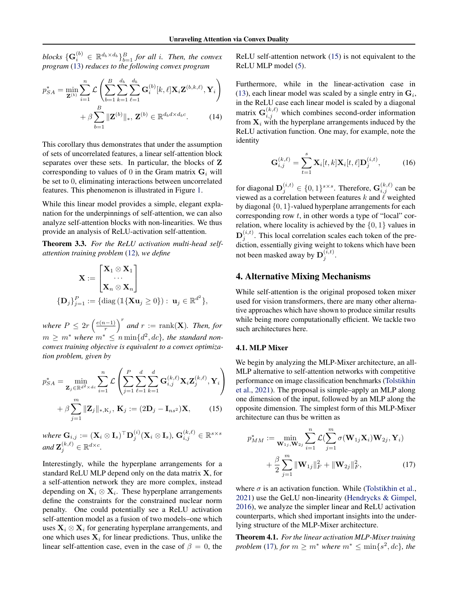$blocks\ {\mathbf{G}}_i^{(b)} \in \mathbb{R}^{d_b \times d_b} \}_{b=1}^B$  for all *i*. Then, the convex *program* [\(13\)](#page-3-4) *reduces to the following convex program*

$$
p_{SA}^{*} = \min_{\mathbf{Z}^{(b)}} \sum_{i=1}^{n} \mathcal{L} \left( \sum_{b=1}^{B} \sum_{k=1}^{d_b} \sum_{\ell=1}^{d_b} \mathbf{G}_i^{(b)}[k,\ell] \mathbf{X}_i \mathbf{Z}^{(b,k,\ell)}, \mathbf{Y}_i \right) + \beta \sum_{b=1}^{B} \|\mathbf{Z}^{(b)}\|_{*}, \mathbf{Z}^{(b)} \in \mathbb{R}^{d_b d \times d_b c}.
$$
 (14)

This corollary thus demonstrates that under the assumption of sets of uncorrelated features, a linear self-attention block separates over these sets. In particular, the blocks of Z corresponding to values of 0 in the Gram matrix  $G_i$  will be set to 0, eliminating interactions between uncorrelated features. This phenomenon is illustrated in Figure [1.](#page-1-0)

While this linear model provides a simple, elegant explanation for the underpinnings of self-attention, we can also analyze self-attention blocks with non-linearities. We thus provide an analysis of ReLU-activation self-attention.

<span id="page-4-3"></span>Theorem 3.3. *For the ReLU activation multi-head selfattention training problem* [\(12\)](#page-3-2)*, we define*

$$
\mathbf{X} := \begin{bmatrix} \mathbf{X}_1 \otimes \mathbf{X}_1 \\ \cdots \\ \mathbf{X}_n \otimes \mathbf{X}_n \end{bmatrix}
$$

$$
\{\mathbf{D}_j\}_{j=1}^P := \{\text{diag}(\mathbb{I}\{\mathbf{X}\mathbf{u}_j \ge 0\}): \mathbf{u}_j \in \mathbb{R}^{d^2}\},
$$

where  $P \leq 2r \left(\frac{e(n-1)}{r}\right)$  $\left(\frac{n-1}{r}\right)^r$  and  $r := \text{rank}(\mathbf{X})$ . Then, for  $m \geq m^*$  where  $m^* \leq n \min\{d^2, dc\}$ , the standard non*convex training objective is equivalent to a convex optimization problem, given by*

$$
p_{SA}^{*} = \min_{\mathbf{Z}_{j} \in \mathbb{R}^{d^{2} \times dc}} \sum_{i=1}^{n} \mathcal{L} \left( \sum_{j=1}^{P} \sum_{\ell=1}^{d} \sum_{k=1}^{d} \mathbf{G}_{i,j}^{(k,\ell)} \mathbf{X}_{i} \mathbf{Z}_{j}^{(k,\ell)}, \mathbf{Y}_{i} \right) + \beta \sum_{j=1}^{m} \|\mathbf{Z}_{j}\|_{*,\mathbf{K}_{j}}, \mathbf{K}_{j} := (2\mathbf{D}_{j} - \mathbf{I}_{ns^{2}})\mathbf{X},
$$
 (15)

where  $\mathbf{G}_{i,j} := (\mathbf{X}_i \otimes \mathbf{I}_s)^\top \mathbf{D}^{(i)}_j (\mathbf{X}_i \otimes \mathbf{I}_s), \, \mathbf{G}^{(k,\ell)}_{i,j} \in \mathbb{R}^{s \times s}$ and  $\mathbf{Z}_j^{(k,\ell)} \in \mathbb{R}^{d \times c}$ .

Interestingly, while the hyperplane arrangements for a standard ReLU MLP depend only on the data matrix X, for a self-attention network they are more complex, instead depending on  $\mathbf{X}_i \otimes \mathbf{X}_i$ . These hyperplane arrangements define the constraints for the constrained nuclear norm penalty. One could potentially see a ReLU activation self-attention model as a fusion of two models–one which uses  $X_i \otimes X_i$  for generating hyperplane arrangements, and one which uses  $X_i$  for linear predictions. Thus, unlike the linear self-attention case, even in the case of  $\beta = 0$ , the ReLU self-attention network [\(15\)](#page-4-1) is not equivalent to the ReLU MLP model [\(5\)](#page-2-2).

<span id="page-4-0"></span>Furthermore, while in the linear-activation case in [\(13\)](#page-3-4), each linear model was scaled by a single entry in  $G_i$ , in the ReLU case each linear model is scaled by a diagonal matrix  $\mathbf{G}_{i,j}^{(k,\ell)}$  which combines second-order information from  $X_i$  with the hyperplane arrangements induced by the ReLU activation function. One may, for example, note the identity

$$
G_{i,j}^{(k,\ell)} = \sum_{t=1}^{s} X_i[t,k]X_i[t,\ell]D_j^{(i,t)},
$$
 (16)

for diagonal  $\mathbf{D}_j^{(i,t)} \in \{0,1\}^{s \times s}$ . Therefore,  $\mathbf{G}_{i,j}^{(k,\ell)}$  can be viewed as a correlation between features k and  $\ell$  weighted by diagonal {0, 1}-valued hyperplane arrangements for each corresponding row  $t$ , in other words a type of "local" correlation, where locality is achieved by the  $\{0, 1\}$  values in  $\mathbf{D}_{j}^{(i,t)}$ . This local correlation scales each token of the prediction, essentially giving weight to tokens which have been not been masked away by  $\mathbf{D}_{j}^{(i,t)}$ .

## 4. Alternative Mixing Mechanisms

While self-attention is the original proposed token mixer used for vision transformers, there are many other alternative approaches which have shown to produce similar results while being more computationally efficient. We tackle two such architectures here.

#### 4.1. MLP Mixer

We begin by analyzing the MLP-Mixer architecture, an all-MLP alternative to self-attention networks with competitive performance on image classification benchmarks [\(Tolstikhin](#page-10-3) [et al.,](#page-10-3) [2021\)](#page-10-3). The proposal is simple–apply an MLP along one dimension of the input, followed by an MLP along the opposite dimension. The simplest form of this MLP-Mixer architecture can thus be written as

<span id="page-4-2"></span><span id="page-4-1"></span>
$$
p_{MM}^{*} := \min_{\mathbf{W}_{1j}, \mathbf{W}_{2j}} \sum_{i=1}^{n} \mathcal{L}(\sum_{j=1}^{m} \sigma(\mathbf{W}_{1j} \mathbf{X}_{i}) \mathbf{W}_{2j}, \mathbf{Y}_{i}) + \frac{\beta}{2} \sum_{j=1}^{m} \|\mathbf{W}_{1j}\|_{F}^{2} + \|\mathbf{W}_{2j}\|_{F}^{2},
$$
\n(17)

where  $\sigma$  is an activation function. While [\(Tolstikhin et al.,](#page-10-3) [2021\)](#page-10-3) use the GeLU non-linearity [\(Hendrycks & Gimpel,](#page-9-20) [2016\)](#page-9-20), we analyze the simpler linear and ReLU activation counterparts, which shed important insights into the underlying structure of the MLP-Mixer architecture.

<span id="page-4-4"></span>Theorem 4.1. *For the linear activation MLP-Mixer training problem* [\(17\)](#page-4-2)*, for*  $m \ge m^*$  *where*  $m^* \le \min\{s^2, dc\}$ *, the*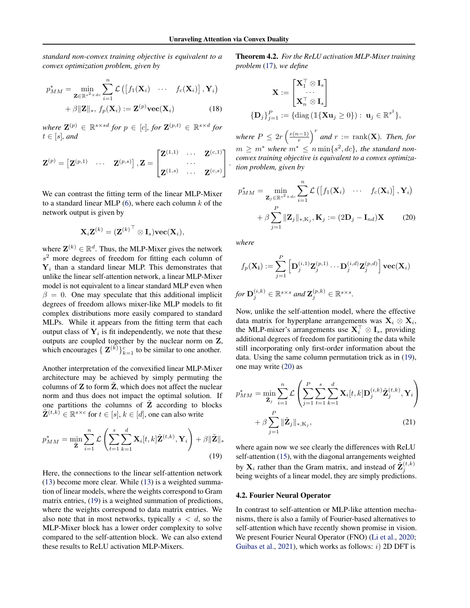*standard non-convex training objective is equivalent to a convex optimization problem, given by*

$$
p_{MM}^{*} = \min_{\mathbf{Z} \in \mathbb{R}^{s^{2} \times dc}} \sum_{i=1}^{n} \mathcal{L}\left(\left[f_{1}(\mathbf{X}_{i}) \cdots f_{c}(\mathbf{X}_{i})\right], \mathbf{Y}_{i}\right) + \beta \|\mathbf{Z}\|_{*}, f_{p}(\mathbf{X}_{i}) := \mathbf{Z}^{(p)} \text{vec}(\mathbf{X}_{i})
$$
(18)

 $where \mathbf{Z}^{(p)} \in \mathbb{R}^{s \times sd}$  for  $p \in [c]$ , for  $\mathbf{Z}^{(p,t)} \in \mathbb{R}^{s \times d}$  for  $t \in [s]$ *, and* 

$$
\mathbf{Z}^{(p)} = \begin{bmatrix} \mathbf{Z}^{(p,1)} & \cdots & \mathbf{Z}^{(p,s)} \end{bmatrix}, \mathbf{Z} = \begin{bmatrix} \mathbf{Z}^{(1,1)} & \cdots & \mathbf{Z}^{(c,1)} \\ & \cdots & \\ \mathbf{Z}^{(1,s)} & \cdots & \mathbf{Z}^{(c,s)} \end{bmatrix}.
$$

We can contrast the fitting term of the linear MLP-Mixer to a standard linear MLP  $(6)$ , where each column k of the network output is given by

$$
\mathbf{X}_i\mathbf{Z}^{(k)} = {(\mathbf{Z}^{(k)}}^\top\otimes \mathbf{I}_s){\bf vec}(\mathbf{X}_i),
$$

where  $\mathbf{Z}^{(k)} \in \mathbb{R}^d$ . Thus, the MLP-Mixer gives the network  $s<sup>2</sup>$  more degrees of freedom for fitting each column of  $Y_i$  than a standard linear MLP. This demonstrates that unlike the linear self-attention network, a linear MLP-Mixer model is not equivalent to a linear standard MLP even when  $\beta = 0$ . One may speculate that this additional implicit degrees of freedom allows mixer-like MLP models to fit complex distributions more easily compared to standard MLPs. While it appears from the fitting term that each output class of  $Y_i$  is fit independently, we note that these outputs are coupled together by the nuclear norm on Z, which encourages  $\{ \mathbf{Z}^{(k)} \}_{k=1}^c$  to be similar to one another.

Another interpretation of the convexified linear MLP-Mixer architecture may be achieved by simply permuting the columns of  $Z$  to form  $Z$ , which does not affect the nuclear norm and thus does not impact the optimal solution. If one partitions the columns of  $\tilde{Z}$  according to blocks  $\tilde{\mathbf{Z}}^{(t,k)} \in \mathbb{R}^{s \times c}$  for  $t \in [s], k \in [d]$ , one can also write

$$
p_{MM}^* = \min_{\tilde{\mathbf{Z}}} \sum_{i=1}^n \mathcal{L}\left(\sum_{t=1}^s \sum_{k=1}^d \mathbf{X}_i[t, k] \tilde{\mathbf{Z}}^{(t, k)}, \mathbf{Y}_i\right) + \beta \|\tilde{\mathbf{Z}}\|_*\tag{19}
$$

<span id="page-5-3"></span>Here, the connections to the linear self-attention network [\(13\)](#page-3-4) become more clear. While [\(13\)](#page-3-4) is a weighted summation of linear models, where the weights correspond to Gram matrix entries, [\(19\)](#page-5-0) is a weighted summation of predictions, where the weights correspond to data matrix entries. We also note that in most networks, typically  $s < d$ , so the MLP-Mixer block has a lower order complexity to solve compared to the self-attention block. We can also extend these results to ReLU activation MLP-Mixers.

Theorem 4.2. *For the ReLU activation MLP-Mixer training problem* [\(17\)](#page-4-2)*, we define*

$$
\mathbf{X} := \begin{bmatrix} \mathbf{X}_1^\top \otimes \mathbf{I}_s \\ \cdots \\ \mathbf{X}_n^\top \otimes \mathbf{I}_s \end{bmatrix}
$$

$$
\{\mathbf{D}_j\}_{j=1}^P := \{\text{diag}\left(\mathbb{I}\{\mathbf{X}\mathbf{u}_j \ge 0\}\right) : \ \mathbf{u}_j \in \mathbb{R}^{s^2}\},
$$

<span id="page-5-2"></span>where  $P \leq 2r \left(\frac{e(n-1)}{r}\right)$  $\left(\frac{n-1}{r}\right)^r$  and  $r := \text{rank}(\mathbf{X})$ . Then, for  $m \geq m^*$  where  $m^* \leq n \min\{s^2, dc\}$ , the standard non*convex training objective is equivalent to a convex optimization problem, given by*

<span id="page-5-1"></span>
$$
p_{MM}^{*} = \min_{\mathbf{Z}_{j} \in \mathbb{R}^{s^{2} \times dc}} \sum_{i=1}^{n} \mathcal{L}\left(\left[f_{1}(\mathbf{X}_{i}) \cdots f_{c}(\mathbf{X}_{i})\right], \mathbf{Y}_{i}\right) + \beta \sum_{j=1}^{P} \|\mathbf{Z}_{j}\|_{*, K_{j}}, \mathbf{K}_{j} := (2\mathbf{D}_{j} - \mathbf{I}_{nd})\mathbf{X}
$$
(20)

*where*

$$
f_p(\mathbf{X_i}) := \sum_{j=1}^P \left[ \mathbf{D}_j^{(i,1)} \mathbf{Z}_j^{(p,1)} \cdots \mathbf{D}_j^{(i,d)} \mathbf{Z}_j^{(p,d)} \right] \mathbf{vec}(\mathbf{X}_i)
$$
  
for  $\mathbf{D}_j^{(i,k)} \in \mathbb{R}^{s \times s}$  and  $\mathbf{Z}_j^{(p,k)} \in \mathbb{R}^{s \times s}$ .

Now, unlike the self-attention model, where the effective data matrix for hyperplane arrangements was  $\mathbf{X}_i \otimes \mathbf{X}_i$ , the MLP-mixer's arrangements use  $X_i^{\top} \otimes I_s$ , providing additional degrees of freedom for partitioning the data while still incorporating only first-order information about the data. Using the same column permutation trick as in [\(19\)](#page-5-0), one may write [\(20\)](#page-5-1) as

<span id="page-5-4"></span>
$$
p_{MM}^{*} = \min_{\tilde{\mathbf{Z}}_{j}} \sum_{i=1}^{n} \mathcal{L} \left( \sum_{j=1}^{P} \sum_{t=1}^{s} \sum_{k=1}^{d} \mathbf{X}_{i}[t, k] \mathbf{D}_{j}^{(i,k)} \tilde{\mathbf{Z}}_{j}^{(t,k)}, \mathbf{Y}_{i} \right) + \beta \sum_{j=1}^{P} \|\tilde{\mathbf{Z}}_{j}\|_{*, K_{j}},
$$
\n(21)

<span id="page-5-0"></span>where again now we see clearly the differences with ReLU self-attention [\(15\)](#page-4-1), with the diagonal arrangements weighted by  $\mathbf{X}_i$  rather than the Gram matrix, and instead of  $\tilde{\mathbf{Z}}_j^{(t,k)}$ being weights of a linear model, they are simply predictions.

#### 4.2. Fourier Neural Operator

In contrast to self-attention or MLP-like attention mechanisms, there is also a family of Fourier-based alternatives to self-attention which have recently shown promise in vision. We present Fourier Neural Operator (FNO) [\(Li et al.,](#page-9-4) [2020;](#page-9-4) [Guibas et al.,](#page-9-5) [2021\)](#page-9-5), which works as follows:  $i$ ) 2D DFT is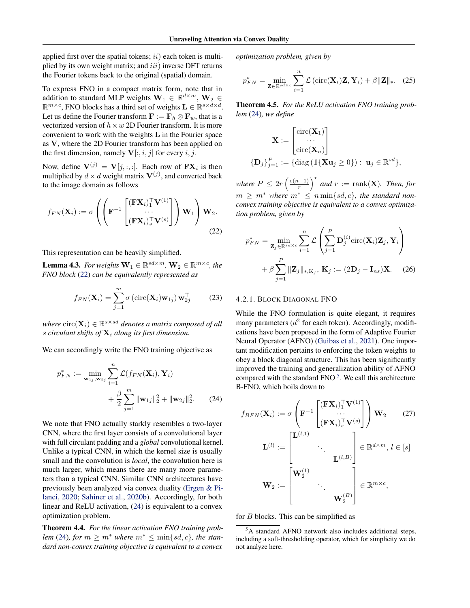applied first over the spatial tokens;  $ii)$  each token is multiplied by its own weight matrix; and  $iii)$  inverse DFT returns the Fourier tokens back to the original (spatial) domain.

To express FNO in a compact matrix form, note that in addition to standard MLP weights  $\mathbf{W}_1 \in \mathbb{R}^{d \times m}$ ,  $\mathbf{W}_2 \in$  $\mathbb{R}^{m \times c}$ , FNO blocks has a third set of weights  $\mathbf{L} \in \mathbb{R}^{s \times d \times d}$ . Let us define the Fourier transform  $\mathbf{F} := \mathbf{F}_h \otimes \mathbf{F}_w$ , that is a vectorized version of  $h \times w$  2D Fourier transform. It is more convenient to work with the weights  $L$  in the Fourier space as V, where the 2D Fourier transform has been applied on the first dimension, namely  ${\bf V}[:, i, j]$  for every i, j.

Now, define  $\mathbf{V}^{(j)} = \mathbf{V}[j, :, :]$ . Each row of  $\mathbf{FX}_i$  is then multiplied by  $d \times d$  weight matrix  $\mathbf{V}^{(j)}$ , and converted back to the image domain as follows

$$
f_{FN}(\mathbf{X}_i) := \sigma \left( \left( \mathbf{F}^{-1} \begin{bmatrix} (\mathbf{F} \mathbf{X}_i)_{1}^{\top} \mathbf{V}^{(1)} \\ \cdots \\ (\mathbf{F} \mathbf{X}_i)_{s}^{\top} \mathbf{V}^{(s)} \end{bmatrix} \right) \mathbf{W}_1 \right) \mathbf{W}_2.
$$
\n(22)

This representation can be heavily simplified.

<span id="page-6-4"></span>**Lemma 4.3.** For weights  $\mathbf{W}_1 \in \mathbb{R}^{sd \times m}$ ,  $\mathbf{W}_2 \in \mathbb{R}^{m \times c}$ , the *FNO block* [\(22\)](#page-6-0) *can be equivalently represented as*

$$
f_{FN}(\mathbf{X}_i) = \sum_{j=1}^{m} \sigma\left(\text{circ}(\mathbf{X}_i)\mathbf{w}_{1j}\right) \mathbf{w}_{2j}^{\top} \tag{23}
$$

where  $\text{circ}(\mathbf{X}_i) \in \mathbb{R}^{s \times sd}$  denotes a matrix composed of all s circulant shifts of  $\mathbf{X}_i$  along its first dimension.

We can accordingly write the FNO training objective as

$$
p_{FN}^* := \min_{\mathbf{w}_{1j}, \mathbf{w}_{2j}} \sum_{i=1}^n \mathcal{L}(f_{FN}(\mathbf{X}_i), \mathbf{Y}_i)
$$
  
+ 
$$
\frac{\beta}{2} \sum_{j=1}^m \|\mathbf{w}_{1j}\|_2^2 + \|\mathbf{w}_{2j}\|_2^2.
$$
 (24)

We note that FNO actually starkly resembles a two-layer CNN, where the first layer consists of a convolutional layer with full circulant padding and a *global* convolutional kernel. Unlike a typical CNN, in which the kernel size is usually small and the convolution is *local*, the convolution here is much larger, which means there are many more parameters than a typical CNN. Similar CNN architectures have previously been analyzed via convex duality [\(Ergen & Pi](#page-9-12)[lanci,](#page-9-12) [2020;](#page-9-12) [Sahiner et al.,](#page-10-10) [2020b\)](#page-10-10). Accordingly, for both linear and ReLU activation, [\(24\)](#page-6-1) is equivalent to a convex optimization problem.

<span id="page-6-5"></span>Theorem 4.4. *For the linear activation FNO training problem* [\(24\)](#page-6-1)*, for*  $m > m^*$  *where*  $m^* < \min\{sd, c\}$ *, the standard non-convex training objective is equivalent to a convex*

*optimization problem, given by*

$$
p_{FN}^* = \min_{\mathbf{Z} \in \mathbb{R}^{sd \times c}} \sum_{i=1}^n \mathcal{L} \left( \text{circ}(\mathbf{X}_i) \mathbf{Z}, \mathbf{Y}_i \right) + \beta \|\mathbf{Z}\|_*. \quad (25)
$$

<span id="page-6-6"></span>Theorem 4.5. *For the ReLU activation FNO training problem* [\(24\)](#page-6-1)*, we define*

$$
\mathbf{X} := \begin{bmatrix} \text{circ}(\mathbf{X}_1) \\ \cdots \\ \text{circ}(\mathbf{X}_n) \end{bmatrix}
$$

$$
\{\mathbf{D}_j\}_{j=1}^P := \{ \text{diag} (\mathbb{1}\{\mathbf{X}\mathbf{u}_j \ge 0\}) : \mathbf{u}_j \in \mathbb{R}^{sd} \},
$$

where  $P \leq 2r \left(\frac{e(n-1)}{r}\right)$  $\left(\frac{n-1}{r}\right)^r$  and  $r := \text{rank}(\mathbf{X})$ . Then, for  $m \geq m^*$  where  $m^* \leq n \min\{sd, c\}$ , the standard non*convex training objective is equivalent to a convex optimization problem, given by*

<span id="page-6-0"></span>
$$
p_{FN}^* = \min_{\mathbf{Z}_j \in \mathbb{R}^{sd \times c}} \sum_{i=1}^n \mathcal{L}\left(\sum_{j=1}^P \mathbf{D}_j^{(i)} \text{circ}(\mathbf{X}_i) \mathbf{Z}_j, \mathbf{Y}_i\right) + \beta \sum_{j=1}^P \|\mathbf{Z}_j\|_{*, \mathbf{K}_j}, \mathbf{K}_j := (2\mathbf{D}_j - \mathbf{I}_{ns})\mathbf{X}.
$$
 (26)

#### 4.2.1. BLOCK DIAGONAL FNO

While the FNO formulation is quite elegant, it requires many parameters  $(d^2$  for each token). Accordingly, modifications have been proposed in the form of Adaptive Fourier Neural Operator (AFNO) [\(Guibas et al.,](#page-9-5) [2021\)](#page-9-5). One important modification pertains to enforcing the token weights to obey a block diagonal structure. This has been significantly improved the training and generalization ability of AFNO compared with the standard FNO<sup>[5](#page-6-2)</sup>. We call this architecture B-FNO, which boils down to

<span id="page-6-3"></span><span id="page-6-1"></span>
$$
f_{BFN}(\mathbf{X}_i) := \sigma \left( \mathbf{F}^{-1} \begin{bmatrix} (\mathbf{F} \mathbf{X}_i)_{1}^{\top} \mathbf{V}^{(1)} \\ \cdots \\ (\mathbf{F} \mathbf{X}_i)_{s}^{\top} \mathbf{V}^{(s)} \end{bmatrix} \right) \mathbf{W}_2
$$
(27)  

$$
\mathbf{L}^{(l)} := \begin{bmatrix} \mathbf{L}^{(l,1)} & & \\ & \ddots & \\ & & \mathbf{L}^{(l,B)} \end{bmatrix} \in \mathbb{R}^{d \times m}, l \in [s]
$$
  

$$
\mathbf{W}_2 := \begin{bmatrix} \mathbf{W}_2^{(1)} & & \\ & \ddots & \\ & & \mathbf{W}_2^{(B)} \end{bmatrix} \in \mathbb{R}^{m \times c},
$$

<span id="page-6-7"></span>for B blocks. This can be simplified as

<span id="page-6-2"></span><sup>5</sup>A standard AFNO network also includes additional steps, including a soft-thresholding operator, which for simplicity we do not analyze here.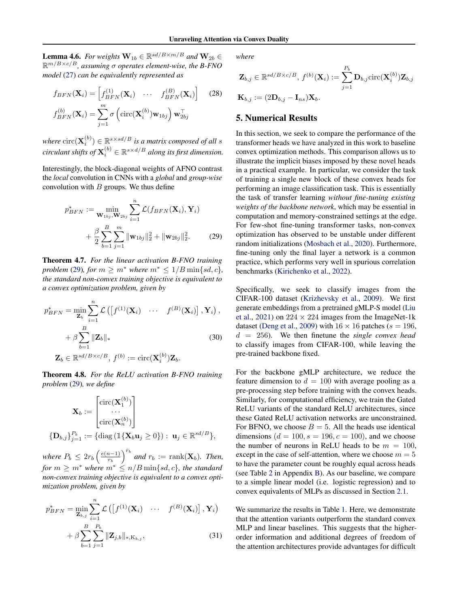**Lemma 4.6.** For weights  $\mathbf{W}_{1b} \in \mathbb{R}^{sd/B \times m/B}$  and  $\mathbf{W}_{2b} \in$ R m/B×c/B*, assuming* σ *operates element-wise, the B-FNO model* [\(27\)](#page-6-3) *can be equivalently represented as*

$$
f_{BFN}(\mathbf{X}_i) = \begin{bmatrix} f_{BFN}^{(1)}(\mathbf{X}_i) & \cdots & f_{BFN}^{(B)}(\mathbf{X}_i) \end{bmatrix} \quad (28)
$$

$$
f_{BFN}^{(b)}(\mathbf{X}_i) = \sum_{j=1}^m \sigma\left(\text{circ}(\mathbf{X}_i^{(b)})\mathbf{w}_{1bj}\right) \mathbf{w}_{2bj}^\top
$$

where  $\text{circ}(\mathbf{X}_{i}^{(b)}) \in \mathbb{R}^{s \times sd/B}$  is a matrix composed of all  $s$  $\emph{circulant shifts of $\mathbf{X}_{i}^{(b)} \in \mathbb{R}^{s \times d/B}$ along its first dimension.}$ 

Interestingly, the block-diagonal weights of AFNO contrast the *local* convolution in CNNs with a *global* and *group-wise* convolution with  $B$  groups. We thus define

$$
p_{BFN}^{*} := \min_{\mathbf{W}_{1bj}, \mathbf{W}_{2bj}} \sum_{i=1}^{n} \mathcal{L}(f_{BFN}(\mathbf{X}_{i}), \mathbf{Y}_{i}) + \frac{\beta}{2} \sum_{b=1}^{B} \sum_{j=1}^{m} ||\mathbf{w}_{1bj}||_{2}^{2} + ||\mathbf{w}_{2bj}||_{2}^{2}.
$$
 (29)

<span id="page-7-2"></span>Theorem 4.7. *For the linear activation B-FNO training problem* [\(29\)](#page-7-0)*, for*  $m \geq m^*$  *where*  $m^* \leq 1/B \min\{sd, c\}$ *, the standard non-convex training objective is equivalent to a convex optimization problem, given by*

$$
p_{BFN}^{*} = \min_{\mathbf{Z}_{b}} \sum_{i=1}^{n} \mathcal{L}\left(\left[f^{(1)}(\mathbf{X}_{i}) \cdots f^{(B)}(\mathbf{X}_{i})\right], \mathbf{Y}_{i}\right),
$$

$$
+ \beta \sum_{b=1}^{B} \|\mathbf{Z}_{b}\|_{*}
$$
(30)
$$
\mathbf{Z}_{b} \in \mathbb{R}^{sd/B \times c/B}, f^{(b)} := \text{circ}(\mathbf{X}_{i}^{(b)})\mathbf{Z}_{b}.
$$

<span id="page-7-3"></span>Theorem 4.8. *For the ReLU activation B-FNO training problem* [\(29\)](#page-7-0)*, we define*

$$
\mathbf{X}_b := \begin{bmatrix} \text{circ}(\mathbf{X}_1^{(b)}) \\ \cdots \\ \text{circ}(\mathbf{X}_n^{(b)}) \end{bmatrix}
$$

$$
\{\mathbf{D}_{b,j}\}_{j=1}^{P_b} := \{ \text{diag} (\mathbb{1}\{\mathbf{X}_b \mathbf{u}_j \ge 0\}) : \mathbf{u}_j \in \mathbb{R}^{sd/B} \},
$$

where  $P_b \leq 2r_b \left(\frac{e(n-1)}{r_b}\right)$  $\left(\frac{n-1}{r_b}\right)^{r_b}$  and  $r_b := \text{rank}(\mathbf{X}_b)$ . Then, *for*  $m \geq m^*$  *where*  $m^* \leq n/B \min\{sd, c\}$ *, the standard non-convex training objective is equivalent to a convex optimization problem, given by*

$$
p_{BFN}^{*} = \min_{\mathbf{Z}_{b,j}} \sum_{i=1}^{n} \mathcal{L} \left( \left[ f^{(1)}(\mathbf{X}_{i}) \cdots f^{(B)}(\mathbf{X}_{i}) \right], \mathbf{Y}_{i} \right) + \beta \sum_{b=1}^{B} \sum_{j=1}^{P_{b}} ||\mathbf{Z}_{j,b}||_{*, K_{b,j}},
$$
(31)

*where*

<span id="page-7-1"></span>
$$
\mathbf{Z}_{b,j} \in \mathbb{R}^{sd/ B \times c/B}, f^{(b)}(\mathbf{X}_i) := \sum_{j=1}^{P_b} \mathbf{D}_{b,j} \text{circ}(\mathbf{X}_i^{(b)}) \mathbf{Z}_{b,j}
$$

$$
\mathbf{K}_{b,i} := (2\mathbf{D}_{b,i} - \mathbf{I}_{ns}) \mathbf{X}_b.
$$

## 5. Numerical Results

In this section, we seek to compare the performance of the transformer heads we have analyzed in this work to baseline convex optimization methods. This comparison allows us to illustrate the implicit biases imposed by these novel heads in a practical example. In particular, we consider the task of training a single new block of these convex heads for performing an image classification task. This is essentially the task of transfer learning *without fine-tuning existing weights of the backbone network*, which may be essential in computation and memory-constrained settings at the edge. For few-shot fine-tuning transformer tasks, non-convex optimization has observed to be unstable under different random initializations [\(Mosbach et al.,](#page-10-16) [2020\)](#page-10-16). Furthermore, fine-tuning only the final layer a network is a common practice, which performs very well in spurious correlation benchmarks [\(Kirichenko et al.,](#page-9-21) [2022\)](#page-9-21).

<span id="page-7-0"></span>Specifically, we seek to classify images from the CIFAR-100 dataset [\(Krizhevsky et al.,](#page-9-22) [2009\)](#page-9-22). We first generate embeddings from a pretrained gMLP-S model [\(Liu](#page-9-2) [et al.,](#page-9-2) [2021\)](#page-9-2) on  $224 \times 224$  images from the ImageNet-1k dataset [\(Deng et al.,](#page-9-23) [2009\)](#page-9-23) with  $16 \times 16$  patches ( $s = 196$ , d = 256). We then finetune the *single convex head* to classify images from CIFAR-100, while leaving the pre-trained backbone fixed.

For the backbone gMLP architecture, we reduce the feature dimension to  $d = 100$  with average pooling as a pre-processing step before training with the convex heads. Similarly, for computational efficiency, we train the Gated ReLU variants of the standard ReLU architectures, since these Gated ReLU activation networks are unconstrained. For BFNO, we choose  $B = 5$ . All the heads use identical dimensions  $(d = 100, s = 196, c = 100)$ , and we choose the number of neurons in ReLU heads to be  $m = 100$ , except in the case of self-attention, where we choose  $m = 5$ to have the parameter count be roughly equal across heads (see Table [2](#page-27-1) in Appendix [B\)](#page-26-0). As our baseline, we compare to a simple linear model (i.e. logistic regression) and to convex equivalents of MLPs as discussed in Section [2.1.](#page-2-3)

We summarize the results in Table [1.](#page-8-0) Here, we demonstrate that the attention variants outperform the standard convex MLP and linear baselines. This suggests that the higherorder information and additional degrees of freedom of the attention architectures provide advantages for difficult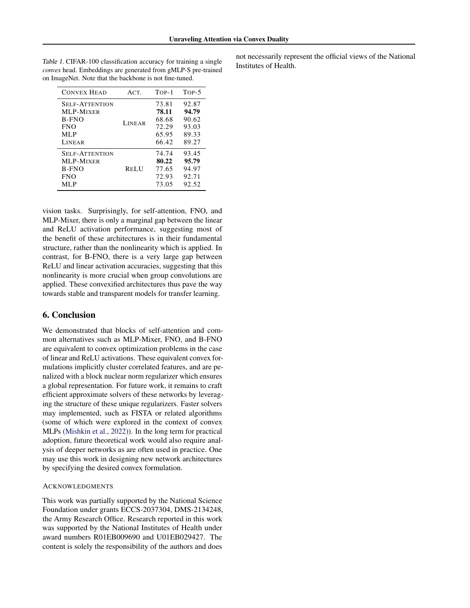| <b>CONVEX HEAD</b>                                                      | ACT.          | TOP-1                                     | TOP-5                                     |
|-------------------------------------------------------------------------|---------------|-------------------------------------------|-------------------------------------------|
| <b>SELF-ATTENTION</b><br>MLP-MIXER<br>B-FNO                             | <b>LINEAR</b> | 73.81<br>78.11<br>68.68                   | 92.87<br>94.79<br>90.62                   |
| <b>FNO</b><br><b>MLP</b><br>LINEAR                                      |               | 72.29<br>65.95<br>66.42                   | 93.03<br>89.33<br>89.27                   |
| <b>SELF-ATTENTION</b><br>MLP-MIXER<br><b>B-FNO</b><br><b>FNO</b><br>MLP | <b>RELU</b>   | 74.74<br>80.22<br>77.65<br>72.93<br>73.05 | 93.45<br>95.79<br>94.97<br>92.71<br>92.52 |

<span id="page-8-0"></span>Table 1. CIFAR-100 classification accuracy for training a single *convex* head. Embeddings are generated from gMLP-S pre-trained on ImageNet. Note that the backbone is not fine-tuned.

not necessarily represent the official views of the National Institutes of Health.

vision tasks. Surprisingly, for self-attention, FNO, and MLP-Mixer, there is only a marginal gap between the linear and ReLU activation performance, suggesting most of the benefit of these architectures is in their fundamental structure, rather than the nonlinearity which is applied. In contrast, for B-FNO, there is a very large gap between ReLU and linear activation accuracies, suggesting that this nonlinearity is more crucial when group convolutions are applied. These convexified architectures thus pave the way towards stable and transparent models for transfer learning.

## 6. Conclusion

We demonstrated that blocks of self-attention and common alternatives such as MLP-Mixer, FNO, and B-FNO are equivalent to convex optimization problems in the case of linear and ReLU activations. These equivalent convex formulations implicitly cluster correlated features, and are penalized with a block nuclear norm regularizer which ensures a global representation. For future work, it remains to craft efficient approximate solvers of these networks by leveraging the structure of these unique regularizers. Faster solvers may implemented, such as FISTA or related algorithms (some of which were explored in the context of convex MLPs [\(Mishkin et al.,](#page-10-12) [2022\)](#page-10-12)). In the long term for practical adoption, future theoretical work would also require analysis of deeper networks as are often used in practice. One may use this work in designing new network architectures by specifying the desired convex formulation.

#### ACKNOWLEDGMENTS

This work was partially supported by the National Science Foundation under grants ECCS-2037304, DMS-2134248, the Army Research Office. Research reported in this work was supported by the National Institutes of Health under award numbers R01EB009690 and U01EB029427. The content is solely the responsibility of the authors and does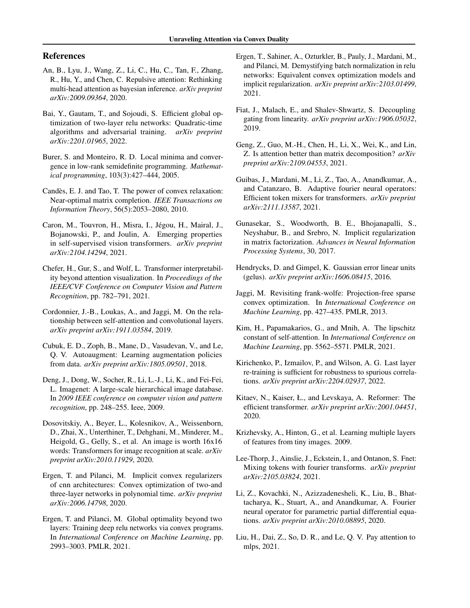## References

- <span id="page-9-9"></span>An, B., Lyu, J., Wang, Z., Li, C., Hu, C., Tan, F., Zhang, R., Hu, Y., and Chen, C. Repulsive attention: Rethinking multi-head attention as bayesian inference. *arXiv preprint arXiv:2009.09364*, 2020.
- <span id="page-9-15"></span>Bai, Y., Gautam, T., and Sojoudi, S. Efficient global optimization of two-layer relu networks: Quadratic-time algorithms and adversarial training. *arXiv preprint arXiv:2201.01965*, 2022.
- <span id="page-9-25"></span>Burer, S. and Monteiro, R. D. Local minima and convergence in low-rank semidefinite programming. *Mathematical programming*, 103(3):427–444, 2005.
- <span id="page-9-16"></span>Candès, E. J. and Tao, T. The power of convex relaxation: Near-optimal matrix completion. *IEEE Transactions on Information Theory*, 56(5):2053–2080, 2010.
- <span id="page-9-7"></span>Caron, M., Touvron, H., Misra, I., Jégou, H., Mairal, J., Bojanowski, P., and Joulin, A. Emerging properties in self-supervised vision transformers. *arXiv preprint arXiv:2104.14294*, 2021.
- <span id="page-9-8"></span>Chefer, H., Gur, S., and Wolf, L. Transformer interpretability beyond attention visualization. In *Proceedings of the IEEE/CVF Conference on Computer Vision and Pattern Recognition*, pp. 782–791, 2021.
- <span id="page-9-10"></span>Cordonnier, J.-B., Loukas, A., and Jaggi, M. On the relationship between self-attention and convolutional layers. *arXiv preprint arXiv:1911.03584*, 2019.
- <span id="page-9-24"></span>Cubuk, E. D., Zoph, B., Mane, D., Vasudevan, V., and Le, Q. V. Autoaugment: Learning augmentation policies from data. *arXiv preprint arXiv:1805.09501*, 2018.
- <span id="page-9-23"></span>Deng, J., Dong, W., Socher, R., Li, L.-J., Li, K., and Fei-Fei, L. Imagenet: A large-scale hierarchical image database. In *2009 IEEE conference on computer vision and pattern recognition*, pp. 248–255. Ieee, 2009.
- <span id="page-9-1"></span>Dosovitskiy, A., Beyer, L., Kolesnikov, A., Weissenborn, D., Zhai, X., Unterthiner, T., Dehghani, M., Minderer, M., Heigold, G., Gelly, S., et al. An image is worth 16x16 words: Transformers for image recognition at scale. *arXiv preprint arXiv:2010.11929*, 2020.
- <span id="page-9-12"></span>Ergen, T. and Pilanci, M. Implicit convex regularizers of cnn architectures: Convex optimization of two-and three-layer networks in polynomial time. *arXiv preprint arXiv:2006.14798*, 2020.
- <span id="page-9-13"></span>Ergen, T. and Pilanci, M. Global optimality beyond two layers: Training deep relu networks via convex programs. In *International Conference on Machine Learning*, pp. 2993–3003. PMLR, 2021.
- <span id="page-9-14"></span>Ergen, T., Sahiner, A., Ozturkler, B., Pauly, J., Mardani, M., and Pilanci, M. Demystifying batch normalization in relu networks: Equivalent convex optimization models and implicit regularization. *arXiv preprint arXiv:2103.01499*, 2021.
- <span id="page-9-18"></span>Fiat, J., Malach, E., and Shalev-Shwartz, S. Decoupling gating from linearity. *arXiv preprint arXiv:1906.05032*, 2019.
- <span id="page-9-6"></span>Geng, Z., Guo, M.-H., Chen, H., Li, X., Wei, K., and Lin, Z. Is attention better than matrix decomposition? *arXiv preprint arXiv:2109.04553*, 2021.
- <span id="page-9-5"></span>Guibas, J., Mardani, M., Li, Z., Tao, A., Anandkumar, A., and Catanzaro, B. Adaptive fourier neural operators: Efficient token mixers for transformers. *arXiv preprint arXiv:2111.13587*, 2021.
- <span id="page-9-17"></span>Gunasekar, S., Woodworth, B. E., Bhojanapalli, S., Neyshabur, B., and Srebro, N. Implicit regularization in matrix factorization. *Advances in Neural Information Processing Systems*, 30, 2017.
- <span id="page-9-20"></span>Hendrycks, D. and Gimpel, K. Gaussian error linear units (gelus). *arXiv preprint arXiv:1606.08415*, 2016.
- <span id="page-9-19"></span>Jaggi, M. Revisiting frank-wolfe: Projection-free sparse convex optimization. In *International Conference on Machine Learning*, pp. 427–435. PMLR, 2013.
- <span id="page-9-11"></span>Kim, H., Papamakarios, G., and Mnih, A. The lipschitz constant of self-attention. In *International Conference on Machine Learning*, pp. 5562–5571. PMLR, 2021.
- <span id="page-9-21"></span>Kirichenko, P., Izmailov, P., and Wilson, A. G. Last layer re-training is sufficient for robustness to spurious correlations. *arXiv preprint arXiv:2204.02937*, 2022.
- <span id="page-9-0"></span>Kitaev, N., Kaiser, Ł., and Levskaya, A. Reformer: The efficient transformer. *arXiv preprint arXiv:2001.04451*, 2020.
- <span id="page-9-22"></span>Krizhevsky, A., Hinton, G., et al. Learning multiple layers of features from tiny images. 2009.
- <span id="page-9-3"></span>Lee-Thorp, J., Ainslie, J., Eckstein, I., and Ontanon, S. Fnet: Mixing tokens with fourier transforms. *arXiv preprint arXiv:2105.03824*, 2021.
- <span id="page-9-4"></span>Li, Z., Kovachki, N., Azizzadenesheli, K., Liu, B., Bhattacharya, K., Stuart, A., and Anandkumar, A. Fourier neural operator for parametric partial differential equations. *arXiv preprint arXiv:2010.08895*, 2020.
- <span id="page-9-2"></span>Liu, H., Dai, Z., So, D. R., and Le, Q. V. Pay attention to mlps, 2021.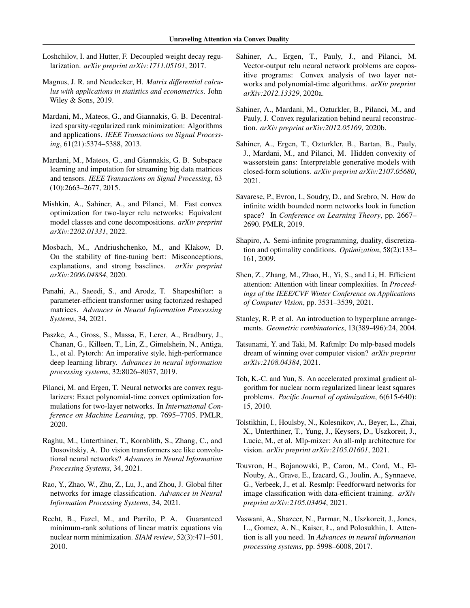- <span id="page-10-21"></span>Loshchilov, I. and Hutter, F. Decoupled weight decay regularization. *arXiv preprint arXiv:1711.05101*, 2017.
- <span id="page-10-19"></span>Magnus, J. R. and Neudecker, H. *Matrix differential calculus with applications in statistics and econometrics*. John Wiley & Sons, 2019.
- <span id="page-10-22"></span>Mardani, M., Mateos, G., and Giannakis, G. B. Decentralized sparsity-regularized rank minimization: Algorithms and applications. *IEEE Transactions on Signal Processing*, 61(21):5374–5388, 2013.
- <span id="page-10-23"></span>Mardani, M., Mateos, G., and Giannakis, G. B. Subspace learning and imputation for streaming big data matrices and tensors. *IEEE Transactions on Signal Processing*, 63 (10):2663–2677, 2015.
- <span id="page-10-12"></span>Mishkin, A., Sahiner, A., and Pilanci, M. Fast convex optimization for two-layer relu networks: Equivalent model classes and cone decompositions. *arXiv preprint arXiv:2202.01331*, 2022.
- <span id="page-10-16"></span>Mosbach, M., Andriushchenko, M., and Klakow, D. On the stability of fine-tuning bert: Misconceptions, explanations, and strong baselines. *arXiv preprint arXiv:2006.04884*, 2020.
- <span id="page-10-2"></span>Panahi, A., Saeedi, S., and Arodz, T. Shapeshifter: a parameter-efficient transformer using factorized reshaped matrices. *Advances in Neural Information Processing Systems*, 34, 2021.
- <span id="page-10-20"></span>Paszke, A., Gross, S., Massa, F., Lerer, A., Bradbury, J., Chanan, G., Killeen, T., Lin, Z., Gimelshein, N., Antiga, L., et al. Pytorch: An imperative style, high-performance deep learning library. *Advances in neural information processing systems*, 32:8026–8037, 2019.
- <span id="page-10-8"></span>Pilanci, M. and Ergen, T. Neural networks are convex regularizers: Exact polynomial-time convex optimization formulations for two-layer networks. In *International Conference on Machine Learning*, pp. 7695–7705. PMLR, 2020.
- <span id="page-10-7"></span>Raghu, M., Unterthiner, T., Kornblith, S., Zhang, C., and Dosovitskiy, A. Do vision transformers see like convolutional neural networks? *Advances in Neural Information Processing Systems*, 34, 2021.
- <span id="page-10-6"></span>Rao, Y., Zhao, W., Zhu, Z., Lu, J., and Zhou, J. Global filter networks for image classification. *Advances in Neural Information Processing Systems*, 34, 2021.
- <span id="page-10-14"></span>Recht, B., Fazel, M., and Parrilo, P. A. Guaranteed minimum-rank solutions of linear matrix equations via nuclear norm minimization. *SIAM review*, 52(3):471–501, 2010.
- <span id="page-10-9"></span>Sahiner, A., Ergen, T., Pauly, J., and Pilanci, M. Vector-output relu neural network problems are copositive programs: Convex analysis of two layer networks and polynomial-time algorithms. *arXiv preprint arXiv:2012.13329*, 2020a.
- <span id="page-10-10"></span>Sahiner, A., Mardani, M., Ozturkler, B., Pilanci, M., and Pauly, J. Convex regularization behind neural reconstruction. *arXiv preprint arXiv:2012.05169*, 2020b.
- <span id="page-10-11"></span>Sahiner, A., Ergen, T., Ozturkler, B., Bartan, B., Pauly, J., Mardani, M., and Pilanci, M. Hidden convexity of wasserstein gans: Interpretable generative models with closed-form solutions. *arXiv preprint arXiv:2107.05680*, 2021.
- <span id="page-10-17"></span>Savarese, P., Evron, I., Soudry, D., and Srebro, N. How do infinite width bounded norm networks look in function space? In *Conference on Learning Theory*, pp. 2667– 2690. PMLR, 2019.
- <span id="page-10-18"></span>Shapiro, A. Semi-infinite programming, duality, discretization and optimality conditions. *Optimization*, 58(2):133– 161, 2009.
- <span id="page-10-1"></span>Shen, Z., Zhang, M., Zhao, H., Yi, S., and Li, H. Efficient attention: Attention with linear complexities. In *Proceedings of the IEEE/CVF Winter Conference on Applications of Computer Vision*, pp. 3531–3539, 2021.
- <span id="page-10-13"></span>Stanley, R. P. et al. An introduction to hyperplane arrangements. *Geometric combinatorics*, 13(389-496):24, 2004.
- <span id="page-10-4"></span>Tatsunami, Y. and Taki, M. Raftmlp: Do mlp-based models dream of winning over computer vision? *arXiv preprint arXiv:2108.04384*, 2021.
- <span id="page-10-15"></span>Toh, K.-C. and Yun, S. An accelerated proximal gradient algorithm for nuclear norm regularized linear least squares problems. *Pacific Journal of optimization*, 6(615-640): 15, 2010.
- <span id="page-10-3"></span>Tolstikhin, I., Houlsby, N., Kolesnikov, A., Beyer, L., Zhai, X., Unterthiner, T., Yung, J., Keysers, D., Uszkoreit, J., Lucic, M., et al. Mlp-mixer: An all-mlp architecture for vision. *arXiv preprint arXiv:2105.01601*, 2021.
- <span id="page-10-5"></span>Touvron, H., Bojanowski, P., Caron, M., Cord, M., El-Nouby, A., Grave, E., Izacard, G., Joulin, A., Synnaeve, G., Verbeek, J., et al. Resmlp: Feedforward networks for image classification with data-efficient training. *arXiv preprint arXiv:2105.03404*, 2021.
- <span id="page-10-0"></span>Vaswani, A., Shazeer, N., Parmar, N., Uszkoreit, J., Jones, L., Gomez, A. N., Kaiser, Ł., and Polosukhin, I. Attention is all you need. In *Advances in neural information processing systems*, pp. 5998–6008, 2017.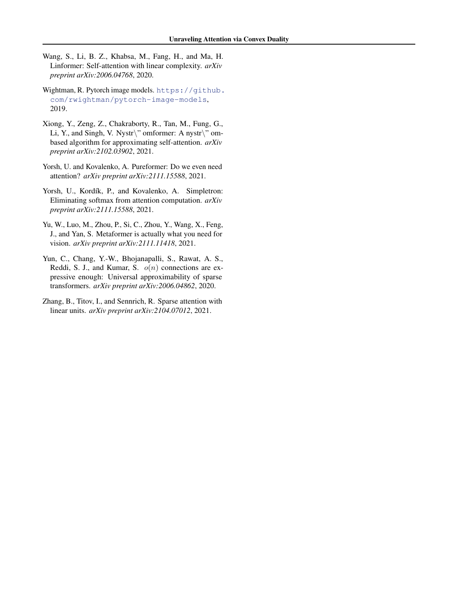- <span id="page-11-0"></span>Wang, S., Li, B. Z., Khabsa, M., Fang, H., and Ma, H. Linformer: Self-attention with linear complexity. *arXiv preprint arXiv:2006.04768*, 2020.
- <span id="page-11-7"></span>Wightman, R. Pytorch image models. [https://github.](https://github.com/rwightman/pytorch-image-models) [com/rwightman/pytorch-image-models](https://github.com/rwightman/pytorch-image-models), 2019.
- <span id="page-11-1"></span>Xiong, Y., Zeng, Z., Chakraborty, R., Tan, M., Fung, G., Li, Y., and Singh, V. Nystr $\langle$ " omformer: A nystr $\langle$ " ombased algorithm for approximating self-attention. *arXiv preprint arXiv:2102.03902*, 2021.
- <span id="page-11-5"></span>Yorsh, U. and Kovalenko, A. Pureformer: Do we even need attention? *arXiv preprint arXiv:2111.15588*, 2021.
- <span id="page-11-4"></span>Yorsh, U., Kordík, P., and Kovalenko, A. Simpletron: Eliminating softmax from attention computation. *arXiv preprint arXiv:2111.15588*, 2021.
- <span id="page-11-2"></span>Yu, W., Luo, M., Zhou, P., Si, C., Zhou, Y., Wang, X., Feng, J., and Yan, S. Metaformer is actually what you need for vision. *arXiv preprint arXiv:2111.11418*, 2021.
- <span id="page-11-3"></span>Yun, C., Chang, Y.-W., Bhojanapalli, S., Rawat, A. S., Reddi, S. J., and Kumar, S.  $o(n)$  connections are expressive enough: Universal approximability of sparse transformers. *arXiv preprint arXiv:2006.04862*, 2020.
- <span id="page-11-6"></span>Zhang, B., Titov, I., and Sennrich, R. Sparse attention with linear units. *arXiv preprint arXiv:2104.07012*, 2021.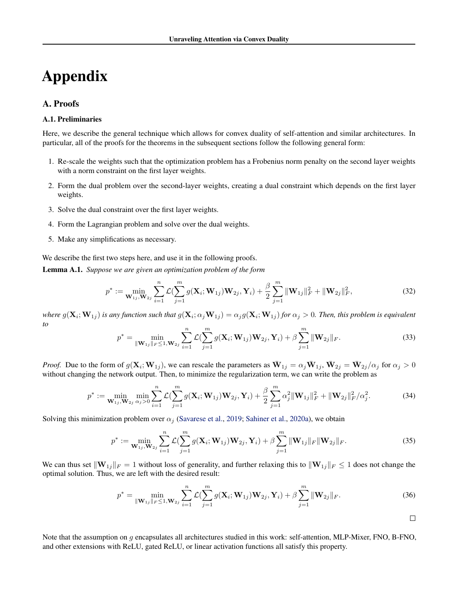# Appendix

## <span id="page-12-0"></span>A. Proofs

## A.1. Preliminaries

Here, we describe the general technique which allows for convex duality of self-attention and similar architectures. In particular, all of the proofs for the theorems in the subsequent sections follow the following general form:

- 1. Re-scale the weights such that the optimization problem has a Frobenius norm penalty on the second layer weights with a norm constraint on the first layer weights.
- 2. Form the dual problem over the second-layer weights, creating a dual constraint which depends on the first layer weights.
- 3. Solve the dual constraint over the first layer weights.
- 4. Form the Lagrangian problem and solve over the dual weights.
- 5. Make any simplifications as necessary.

We describe the first two steps here, and use it in the following proofs.

<span id="page-12-1"></span>Lemma A.1. *Suppose we are given an optimization problem of the form*

$$
p^* := \min_{\mathbf{W}_{1j}, \mathbf{W}_{2j}} \sum_{i=1}^n \mathcal{L}(\sum_{j=1}^m g(\mathbf{X}_i; \mathbf{W}_{1j}) \mathbf{W}_{2j}, \mathbf{Y}_i) + \frac{\beta}{2} \sum_{j=1}^m \|\mathbf{W}_{1j}\|_F^2 + \|\mathbf{W}_{2j}\|_F^2, \tag{32}
$$

where  $g(\mathbf{X}_i; \mathbf{W}_{1j})$  is any function such that  $g(\mathbf{X}_i;\alpha_j\mathbf{W}_{1j})=\alpha_j g(\mathbf{X}_i;\mathbf{W}_{1j})$  for  $\alpha_j>0$ . Then, this problem is equivalent *to*

$$
p^* = \min_{\|\mathbf{W}_{1j}\|_F \le 1, \mathbf{W}_{2j}} \sum_{i=1}^n \mathcal{L}(\sum_{j=1}^m g(\mathbf{X}_i; \mathbf{W}_{1j}) \mathbf{W}_{2j}, \mathbf{Y}_i) + \beta \sum_{j=1}^m \|\mathbf{W}_{2j}\|_F.
$$
 (33)

*Proof.* Due to the form of  $g(\mathbf{X}_i; \mathbf{W}_{1j})$ , we can rescale the parameters as  $\bar{\mathbf{W}}_{1j} = \alpha_j \bar{\mathbf{W}}_{1j}$ ,  $\bar{\mathbf{W}}_{2j} = \bar{\mathbf{W}}_{2j}/\alpha_j$  for  $\alpha_j > 0$ without changing the network output. Then, to minimize the regularization term, we can write the problem as

$$
p^* := \min_{\mathbf{W}_{1j}, \mathbf{W}_{2j}} \min_{\alpha_j > 0} \sum_{i=1}^n \mathcal{L}(\sum_{j=1}^m g(\mathbf{X}_i; \mathbf{W}_{1j}) \mathbf{W}_{2j}, \mathbf{Y}_i) + \frac{\beta}{2} \sum_{j=1}^m \alpha_j^2 \|\mathbf{W}_{1j}\|_F^2 + \|\mathbf{W}_{2j}\|_F^2 / \alpha_j^2.
$$
 (34)

Solving this minimization problem over  $\alpha_i$  [\(Savarese et al.,](#page-10-17) [2019;](#page-10-17) [Sahiner et al.,](#page-10-9) [2020a\)](#page-10-9), we obtain

$$
p^* := \min_{\mathbf{W}_{1j}, \mathbf{W}_{2j}} \sum_{i=1}^n \mathcal{L}(\sum_{j=1}^m g(\mathbf{X}_i; \mathbf{W}_{1j}) \mathbf{W}_{2j}, \mathbf{Y}_i) + \beta \sum_{j=1}^m \|\mathbf{W}_{1j}\|_F \|\mathbf{W}_{2j}\|_F.
$$
 (35)

We can thus set  $\|\mathbf{W}_{1j}\|_F = 1$  without loss of generality, and further relaxing this to  $\|\mathbf{W}_{1j}\|_F \leq 1$  does not change the optimal solution. Thus, we are left with the desired result:

$$
p^* = \min_{\|\mathbf{W}_{1j}\|_F \le 1, \mathbf{W}_{2j}} \sum_{i=1}^n \mathcal{L}(\sum_{j=1}^m g(\mathbf{X}_i; \mathbf{W}_{1j}) \mathbf{W}_{2j}, \mathbf{Y}_i) + \beta \sum_{j=1}^m \|\mathbf{W}_{2j}\|_F.
$$
 (36)

 $\Box$ 

<span id="page-12-2"></span>Note that the assumption on q encapsulates all architectures studied in this work: self-attention, MLP-Mixer, FNO, B-FNO, and other extensions with ReLU, gated ReLU, or linear activation functions all satisfy this property.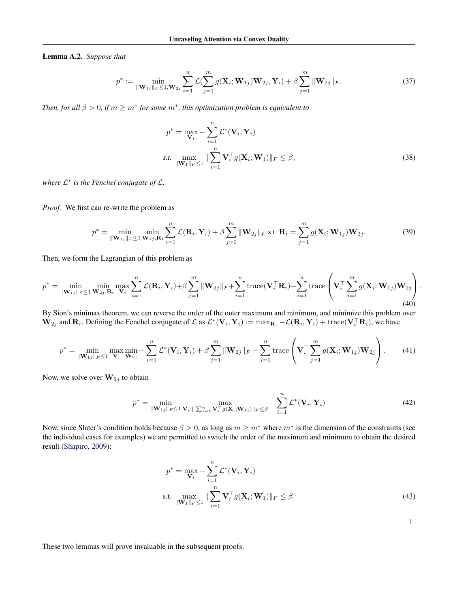Lemma A.2. *Suppose that*

$$
p^* := \min_{\|\mathbf{W}_{1j}\|_F \leq 1, \mathbf{W}_{2j}} \sum_{i=1}^n \mathcal{L}(\sum_{j=1}^m g(\mathbf{X}_i; \mathbf{W}_{1j}) \mathbf{W}_{2j}, \mathbf{Y}_i) + \beta \sum_{j=1}^m \|\mathbf{W}_{2j}\|_F.
$$
 (37)

*Then, for all*  $\beta > 0$ , *if*  $m \ge m^*$  *for some*  $m^*$ *, this optimization problem is equivalent to* 

$$
p^* = \max_{\mathbf{V}_i} -\sum_{i=1}^n \mathcal{L}^*(\mathbf{V}_i, \mathbf{Y}_i)
$$
  
s.t. 
$$
\max_{\|\mathbf{W}_1\|_F \le 1} \|\sum_{i=1}^n \mathbf{V}_i^{\top} g(\mathbf{X}_i; \mathbf{W}_1)\|_F \le \beta,
$$
 (38)

*where* L ∗ *is the Fenchel conjugate of* L*.*

*Proof.* We first can re-write the problem as

$$
p^* = \min_{\|\mathbf{W}_{1j}\|_F \le 1} \min_{\mathbf{W}_{2j},\mathbf{R}_i} \sum_{i=1}^n \mathcal{L}(\mathbf{R}_i, \mathbf{Y}_i) + \beta \sum_{j=1}^m \|\mathbf{W}_{2j}\|_F \text{ s.t. } \mathbf{R}_i = \sum_{j=1}^m g(\mathbf{X}_i; \mathbf{W}_{1j}) \mathbf{W}_{2j}.
$$
 (39)

Then, we form the Lagrangian of this problem as

$$
p^* = \min_{\|\mathbf{W}_{1j}\|_F \leq 1} \min_{\mathbf{W}_{2j},\mathbf{R}_i} \max_{\mathbf{V}_i} \sum_{i=1}^n \mathcal{L}(\mathbf{R}_i, \mathbf{Y}_i) + \beta \sum_{j=1}^m \|\mathbf{W}_{2j}\|_F + \sum_{i=1}^n \text{trace}(\mathbf{V}_i^{\top} \mathbf{R}_i) - \sum_{i=1}^n \text{trace}(\mathbf{V}_i^{\top} \sum_{j=1}^m g(\mathbf{X}_i; \mathbf{W}_{1j}) \mathbf{W}_{2j})
$$
\n(40)

By Sion's minimax theorem, we can reverse the order of the outer maximum and minimum, and minimize this problem over  $\mathbf{W}_{2j}$  and  $\mathbf{R}_i$ . Defining the Fenchel conjugate of  $\mathcal{L}$  as  $\mathcal{L}^*(\mathbf{V}_i, \mathbf{Y}_i) := \max_{\mathbf{R}_i} -\mathcal{L}(\mathbf{R}_i, \mathbf{Y}_i) + \text{trace}(\mathbf{V}_i^\top \mathbf{R}_i)$ , we have

$$
p^* = \min_{\|\mathbf{W}_{1j}\|_F \leq 1} \max_{\mathbf{V}_i} \min_{\mathbf{W}_{2j}} - \sum_{i=1}^n \mathcal{L}^*(\mathbf{V}_i, \mathbf{Y}_i) + \beta \sum_{j=1}^m \|\mathbf{W}_{2j}\|_F - \sum_{i=1}^n \text{trace}\left(\mathbf{V}_i^\top \sum_{j=1}^m g(\mathbf{X}_i; \mathbf{W}_{1j}) \mathbf{W}_{2j}\right). \tag{41}
$$

Now, we solve over  $W_{2j}$  to obtain

$$
p^* = \min_{\|\mathbf{W}_{1j}\|_F \leq 1} \max_{\mathbf{V}_i : \|\sum_{i=1}^n \mathbf{V}_i^{\top} g(\mathbf{X}_i; \mathbf{W}_{1j})\|_F \leq \beta} - \sum_{i=1}^n \mathcal{L}^*(\mathbf{V}_i, \mathbf{Y}_i)
$$
(42)

Now, since Slater's condition holds because  $\beta > 0$ , as long as  $m \geq m^*$  where  $m^*$  is the dimension of the constraints (see the individual cases for examples) we are permitted to switch the order of the maximum and minimum to obtain the desired result [\(Shapiro,](#page-10-18) [2009\)](#page-10-18):

$$
p^* = \max_{\mathbf{V}_i} -\sum_{i=1}^n \mathcal{L}^*(\mathbf{V}_i, \mathbf{Y}_i)
$$
  
s.t. 
$$
\max_{\|\mathbf{W}_1\|_F \le 1} \|\sum_{i=1}^n \mathbf{V}_i^{\top} g(\mathbf{X}_i; \mathbf{W}_1)\|_F \le \beta.
$$
 (43)

 $\Box$ 

These two lemmas will prove invaluable in the subsequent proofs.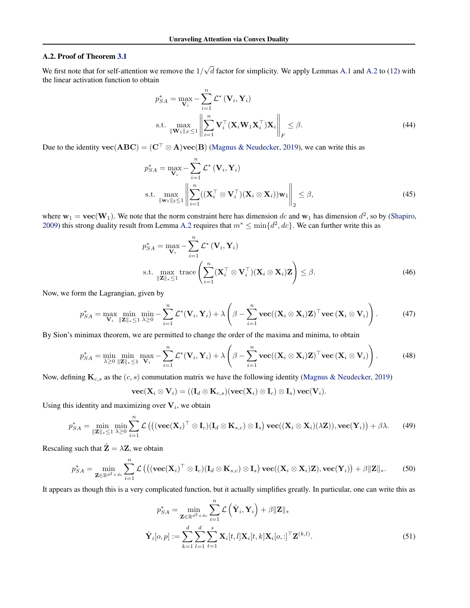## A.2. Proof of Theorem [3.1](#page-3-5)

We first note that for self-attention we remove the  $1/$ √  $d$  factor for simplicity. We apply Lemmas [A.1](#page-12-1) and [A.2](#page-12-2) to [\(12\)](#page-3-2) with the linear activation function to obtain

$$
p_{SA}^{*} = \max_{\mathbf{V}_{i}} - \sum_{i=1}^{n} \mathcal{L}^{*} (\mathbf{V}_{i}, \mathbf{Y}_{i})
$$
  
s.t. 
$$
\max_{\|\mathbf{W}_{1}\|_{F} \leq 1} \left\| \sum_{i=1}^{n} \mathbf{V}_{i}^{\top} (\mathbf{X}_{i} \mathbf{W}_{1} \mathbf{X}_{i}^{\top}) \mathbf{X}_{i} \right\|_{F} \leq \beta.
$$
 (44)

Due to the identity  $\mathbf{vec}(\mathbf{ABC}) = (\mathbf{C}^\top \otimes \mathbf{A})\mathbf{vec}(\mathbf{B})$  [\(Magnus & Neudecker,](#page-10-19) [2019\)](#page-10-19), we can write this as

$$
p_{SA}^{*} = \max_{\mathbf{V}_{i}} - \sum_{i=1}^{n} \mathcal{L}^{*} (\mathbf{V}_{i}, \mathbf{Y}_{i})
$$
  
s.t. 
$$
\max_{\|\mathbf{w}_{1}\|_{2} \leq 1} \left\| \sum_{i=1}^{n} ((\mathbf{X}_{i}^{\top} \otimes \mathbf{V}_{i}^{\top})(\mathbf{X}_{i} \otimes \mathbf{X}_{i})) \mathbf{w}_{1} \right\|_{2} \leq \beta,
$$
 (45)

where  $w_1 = \text{vec}(\mathbf{W}_1)$ . We note that the norm constraint here has dimension dc and  $w_1$  has dimension  $d^2$ , so by [\(Shapiro,](#page-10-18) [2009\)](#page-10-18) this strong duality result from Lemma [A.2](#page-12-2) requires that  $m^* \le \min\{d^2, dc\}$ . We can further write this as

$$
p_{SA}^{*} = \max_{\mathbf{V}_{i}} - \sum_{i=1}^{n} \mathcal{L}^{*} (\mathbf{V}_{i}, \mathbf{Y}_{i})
$$
  
s.t. 
$$
\max_{\|\mathbf{Z}\|_{*} \leq 1} \text{trace}\left(\sum_{i=1}^{n} (\mathbf{X}_{i}^{\top} \otimes \mathbf{V}_{i}^{\top})(\mathbf{X}_{i} \otimes \mathbf{X}_{i}) \mathbf{Z}\right) \leq \beta.
$$
 (46)

Now, we form the Lagrangian, given by

$$
p_{SA}^{*} = \max_{\mathbf{V}_{i}} \min_{\|\mathbf{Z}\|_{*} \leq 1} \min_{\lambda \geq 0} -\sum_{i=1}^{n} \mathcal{L}^{*}(\mathbf{V}_{i}, \mathbf{Y}_{i}) + \lambda \left(\beta - \sum_{i=1}^{n} \text{vec}((\mathbf{X}_{i} \otimes \mathbf{X}_{i})\mathbf{Z})^{\top} \text{vec}(\mathbf{X}_{i} \otimes \mathbf{V}_{i})\right).
$$
(47)

By Sion's minimax theorem, we are permitted to change the order of the maxima and minima, to obtain

$$
p_{SA}^* = \min_{\lambda \geq 0} \min_{\|\mathbf{Z}\|_{*} \leq 1} \max_{\mathbf{V}_i} - \sum_{i=1}^n \mathcal{L}^*(\mathbf{V}_i, \mathbf{Y}_i) + \lambda \left(\beta - \sum_{i=1}^n \mathbf{vec}((\mathbf{X}_i \otimes \mathbf{X}_i)\mathbf{Z})^\top \mathbf{vec}(\mathbf{X}_i \otimes \mathbf{V}_i)\right).
$$
(48)

Now, defining  $\mathbf{K}_{c,s}$  as the  $(c, s)$  commutation matrix we have the following identity [\(Magnus & Neudecker,](#page-10-19) [2019\)](#page-10-19)

$$
\textbf{vec}(\textbf{X}_i\otimes \textbf{V}_i) = ((\textbf{I}_d\otimes \textbf{K}_{c,s})(\textbf{vec}(\textbf{X}_i)\otimes \textbf{I}_c)\otimes \textbf{I}_s)\,\textbf{vec}(\textbf{V}_i).
$$

Using this identity and maximizing over  $V_i$ , we obtain

$$
p_{SA}^{*} = \min_{\|\mathbf{Z}\|_{*} \leq 1} \min_{\lambda \geq 0} \sum_{i=1}^{n} \mathcal{L}\left( \left( (\mathbf{vec}(\mathbf{X}_{i})^{\top} \otimes \mathbf{I}_{c})(\mathbf{I}_{d} \otimes \mathbf{K}_{s,c}) \otimes \mathbf{I}_{s} \right) \mathbf{vec}((\mathbf{X}_{i} \otimes \mathbf{X}_{i})(\lambda \mathbf{Z})), \mathbf{vec}(\mathbf{Y}_{i}) \right) + \beta \lambda. \tag{49}
$$

Rescaling such that  $\tilde{Z} = \lambda Z$ , we obtain

$$
p_{SA}^* = \min_{\mathbf{Z} \in \mathbb{R}^{d^2 \times dc}} \sum_{i=1}^n \mathcal{L}\left( \left( (\mathbf{vec}(\mathbf{X}_i)^\top \otimes \mathbf{I}_c)(\mathbf{I}_d \otimes \mathbf{K}_{s,c}) \otimes \mathbf{I}_s \right) \mathbf{vec}((\mathbf{X}_i \otimes \mathbf{X}_i)\mathbf{Z}), \mathbf{vec}(\mathbf{Y}_i) \right) + \beta \|\mathbf{Z}\|_*.
$$
 (50)

It appears as though this is a very complicated function, but it actually simplifies greatly. In particular, one can write this as

$$
p_{SA}^{*} = \min_{\mathbf{Z} \in \mathbb{R}^{d^2 \times dc}} \sum_{i=1}^{n} \mathcal{L}\left(\hat{\mathbf{Y}}_i, \mathbf{Y}_i\right) + \beta \|\mathbf{Z}\|_{*}
$$

$$
\hat{\mathbf{Y}}_i[o, p] := \sum_{k=1}^{d} \sum_{l=1}^{d} \sum_{t=1}^{s} \mathbf{X}_i[t, l] \mathbf{X}_i[t, k] \mathbf{X}_i[o, :]^\top \mathbf{Z}^{(k, l)}.
$$
(51)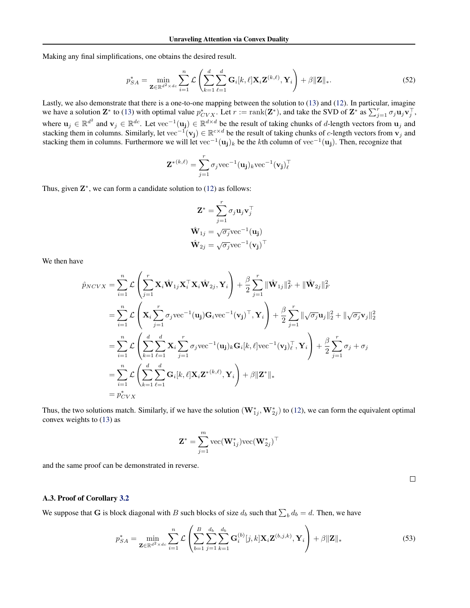Making any final simplifications, one obtains the desired result.

$$
p_{SA}^{*} = \min_{\mathbf{Z} \in \mathbb{R}^{d^{2} \times dc}} \sum_{i=1}^{n} \mathcal{L}\left(\sum_{k=1}^{d} \sum_{\ell=1}^{d} \mathbf{G}_{i}[k,\ell] \mathbf{X}_{i} \mathbf{Z}^{(k,\ell)}, \mathbf{Y}_{i}\right) + \beta \|\mathbf{Z}\|_{*}.
$$
 (52)

Lastly, we also demonstrate that there is a one-to-one mapping between the solution to [\(13\)](#page-3-4) and [\(12\)](#page-3-2). In particular, imagine we have a solution  $\mathbf{Z}^*$  to [\(13\)](#page-3-4) with optimal value  $p_{CVX}^*$ . Let  $r := \text{rank}(\mathbf{Z}^*)$ , and take the SVD of  $\mathbf{Z}^*$  as  $\sum_{j=1}^r \sigma_j \mathbf{u}_j \mathbf{v}_j^{\top}$ , where  $u_j \in \mathbb{R}^{d^2}$  and  $v_j \in \mathbb{R}^{dc}$ . Let vec<sup>-1</sup>( $u_j$ )  $\in \mathbb{R}^{d \times d}$  be the result of taking chunks of d-length vectors from  $u_j$  and stacking them in columns. Similarly, let vec<sup>-1</sup>( $v_j$ ) ∈  $\mathbb{R}^{c \times d}$  be the result of taking chunks of *c*-length vectors from  $v_j$  and stacking them in columns. Furthermore we will let vec<sup>-1</sup>(u<sub>j</sub>)<sub>k</sub> be the kth column of vec<sup>-1</sup>(u<sub>j</sub>). Then, recognize that

$$
\mathbf{Z}^{*(k,\ell)} = \sum_{j=1}^r \sigma_j \text{vec}^{-1}(\mathbf{u_j})_k \text{vec}^{-1}(\mathbf{v_j})_\ell^\top
$$

Thus, given  $\mathbb{Z}^*$ , we can form a candidate solution to [\(12\)](#page-3-2) as follows:

$$
\mathbf{Z}^* = \sum_{j=1}^r \sigma_j \mathbf{u}_j \mathbf{v}_j^\top
$$

$$
\hat{\mathbf{W}}_{1j} = \sqrt{\sigma_j} \text{vec}^{-1}(\mathbf{u}_j)
$$

$$
\hat{\mathbf{W}}_{2j} = \sqrt{\sigma_j} \text{vec}^{-1}(\mathbf{v}_j)^\top
$$

We then have

$$
\hat{p}_{NCVX} = \sum_{i=1}^{n} \mathcal{L} \left( \sum_{j=1}^{r} \mathbf{X}_{i} \hat{\mathbf{W}}_{1j} \mathbf{X}_{i}^{\top} \mathbf{X}_{i} \hat{\mathbf{W}}_{2j}, \mathbf{Y}_{i} \right) + \frac{\beta}{2} \sum_{j=1}^{r} || \hat{\mathbf{W}}_{1j} ||_{F}^{2} + || \hat{\mathbf{W}}_{2j} ||_{F}^{2}
$$
\n
$$
= \sum_{i=1}^{n} \mathcal{L} \left( \mathbf{X}_{i} \sum_{j=1}^{r} \sigma_{j} \text{vec}^{-1} (\mathbf{u}_{j}) \mathbf{G}_{i} \text{vec}^{-1} (\mathbf{v}_{j})^{\top}, \mathbf{Y}_{i} \right) + \frac{\beta}{2} \sum_{j=1}^{r} || \sqrt{\sigma_{j}} \mathbf{u}_{j} ||_{2}^{2} + || \sqrt{\sigma_{j}} \mathbf{v}_{j} ||_{2}^{2}
$$
\n
$$
= \sum_{i=1}^{n} \mathcal{L} \left( \sum_{k=1}^{d} \sum_{\ell=1}^{d} \mathbf{X}_{i} \sum_{j=1}^{r} \sigma_{j} \text{vec}^{-1} (\mathbf{u}_{j})_{k} \mathbf{G}_{i} [k, \ell] \text{vec}^{-1} (\mathbf{v}_{j})_{\ell}^{\top}, \mathbf{Y}_{i} \right) + \frac{\beta}{2} \sum_{j=1}^{r} \sigma_{j} + \sigma_{j}
$$
\n
$$
= \sum_{i=1}^{n} \mathcal{L} \left( \sum_{k=1}^{d} \sum_{\ell=1}^{d} \mathbf{G}_{i} [k, \ell] \mathbf{X}_{i} \mathbf{Z}^{*(k, \ell)}, \mathbf{Y}_{i} \right) + \beta || \mathbf{Z}^{*} ||_{*}
$$
\n
$$
= \mathbf{p}_{CVX}^{*}
$$

Thus, the two solutions match. Similarly, if we have the solution  $(\mathbf{W}_{1j}^*, \mathbf{W}_{2j}^*)$  to [\(12\)](#page-3-2), we can form the equivalent optimal convex weights to [\(13\)](#page-3-4) as

$$
\mathbf{Z}^* = \sum_{j=1}^m \text{vec}(\mathbf{W}_{1j}^*) \text{vec}(\mathbf{W}_{2j}^*)^\top
$$

and the same proof can be demonstrated in reverse.

#### A.3. Proof of Corollary [3.2](#page-3-6)

We suppose that G is block diagonal with B such blocks of size  $d_b$  such that  $\sum_b d_b = d$ . Then, we have

$$
p_{SA}^{*} = \min_{\mathbf{Z} \in \mathbb{R}^{d^{2} \times dc}} \sum_{i=1}^{n} \mathcal{L}\left(\sum_{b=1}^{B} \sum_{j=1}^{d_{b}} \sum_{k=1}^{d_{b}} \mathbf{G}_{i}^{(b)}[j,k] \mathbf{X}_{i} \mathbf{Z}^{(b,j,k)}, \mathbf{Y}_{i}\right) + \beta \|\mathbf{Z}\|_{*}
$$
(53)

 $\Box$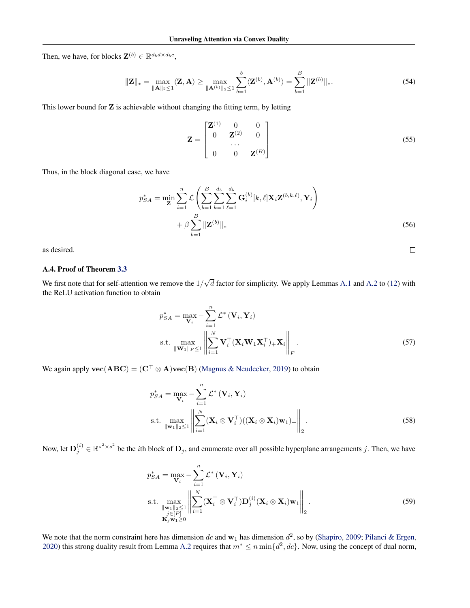Then, we have, for blocks  $\mathbf{Z}^{(b)} \in \mathbb{R}^{d_b d \times d_b c}$ ,

$$
\|\mathbf{Z}\|_{*} = \max_{\|\mathbf{A}\|_{2} \leq 1} \langle \mathbf{Z}, \mathbf{A} \rangle \geq \max_{\|\mathbf{A}^{(b)}\|_{2} \leq 1} \sum_{b=1}^{b} \langle \mathbf{Z}^{(b)}, \mathbf{A}^{(b)} \rangle = \sum_{b=1}^{B} \|\mathbf{Z}^{(b)}\|_{*}.
$$
 (54)

This lower bound for  $Z$  is achievable without changing the fitting term, by letting

$$
\mathbf{Z} = \begin{bmatrix} \mathbf{Z}^{(1)} & 0 & 0 \\ 0 & \mathbf{Z}^{(2)} & 0 \\ \cdots & \cdots & \cdots \\ 0 & 0 & \mathbf{Z}^{(B)} \end{bmatrix}
$$
(55)

 $\Box$ 

Thus, in the block diagonal case, we have

$$
p_{SA}^{*} = \min_{\mathbf{Z}} \sum_{i=1}^{n} \mathcal{L} \left( \sum_{b=1}^{B} \sum_{k=1}^{d_b} \sum_{\ell=1}^{d_b} \mathbf{G}_i^{(b)}[k, \ell] \mathbf{X}_i \mathbf{Z}^{(b, k, \ell)}, \mathbf{Y}_i \right) + \beta \sum_{b=1}^{B} \|\mathbf{Z}^{(b)}\|_{*}
$$
(56)

as desired.

#### A.4. Proof of Theorem [3.3](#page-4-3)

We first note that for self-attention we remove the  $1/$ √  $d$  factor for simplicity. We apply Lemmas [A.1](#page-12-1) and [A.2](#page-12-2) to [\(12\)](#page-3-2) with the ReLU activation function to obtain

$$
p_{SA}^{*} = \max_{\mathbf{V}_{i}} - \sum_{i=1}^{n} \mathcal{L}^{*} (\mathbf{V}_{i}, \mathbf{Y}_{i})
$$
  
s.t. 
$$
\max_{\|\mathbf{W}_{1}\|_{F} \leq 1} \left\| \sum_{i=1}^{N} \mathbf{V}_{i}^{\top} (\mathbf{X}_{i} \mathbf{W}_{1} \mathbf{X}_{i}^{\top})_{+} \mathbf{X}_{i} \right\|_{F}.
$$
 (57)

We again apply  $\mathbf{vec}(\mathbf{ABC}) = (\mathbf{C}^\top \otimes \mathbf{A})\mathbf{vec}(\mathbf{B})$  [\(Magnus & Neudecker,](#page-10-19) [2019\)](#page-10-19) to obtain

$$
p_{SA}^{*} = \max_{\mathbf{V}_{i}} - \sum_{i=1}^{n} \mathcal{L}^{*} (\mathbf{V}_{i}, \mathbf{Y}_{i})
$$
  
s.t. 
$$
\max_{\|\mathbf{w}_{1}\|_{2} \leq 1} \left\| \sum_{i=1}^{N} (\mathbf{X}_{i} \otimes \mathbf{V}_{i}^{\top}) ((\mathbf{X}_{i} \otimes \mathbf{X}_{i}) \mathbf{w}_{1})_{+} \right\|_{2}.
$$
 (58)

Now, let  $\mathbf{D}_j^{(i)} \in \mathbb{R}^{s^2 \times s^2}$  be the *i*th block of  $\mathbf{D}_j$ , and enumerate over all possible hyperplane arrangements j. Then, we have

$$
p_{SA}^{*} = \max_{\mathbf{V}_{i}} - \sum_{i=1}^{n} \mathcal{L}^{*} (\mathbf{V}_{i}, \mathbf{Y}_{i})
$$
  
s.t. 
$$
\max_{\substack{\|\mathbf{W}_{1}\|_{2} \leq 1 \\ j \in [P] \\ \mathbf{K}_{j} \mathbf{w}_{1} \geq 0}} \left\| \sum_{i=1}^{N} (\mathbf{X}_{i}^{\top} \otimes \mathbf{V}_{i}^{\top}) \mathbf{D}_{j}^{(i)} (\mathbf{X}_{i} \otimes \mathbf{X}_{i}) \mathbf{w}_{1} \right\|_{2}.
$$
 (59)

We note that the norm constraint here has dimension dc and  $w_1$  has dimension  $d^2$ , so by [\(Shapiro,](#page-10-18) [2009;](#page-10-18) [Pilanci & Ergen,](#page-10-8) [2020\)](#page-10-8) this strong duality result from Lemma [A.2](#page-12-2) requires that  $m^* \le n \min\{d^2, dc\}$ . Now, using the concept of dual norm,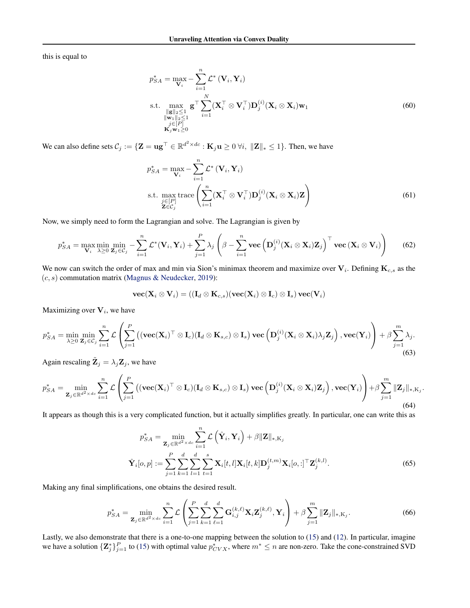this is equal to

$$
p_{SA}^{*} = \max_{\mathbf{V}_{i}} - \sum_{i=1}^{n} \mathcal{L}^{*} (\mathbf{V}_{i}, \mathbf{Y}_{i})
$$
  
s.t. 
$$
\max_{\substack{\|\mathbf{g}\|_{2} \leq 1 \\ \|\mathbf{w}_{1}\|_{2} \leq 1 \\ j \in [P]}} \mathbf{g}^{\top} \sum_{i=1}^{N} (\mathbf{X}_{i}^{\top} \otimes \mathbf{V}_{i}^{\top}) \mathbf{D}_{j}^{(i)} (\mathbf{X}_{i} \otimes \mathbf{X}_{i}) \mathbf{w}_{1}
$$
(60)

We can also define sets  $\mathcal{C}_j := \{ \mathbf{Z} = \mathbf{u}\mathbf{g}^\top \in \mathbb{R}^{d^2 \times dc} : \mathbf{K}_j \mathbf{u} \geq 0 \ \forall i, \ \|\mathbf{Z}\|_* \leq 1 \}.$  Then, we have

$$
p_{SA}^{*} = \max_{\mathbf{V}_{i}} - \sum_{i=1}^{n} \mathcal{L}^{*} (\mathbf{V}_{i}, \mathbf{Y}_{i})
$$
  
s.t. 
$$
\max_{\substack{j \in [P] \\ \mathbf{Z} \in C_{j}}} \text{trace} \left( \sum_{i=1}^{n} (\mathbf{X}_{i}^{\top} \otimes \mathbf{V}_{i}^{\top}) \mathbf{D}_{j}^{(i)} (\mathbf{X}_{i} \otimes \mathbf{X}_{i}) \mathbf{Z} \right)
$$
(61)

Now, we simply need to form the Lagrangian and solve. The Lagrangian is given by

$$
p_{SA}^{*} = \max_{\mathbf{V}_{i}} \min_{\lambda \geq 0} \min_{\mathbf{Z}_{j} \in C_{j}} - \sum_{i=1}^{n} \mathcal{L}^{*}(\mathbf{V}_{i}, \mathbf{Y}_{i}) + \sum_{j=1}^{P} \lambda_{j} \left(\beta - \sum_{i=1}^{n} \text{vec}\left(\mathbf{D}_{j}^{(i)}(\mathbf{X}_{i} \otimes \mathbf{X}_{i})\mathbf{Z}_{j}\right)^{\top} \text{vec}\left(\mathbf{X}_{i} \otimes \mathbf{V}_{i}\right)\right)
$$
(62)

We now can switch the order of max and min via Sion's minimax theorem and maximize over  $V_i$ . Defining  $K_{c,s}$  as the  $(c, s)$  commutation matrix [\(Magnus & Neudecker,](#page-10-19) [2019\)](#page-10-19):

$$
\textbf{vec}(\textbf{X}_i\otimes \textbf{V}_i) = ((\textbf{I}_d\otimes \textbf{K}_{c,s})(\textbf{vec}(\textbf{X}_i)\otimes \textbf{I}_c)\otimes \textbf{I}_s)\,\textbf{vec}(\textbf{V}_i)
$$

Maximizing over  $V_i$ , we have

$$
p_{SA}^{*} = \min_{\lambda \geq 0} \min_{\mathbf{Z}_{j} \in C_{j}} \sum_{i=1}^{n} \mathcal{L} \left( \sum_{j=1}^{P} \left( (\mathbf{vec}(\mathbf{X}_{i})^{\top} \otimes \mathbf{I}_{c}) (\mathbf{I}_{d} \otimes \mathbf{K}_{s,c}) \otimes \mathbf{I}_{s} \right) \mathbf{vec} \left( \mathbf{D}_{j}^{(i)}(\mathbf{X}_{i} \otimes \mathbf{X}_{i}) \lambda_{j} \mathbf{Z}_{j} \right), \mathbf{vec}(\mathbf{Y}_{i}) \right) + \beta \sum_{j=1}^{m} \lambda_{j}.
$$
\n(63)

Again rescaling  $\tilde{\mathbf{Z}}_j = \lambda_j \mathbf{Z}_j$ , we have

$$
p_{SA}^{*} = \min_{\mathbf{Z}_{j} \in \mathbb{R}^{d^{2} \times dc}} \sum_{i=1}^{n} \mathcal{L}\left(\sum_{j=1}^{P} \left((\mathbf{vec}(\mathbf{X}_{i})^{\top} \otimes \mathbf{I}_{c})(\mathbf{I}_{d} \otimes \mathbf{K}_{s,c}) \otimes \mathbf{I}_{s}\right) \mathbf{vec}\left(\mathbf{D}_{j}^{(i)}(\mathbf{X}_{i} \otimes \mathbf{X}_{i})\mathbf{Z}_{j}\right), \mathbf{vec}(\mathbf{Y}_{i})\right) + \beta \sum_{j=1}^{m} \|\mathbf{Z}_{j}\|_{*,K_{j}}.
$$
\n(64)

It appears as though this is a very complicated function, but it actually simplifies greatly. In particular, one can write this as

$$
p_{SA}^* = \min_{\mathbf{Z}_j \in \mathbb{R}^{d^2 \times dc}} \sum_{i=1}^n \mathcal{L}\left(\hat{\mathbf{Y}}_i, \mathbf{Y}_i\right) + \beta \|\mathbf{Z}\|_{*, \mathbf{K}_j}
$$
  

$$
\hat{\mathbf{Y}}_i[o, p] := \sum_{j=1}^P \sum_{k=1}^d \sum_{l=1}^d \sum_{t=1}^s \mathbf{X}_i[t, l] \mathbf{X}_i[t, k] \mathbf{D}_j^{(t, m)} \mathbf{X}_i[o, :]^\top \mathbf{Z}_j^{(k, l)}.
$$
 (65)

Making any final simplifications, one obtains the desired result.

$$
p_{SA}^{*} = \min_{\mathbf{Z}_{j} \in \mathbb{R}^{d^{2} \times dc}} \sum_{i=1}^{n} \mathcal{L} \left( \sum_{j=1}^{P} \sum_{k=1}^{d} \sum_{\ell=1}^{d} \mathbf{G}_{i,j}^{(k,\ell)} \mathbf{X}_{i} \mathbf{Z}_{j}^{(k,\ell)}, \mathbf{Y}_{i} \right) + \beta \sum_{j=1}^{m} ||\mathbf{Z}_{j}||_{*, \mathbf{K}_{j}}.
$$
(66)

Lastly, we also demonstrate that there is a one-to-one mapping between the solution to [\(15\)](#page-4-1) and [\(12\)](#page-3-2). In particular, imagine we have a solution  ${\{\mathbf Z_j^*\}}_{j=1}^P$  to [\(15\)](#page-4-1) with optimal value  $p_{CVX}^*$ , where  $m^* \le n$  are non-zero. Take the cone-constrained SVD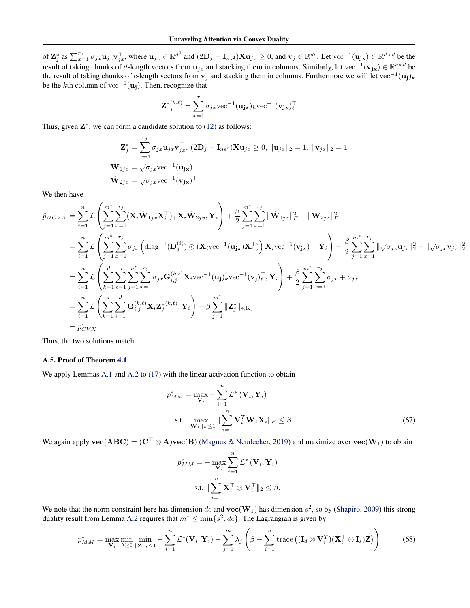of  $\mathbf{Z}_j^*$  as  $\sum_{x=1}^{r_j} \sigma_{jx} \mathbf{u}_{jx} \mathbf{v}_{jx}^{\top}$ , where  $\mathbf{u}_{jx} \in \mathbb{R}^{d^2}$  and  $(2\mathbf{D}_j - \mathbf{I}_{ns^2})\mathbf{X}\mathbf{u}_{jx} \ge 0$ , and  $\mathbf{v}_j \in \mathbb{R}^{dc}$ . Let  $\text{vec}^{-1}(\mathbf{u}_{j\mathbf{x}}) \in \mathbb{R}^{d \times d}$  be the result of taking chunks of d-length vectors from  $u_{jx}$  and stacking them in columns. Similarly, let vec<sup>-1</sup>( $v_{jx}$ ) ∈  $\mathbb{R}^{c \times d}$  be the result of taking chunks of c-length vectors from  $v_j$  and stacking them in columns. Furthermore we will let vec<sup>−1</sup>(**u**<sub>j</sub>)<sub>k</sub> be the kth column of vec<sup>-1</sup>(**u**<sub>j</sub>). Then, recognize that

$$
\mathbf{Z}^{*(k,\ell)}\t= \sum_{x=1}^r \sigma_{jx} \text{vec}^{-1}(\mathbf{u_{jx}})_k \text{vec}^{-1}(\mathbf{v_{jx}})_\ell^\top
$$

Thus, given  $\mathbb{Z}^*$ , we can form a candidate solution to [\(12\)](#page-3-2) as follows:

$$
\mathbf{Z}_{j}^{*} = \sum_{x=1}^{r_{j}} \sigma_{jx} \mathbf{u}_{jx} \mathbf{v}_{jx}^{\top}, (2\mathbf{D}_{j} - \mathbf{I}_{ns^{2}}) \mathbf{X} \mathbf{u}_{jx} \ge 0, \|\mathbf{u}_{jx}\|_{2} = 1, \|\mathbf{v}_{jx}\|_{2} = 1
$$
  

$$
\hat{\mathbf{W}}_{1jx} = \sqrt{\sigma_{jx}} \text{vec}^{-1}(\mathbf{u}_{j\mathbf{x}})
$$

$$
\hat{\mathbf{W}}_{2jx} = \sqrt{\sigma_{jx}} \text{vec}^{-1}(\mathbf{v}_{j\mathbf{x}})^{\top}
$$

We then have

$$
\hat{p}_{NCVX} = \sum_{i=1}^{n} \mathcal{L} \left( \sum_{j=1}^{m^*} \sum_{x=1}^{r_j} (\mathbf{X}_i \hat{\mathbf{W}}_{1jx} \mathbf{X}_i^{\top})_+ \mathbf{X}_i \hat{\mathbf{W}}_{2jx}, \mathbf{Y}_i \right) + \frac{\beta}{2} \sum_{j=1}^{m^*} \sum_{x=1}^{r_j} ||\hat{\mathbf{W}}_{1jx}||_F^2 + ||\hat{\mathbf{W}}_{2jx}||_F^2
$$
\n
$$
= \sum_{i=1}^{n} \mathcal{L} \left( \sum_{j=1}^{m^*} \sum_{x=1}^{r_j} \sigma_{jx} \left( \text{diag}^{-1}(\mathbf{D}_j^{(i)}) \odot (\mathbf{X}_i \text{vec}^{-1}(\mathbf{u}_{jx}) \mathbf{X}_i^{\top}) \right) \mathbf{X}_i \text{vec}^{-1}(\mathbf{v}_{jx})^{\top}, \mathbf{Y}_i \right) + \frac{\beta}{2} \sum_{j=1}^{m^*} \sum_{x=1}^{r_j} ||\sqrt{\sigma_{jx}} \mathbf{u}_{jx}||_2^2 + ||\sqrt{\sigma_{jx}} \mathbf{v}_{jx}||
$$
\n
$$
= \sum_{i=1}^{n} \mathcal{L} \left( \sum_{k=1}^{d} \sum_{\ell=1}^{d} \sum_{j=1}^{m^*} \sum_{x=1}^{r_j} \sigma_{jx} \mathbf{G}_{i,j}^{(k,\ell)} \mathbf{X}_i \text{vec}^{-1}(\mathbf{u}_{j})_k \text{vec}^{-1}(\mathbf{v}_{j})_k^{\top}, \mathbf{Y}_i \right) + \frac{\beta}{2} \sum_{j=1}^{m^*} \sum_{x=1}^{r_j} \sigma_{jx} + \sigma_{jx}
$$
\n
$$
= \sum_{i=1}^{n} \mathcal{L} \left( \sum_{k=1}^{d} \sum_{\ell=1}^{d} \mathbf{G}_{i,j}^{(k,\ell)} \mathbf{X}_i \mathbf{Z}_j^{*(k,\ell)}, \mathbf{Y}_i \right) + \beta \sum_{j=1}^{m^*} ||\mathbf{Z}_j^*||_{*,\mathbf{K}_j}
$$
\n
$$
= p_{CVX
$$

Thus, the two solutions match.

#### A.5. Proof of Theorem [4.1](#page-4-4)

We apply Lemmas [A.1](#page-12-1) and [A.2](#page-12-2) to [\(17\)](#page-4-2) with the linear activation function to obtain

$$
p_{MM}^{*} = \max_{\mathbf{V}_{i}} - \sum_{i=1}^{n} \mathcal{L}^{*} (\mathbf{V}_{i}, \mathbf{Y}_{i})
$$
  
s.t. 
$$
\max_{\|\mathbf{W}_{1}\|_{F} \leq 1} \|\sum_{i=1}^{n} \mathbf{V}_{i}^{T} \mathbf{W}_{1} \mathbf{X}_{i} \|_{F} \leq \beta
$$
(67)

 $\frac{2}{2}$ 

We again apply  $\mathbf{vec}(\mathbf{ABC}) = (\mathbf{C}^\top \otimes \mathbf{A})\mathbf{vec}(\mathbf{B})$  [\(Magnus & Neudecker,](#page-10-19) [2019\)](#page-10-19) and maximize over  $\mathbf{vec}(\mathbf{W}_1)$  to obtain

$$
p_{MM}^{*} = -\max_{\mathbf{V}_{i}} \sum_{i=1}^{n} \mathcal{L}^{*} (\mathbf{V}_{i}, \mathbf{Y}_{i})
$$
  
s.t.  $\|\sum_{i=1}^{n} \mathbf{X}_{i}^{\top} \otimes \mathbf{V}_{i}^{\top}\|_{2} \leq \beta$ .

We note that the norm constraint here has dimension dc and  $\text{vec}(\mathbf{W}_1)$  has dimension  $s^2$ , so by [\(Shapiro,](#page-10-18) [2009\)](#page-10-18) this strong duality result from Lemma [A.2](#page-12-2) requires that  $m^* \leq \min\{s^2, dc\}$ . The Lagrangian is given by

$$
p_{MM}^{*} = \max_{\mathbf{V}_{i}} \min_{\lambda \geq 0} \min_{\|\mathbf{Z}\|_{*} \leq 1} -\sum_{i=1}^{n} \mathcal{L}^{*}(\mathbf{V}_{i}, \mathbf{Y}_{i}) + \sum_{j=1}^{m} \lambda_{j} \left(\beta - \sum_{i=1}^{n} \text{trace}\left((\mathbf{I}_{d} \otimes \mathbf{V}_{i}^{T})(\mathbf{X}_{i}^{\top} \otimes \mathbf{I}_{s})\mathbf{Z}\right)\right)
$$
(68)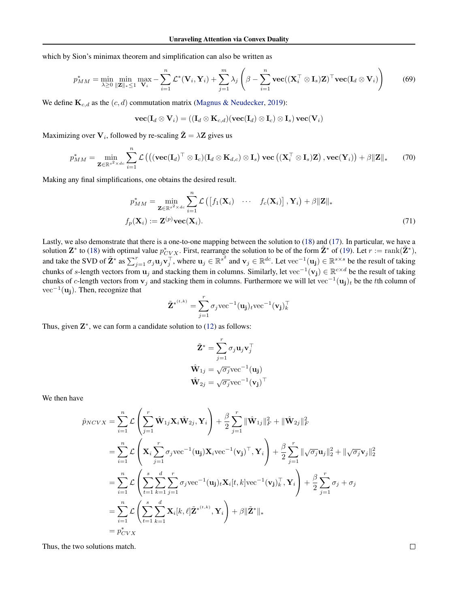which by Sion's minimax theorem and simplification can also be written as

$$
p_{MM}^{*} = \min_{\lambda \geq 0} \min_{\|\mathbf{Z}\|_{*} \leq 1} \max_{\mathbf{V}_{i}} - \sum_{i=1}^{n} \mathcal{L}^{*}(\mathbf{V}_{i}, \mathbf{Y}_{i}) + \sum_{j=1}^{m} \lambda_{j} \left(\beta - \sum_{i=1}^{n} \mathbf{vec}((\mathbf{X}_{i}^{\top} \otimes \mathbf{I}_{s})\mathbf{Z})^{\top} \mathbf{vec}(\mathbf{I}_{d} \otimes \mathbf{V}_{i})\right)
$$
(69)

We define  $\mathbf{K}_{c,d}$  as the  $(c, d)$  commutation matrix [\(Magnus & Neudecker,](#page-10-19) [2019\)](#page-10-19):

$$
\textbf{vec}(\mathbf{I}_d \otimes \mathbf{V}_i) = ((\mathbf{I}_d \otimes \mathbf{K}_{c,d})(\textbf{vec}(\mathbf{I}_d) \otimes \mathbf{I}_c) \otimes \mathbf{I}_s)\,\textbf{vec}(\mathbf{V}_i)
$$

Maximizing over  $\mathbf{V}_i,$  followed by re-scaling  $\tilde{\mathbf{Z}} = \lambda \mathbf{Z}$  gives us

$$
p_{MM}^{*} = \min_{\mathbf{Z} \in \mathbb{R}^{s^{2} \times dc}} \sum_{i=1}^{n} \mathcal{L}\left( \left( (\mathbf{vec}(\mathbf{I}_{d})^{\top} \otimes \mathbf{I}_{c})(\mathbf{I}_{d} \otimes \mathbf{K}_{d,c}) \otimes \mathbf{I}_{s} \right) \mathbf{vec}\left( (\mathbf{X}_{i}^{\top} \otimes \mathbf{I}_{s})\mathbf{Z} \right), \mathbf{vec}(\mathbf{Y}_{i}) \right) + \beta \|\mathbf{Z}\|_{*}
$$
(70)

Making any final simplifications, one obtains the desired result.

$$
p_{MM}^{*} = \min_{\mathbf{Z} \in \mathbb{R}^{s^{2} \times dc}} \sum_{i=1}^{n} \mathcal{L}\left(\left[f_{1}(\mathbf{X}_{i}) \cdots f_{c}(\mathbf{X}_{i})\right], \mathbf{Y}_{i}\right) + \beta \|\mathbf{Z}\|_{*}
$$

$$
f_{p}(\mathbf{X}_{i}) := \mathbf{Z}^{(p)} \text{vec}(\mathbf{X}_{i}). \tag{71}
$$

Lastly, we also demonstrate that there is a one-to-one mapping between the solution to [\(18\)](#page-5-2) and [\(17\)](#page-4-2). In particular, we have a solution  $\mathbf{Z}^*$  to [\(18\)](#page-5-2) with optimal value  $p_{CVX}^*$ . First, rearrange the solution to be of the form  $\tilde{\mathbf{Z}}^*$  of [\(19\)](#page-5-0). Let  $r := \text{rank}(\tilde{\mathbf{Z}}^*)$ , and take the SVD of  $\tilde{\mathbf{Z}}^*$  as  $\sum_{j=1}^r \sigma_j \mathbf{u}_j \mathbf{v}_j^\top$ , where  $\mathbf{u}_j \in \mathbb{R}^{s^2}$  and  $\mathbf{v}_j \in \mathbb{R}^{dc}$ . Let vec<sup>-1</sup>( $\mathbf{u_j}$ )  $\in \mathbb{R}^{s \times s}$  be the result of taking chunks of s-length vectors from  $\mathbf{u}_j$  and stacking them in columns. Similarly, let vec<sup>-1</sup>( $\mathbf{v}_j$ ) ∈  $\mathbb{R}^{c \times d}$  be the result of taking chunks of c-length vectors from  $v_j$  and stacking them in columns. Furthermore we will let vec<sup>-1</sup>(u<sub>j</sub>)<sub>t</sub> be the tth column of vec<sup>-1</sup>( $\mathbf{u_j}$ ). Then, recognize that

$$
\tilde{\mathbf{Z}}^{*(t,k)} = \sum_{j=1}^{r} \sigma_j \text{vec}^{-1}(\mathbf{u_j})_t \text{vec}^{-1}(\mathbf{v_j})_k^{\top}
$$

Thus, given  $\mathbb{Z}^*$ , we can form a candidate solution to [\(12\)](#page-3-2) as follows:

$$
\tilde{\mathbf{Z}}^* = \sum_{j=1}^r \sigma_j \mathbf{u}_j \mathbf{v}_j^\top
$$

$$
\hat{\mathbf{W}}_{1j} = \sqrt{\sigma_j} \text{vec}^{-1}(\mathbf{u}_j)
$$

$$
\hat{\mathbf{W}}_{2j} = \sqrt{\sigma_j} \text{vec}^{-1}(\mathbf{v}_j)^\top
$$

We then have

$$
\hat{p}_{NCVX} = \sum_{i=1}^{n} \mathcal{L} \left( \sum_{j=1}^{r} \hat{\mathbf{W}}_{1j} \mathbf{X}_{i} \hat{\mathbf{W}}_{2j}, \mathbf{Y}_{i} \right) + \frac{\beta}{2} \sum_{j=1}^{r} || \hat{\mathbf{W}}_{1j} ||_{F}^{2} + || \hat{\mathbf{W}}_{2j} ||_{F}^{2}
$$
\n
$$
= \sum_{i=1}^{n} \mathcal{L} \left( \mathbf{X}_{i} \sum_{j=1}^{r} \sigma_{j} \text{vec}^{-1} (\mathbf{u}_{j}) \mathbf{X}_{i} \text{vec}^{-1} (\mathbf{v}_{j})^{\top}, \mathbf{Y}_{i} \right) + \frac{\beta}{2} \sum_{j=1}^{r} ||\sqrt{\sigma_{j}} \mathbf{u}_{j}||_{2}^{2} + ||\sqrt{\sigma_{j}} \mathbf{v}_{j}||_{2}^{2}
$$
\n
$$
= \sum_{i=1}^{n} \mathcal{L} \left( \sum_{t=1}^{s} \sum_{k=1}^{d} \sum_{j=1}^{r} \sigma_{j} \text{vec}^{-1} (\mathbf{u}_{j})_{t} \mathbf{X}_{i}[t, k] \text{vec}^{-1} (\mathbf{v}_{j})_{k}^{\top}, \mathbf{Y}_{i} \right) + \frac{\beta}{2} \sum_{j=1}^{r} \sigma_{j} + \sigma_{j}
$$
\n
$$
= \sum_{i=1}^{n} \mathcal{L} \left( \sum_{t=1}^{s} \sum_{k=1}^{d} \mathbf{X}_{i}[k, \ell] \tilde{\mathbf{Z}}^{*^{(t,k)}}, \mathbf{Y}_{i} \right) + \beta || \tilde{\mathbf{Z}}^{*} ||_{*}
$$
\n
$$
= \hat{p}_{CVX}^{*}
$$

Thus, the two solutions match.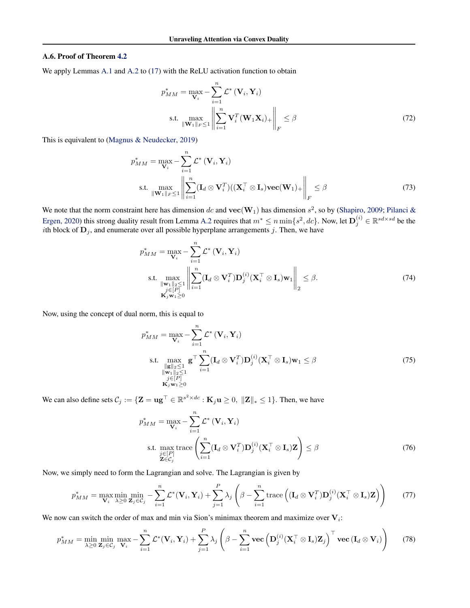#### A.6. Proof of Theorem [4.2](#page-5-3)

We apply Lemmas [A.1](#page-12-1) and [A.2](#page-12-2) to [\(17\)](#page-4-2) with the ReLU activation function to obtain

$$
p_{MM}^{*} = \max_{\mathbf{V}_{i}} - \sum_{i=1}^{n} \mathcal{L}^{*} (\mathbf{V}_{i}, \mathbf{Y}_{i})
$$
  
s.t. 
$$
\max_{\|\mathbf{W}_{1}\|_{F} \leq 1} \left\| \sum_{i=1}^{n} \mathbf{V}_{i}^{T} (\mathbf{W}_{1} \mathbf{X}_{i})_{+} \right\|_{F} \leq \beta
$$
 (72)

This is equivalent to [\(Magnus & Neudecker,](#page-10-19) [2019\)](#page-10-19)

$$
p_{MM}^{*} = \max_{\mathbf{V}_{i}} - \sum_{i=1}^{n} \mathcal{L}^{*} (\mathbf{V}_{i}, \mathbf{Y}_{i})
$$
  
s.t. 
$$
\max_{\|\mathbf{W}_{1}\|_{F} \leq 1} \left\| \sum_{i=1}^{n} (\mathbf{I}_{d} \otimes \mathbf{V}_{i}^{T}) ((\mathbf{X}_{i}^{T} \otimes \mathbf{I}_{s}) \mathbf{vec}(\mathbf{W}_{1})_{+} \right\|_{F} \leq \beta
$$
 (73)

We note that the norm constraint here has dimension dc and  $\text{vec}(\mathbf{W}_1)$  has dimension  $s^2$ , so by [\(Shapiro,](#page-10-18) [2009;](#page-10-18) [Pilanci &](#page-10-8) [Ergen,](#page-10-8) [2020\)](#page-10-8) this strong duality result from Lemma [A.2](#page-12-2) requires that  $m^* \le n \min\{s^2, dc\}$ . Now, let  $\mathbf{D}_j^{(i)} \in \mathbb{R}^{sd \times sd}$  be the *i*th block of  $D_j$ , and enumerate over all possible hyperplane arrangements j. Then, we have

$$
p_{MM}^{*} = \max_{\mathbf{V}_{i}} - \sum_{i=1}^{n} \mathcal{L}^{*} (\mathbf{V}_{i}, \mathbf{Y}_{i})
$$
  
s.t. 
$$
\max_{\substack{\|\mathbf{w}_{1}\|_{2} \leq 1 \\ j \in [P] \\ \mathbf{K}_{j} \mathbf{w}_{1} \geq 0}} \left\| \sum_{i=1}^{n} (\mathbf{I}_{d} \otimes \mathbf{V}_{i}^{T}) \mathbf{D}_{j}^{(i)}(\mathbf{X}_{i}^{T} \otimes \mathbf{I}_{s}) \mathbf{w}_{1} \right\|_{2} \leq \beta.
$$
 (74)

Now, using the concept of dual norm, this is equal to

$$
p_{MM}^{*} = \max_{\mathbf{V}_{i}} - \sum_{i=1}^{n} \mathcal{L}^{*} (\mathbf{V}_{i}, \mathbf{Y}_{i})
$$
  
s.t. 
$$
\max_{\substack{\|\mathbf{g}\|_{2} \leq 1 \\ \|\mathbf{w}_{1}\|_{2} \leq 1 \\ j \in [P] \\ \mathbf{K}_{j} \mathbf{w}_{1} \geq 0}} \mathbf{g}^{\top} \sum_{i=1}^{n} (\mathbf{I}_{d} \otimes \mathbf{V}_{i}^{T}) \mathbf{D}_{j}^{(i)}(\mathbf{X}_{i}^{\top} \otimes \mathbf{I}_{s}) \mathbf{w}_{1} \leq \beta
$$
(75)

We can also define sets  $C_j := \{ \mathbf{Z} = \mathbf{u}\mathbf{g}^\top \in \mathbb{R}^{s^2 \times dc} : \mathbf{K}_j\mathbf{u} \geq 0, \| \mathbf{Z} \|_* \leq 1 \}.$  Then, we have

$$
p_{MM}^{*} = \max_{\mathbf{V}_{i}} - \sum_{i=1}^{n} \mathcal{L}^{*} (\mathbf{V}_{i}, \mathbf{Y}_{i})
$$
  
s.t. 
$$
\max_{\substack{j \in [P] \\ \mathbf{Z} \in C_{j}}} \text{trace}\left(\sum_{i=1}^{n} (\mathbf{I}_{d} \otimes \mathbf{V}_{i}^{T}) \mathbf{D}_{j}^{(i)} (\mathbf{X}_{i}^{T} \otimes \mathbf{I}_{s}) \mathbf{Z}\right) \leq \beta
$$
 (76)

Now, we simply need to form the Lagrangian and solve. The Lagrangian is given by

$$
p_{MM}^{*} = \max_{\mathbf{V}_{i}} \min_{\lambda \geq 0} \min_{\mathbf{Z}_{j} \in C_{j}} - \sum_{i=1}^{n} \mathcal{L}^{*}(\mathbf{V}_{i}, \mathbf{Y}_{i}) + \sum_{j=1}^{P} \lambda_{j} \left(\beta - \sum_{i=1}^{n} \text{trace}\left((\mathbf{I}_{d} \otimes \mathbf{V}_{i}^{T}) \mathbf{D}_{j}^{(i)}(\mathbf{X}_{i}^{T} \otimes \mathbf{I}_{s}) \mathbf{Z}\right)\right)
$$
(77)

We now can switch the order of max and min via Sion's minimax theorem and maximize over  $V_i$ :

$$
p_{MM}^{*} = \min_{\lambda \geq 0} \min_{\mathbf{Z}_{j} \in C_{j}} \max_{\mathbf{V}_{i}} - \sum_{i=1}^{n} \mathcal{L}^{*}(\mathbf{V}_{i}, \mathbf{Y}_{i}) + \sum_{j=1}^{P} \lambda_{j} \left(\beta - \sum_{i=1}^{n} \text{vec}\left(\mathbf{D}_{j}^{(i)}(\mathbf{X}_{i}^{\top} \otimes \mathbf{I}_{s})\mathbf{Z}_{j}\right)^{\top} \text{vec}\left(\mathbf{I}_{d} \otimes \mathbf{V}_{i}\right)\right) \tag{78}
$$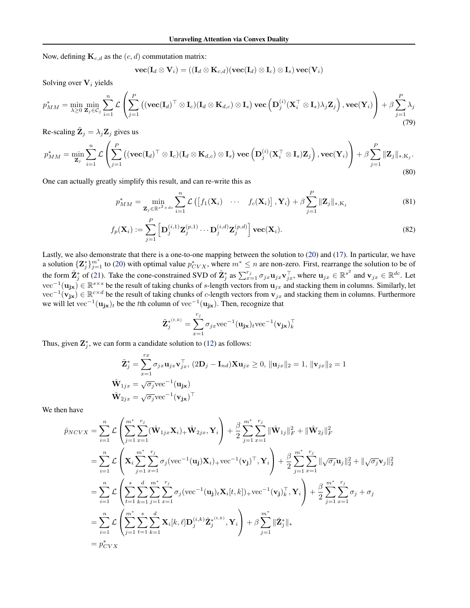Now, defining  $\mathbf{K}_{c,d}$  as the  $(c, d)$  commutation matrix:

$$
\textbf{vec}(\mathbf{I}_d \otimes \mathbf{V}_i) = ((\mathbf{I}_d \otimes \mathbf{K}_{c,d})(\textbf{vec}(\mathbf{I}_d) \otimes \mathbf{I}_c) \otimes \mathbf{I}_s)\,\textbf{vec}(\mathbf{V}_i)
$$

Solving over  $V_i$  yields

$$
p_{MM}^{*} = \min_{\lambda \geq 0} \min_{\mathbf{Z}_{j} \in C_{j}} \sum_{i=1}^{n} \mathcal{L} \left( \sum_{j=1}^{P} \left( (\mathbf{vec}(\mathbf{I}_{d})^{\top} \otimes \mathbf{I}_{c})(\mathbf{I}_{d} \otimes \mathbf{K}_{d,c}) \otimes \mathbf{I}_{s} \right) \mathbf{vec} \left( \mathbf{D}_{j}^{(i)}(\mathbf{X}_{i}^{\top} \otimes \mathbf{I}_{s}) \lambda_{j} \mathbf{Z}_{j} \right), \mathbf{vec}(\mathbf{Y}_{i}) \right) + \beta \sum_{j=1}^{P} \lambda_{j}
$$
(79)

Re-scaling  $\tilde{\mathbf{Z}}_j = \lambda_j \mathbf{Z}_j$  gives us

$$
p_{MM}^{*} = \min_{\mathbf{Z}_{j}} \sum_{i=1}^{n} \mathcal{L}\left(\sum_{j=1}^{P} \left( (\mathbf{vec}(\mathbf{I}_{d})^{\top} \otimes \mathbf{I}_{c})(\mathbf{I}_{d} \otimes \mathbf{K}_{d,c}) \otimes \mathbf{I}_{s} \right) \mathbf{vec}\left(\mathbf{D}_{j}^{(i)}(\mathbf{X}_{i}^{\top} \otimes \mathbf{I}_{s})\mathbf{Z}_{j}\right), \mathbf{vec}(\mathbf{Y}_{i})\right) + \beta \sum_{j=1}^{P} ||\mathbf{Z}_{j}||_{*,K_{j}}.
$$
\n(80)

One can actually greatly simplify this result, and can re-write this as

$$
p_{MM}^{*} = \min_{\mathbf{Z}_{j} \in \mathbb{R}^{s^{2} \times dc}} \sum_{i=1}^{n} \mathcal{L}\left(\left[f_{1}(\mathbf{X}_{i}) \cdots f_{c}(\mathbf{X}_{i})\right], \mathbf{Y}_{i}\right) + \beta \sum_{j=1}^{P} \|\mathbf{Z}_{j}\|_{*, \mathbf{K}_{j}}
$$
(81)

$$
f_p(\mathbf{X}_i) := \sum_{j=1}^P \left[ \mathbf{D}_j^{(i,1)} \mathbf{Z}_j^{(p,1)} \cdots \mathbf{D}_j^{(i,d)} \mathbf{Z}_j^{(p,d)} \right] \mathbf{vec}(\mathbf{X}_i). \tag{82}
$$

Lastly, we also demonstrate that there is a one-to-one mapping between the solution to [\(20\)](#page-5-1) and [\(17\)](#page-4-2). In particular, we have a solution  $\{Z_j^*\}_{j=1}^m$  to [\(20\)](#page-5-1) with optimal value  $p_{CVX}^*$ , where  $m^* \le n$  are non-zero. First, rearrange the solution to be of the form  $\tilde{\mathbf{Z}}_j^*$  of [\(21\)](#page-5-4). Take the cone-constrained SVD of  $\tilde{\mathbf{Z}}_j^*$  as  $\sum_{x=1}^{r_j} \sigma_{jx} \mathbf{u}_{jx} \mathbf{v}_{jx}^\top$ , where  $\mathbf{u}_{jx} \in \mathbb{R}^{s^2}$  and  $\mathbf{v}_{jx} \in \mathbb{R}^{dc}$ . Let  $\text{vec}^{-1}(\mathbf{u_{jx}}) \in \mathbb{R}^{s \times s}$  be the result of taking chunks of s-length vectors from  $\mathbf{u}_{jx}$  and stacking them in columns. Similarly, let  $\text{vec}^{-1}(\mathbf{v_{jx}}) \in \mathbb{R}^{c \times d}$  be the result of taking chunks of c-length vectors from  $\mathbf{v}_{jx}$  and stacking them in columns. Furthermore we will let vec<sup>-1</sup>( $\mathbf{u}_{j\mathbf{x}}$ )<sub>t</sub> be the tth column of vec<sup>-1</sup>( $\mathbf{u}_{j\mathbf{x}}$ ). Then, recognize that

$$
\tilde{\mathbf{Z}}_{j}^{*(t,k)} = \sum_{x=1}^{r_j} \sigma_{jx} \text{vec}^{-1}(\mathbf{u}_{j\mathbf{x}})_{t} \text{vec}^{-1}(\mathbf{v}_{j\mathbf{x}})_{k}^{\top}
$$

Thus, given  $\mathbf{Z}_{j}^{*}$ , we can form a candidate solution to [\(12\)](#page-3-2) as follows:

$$
\tilde{\mathbf{Z}}_j^* = \sum_{x=1}^{rx} \sigma_{jx} \mathbf{u}_{jx} \mathbf{v}_{jx}^\top, (2\mathbf{D}_j - \mathbf{I}_{nd}) \mathbf{X} \mathbf{u}_{jx} \ge 0, \|\mathbf{u}_{jx}\|_2 = 1, \|\mathbf{v}_{jx}\|_2 = 1
$$
  

$$
\hat{\mathbf{W}}_{1jx} = \sqrt{\sigma_j} \text{vec}^{-1}(\mathbf{u}_{jx})
$$

$$
\hat{\mathbf{W}}_{2jx} = \sqrt{\sigma_j} \text{vec}^{-1}(\mathbf{v}_{jx})^\top
$$

We then have

$$
\hat{p}_{NCVX} = \sum_{i=1}^{n} \mathcal{L} \left( \sum_{j=1}^{m^{*}} \sum_{x=1}^{r_{j}} (\hat{\mathbf{W}}_{1jx} \mathbf{X}_{i})_{+} \hat{\mathbf{W}}_{2jx}, \mathbf{Y}_{i} \right) + \frac{\beta}{2} \sum_{j=1}^{m^{*}} \sum_{x=1}^{r_{j}} ||\hat{\mathbf{W}}_{1j}||_{F}^{2} + ||\hat{\mathbf{W}}_{2j}||_{F}^{2}
$$
\n
$$
= \sum_{i=1}^{n} \mathcal{L} \left( \mathbf{X}_{i} \sum_{j=1}^{m^{*}} \sum_{x=1}^{r_{j}} \sigma_{j} (\text{vec}^{-1}(\mathbf{u}_{j}) \mathbf{X}_{i})_{+} \text{vec}^{-1}(\mathbf{v}_{j})^{\top}, \mathbf{Y}_{i} \right) + \frac{\beta}{2} \sum_{j=1}^{m^{*}} \sum_{x=1}^{r_{j}} ||\sqrt{\sigma_{j}} \mathbf{u}_{j}||_{2}^{2} + ||\sqrt{\sigma_{j}} \mathbf{v}_{j}||_{2}^{2}
$$
\n
$$
= \sum_{i=1}^{n} \mathcal{L} \left( \sum_{t=1}^{s} \sum_{k=1}^{d} \sum_{j=1}^{m^{*}} \sum_{x=1}^{r_{j}} \sigma_{j} (\text{vec}^{-1}(\mathbf{u}_{j})_{t} \mathbf{X}_{i}[t, k])_{+} \text{vec}^{-1}(\mathbf{v}_{j})_{k}^{\top}, \mathbf{Y}_{i} \right) + \frac{\beta}{2} \sum_{j=1}^{m^{*}} \sum_{x=1}^{r_{j}} \sigma_{j} + \sigma_{j}
$$
\n
$$
= \sum_{i=1}^{n} \mathcal{L} \left( \sum_{j=1}^{m^{*}} \sum_{t=1}^{s} \sum_{k=1}^{d} \mathbf{X}_{i}[k, \ell] \mathbf{D}_{j}^{(i,k)} \tilde{\mathbf{Z}}_{j}^{*(t,k)}, \mathbf{Y}_{i} \right) + \beta \sum_{j=1}^{m^{*}} ||\tilde{\mathbf{Z}}_{j}^{*}||_{*}
$$
\n
$$
= p_{CVX}^{*}
$$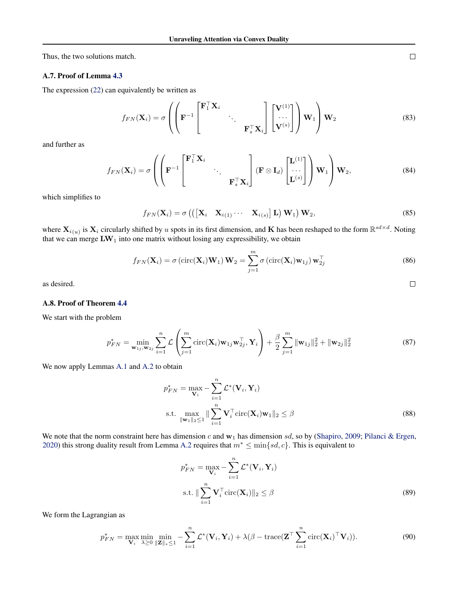Thus, the two solutions match.

## A.7. Proof of Lemma [4.3](#page-6-4)

The expression [\(22\)](#page-6-0) can equivalently be written as

$$
f_{FN}(\mathbf{X}_i) = \sigma \left( \left( \mathbf{F}^{-1} \begin{bmatrix} \mathbf{F}_1^\top \mathbf{X}_i & & \\ \mathbf{F}^{-1} & \mathbf{F}_s^\top \mathbf{X}_i \end{bmatrix} \begin{bmatrix} \mathbf{V}^{(1)} \\ \cdots \\ \mathbf{V}^{(s)} \end{bmatrix} \right) \mathbf{W}_1 \right) \mathbf{W}_2 \tag{83}
$$

and further as

$$
f_{FN}(\mathbf{X}_i) = \sigma \left( \left( \mathbf{F}^{-1} \begin{bmatrix} \mathbf{F}_1^\top \mathbf{X}_i & & \\ & \ddots & \\ & & \mathbf{F}_s^\top \mathbf{X}_i \end{bmatrix} (\mathbf{F} \otimes \mathbf{I}_d) \begin{bmatrix} \mathbf{L}^{(1)} \\ \cdots \\ \mathbf{L}^{(s)} \end{bmatrix} \right) \mathbf{W}_1 \right) \mathbf{W}_2, \tag{84}
$$

which simplifies to

$$
f_{FN}(\mathbf{X}_i) = \sigma\left(\left(\begin{bmatrix} \mathbf{X}_i & \mathbf{X}_{i(1)} & \cdots & \mathbf{X}_{i(s)} \end{bmatrix} \mathbf{L}\right) \mathbf{W}_1\right) \mathbf{W}_2,\tag{85}
$$

where  $X_{i(u)}$  is  $X_i$  circularly shifted by u spots in its first dimension, and K has been reshaped to the form  $\mathbb{R}^{sd \times d}$ . Noting that we can merge  $\text{LW}_1$  into one matrix without losing any expressibility, we obtain

$$
f_{FN}(\mathbf{X}_i) = \sigma\left(\text{circ}(\mathbf{X}_i)\mathbf{W}_1\right)\mathbf{W}_2 = \sum_{j=1}^m \sigma\left(\text{circ}(\mathbf{X}_i)\mathbf{w}_{1j}\right)\mathbf{w}_{2j}^\top
$$
\n(86)

as desired.

## A.8. Proof of Theorem [4.4](#page-6-5)

We start with the problem

$$
p_{FN}^{*} = \min_{\mathbf{w}_{1j}, \mathbf{w}_{2j}} \sum_{i=1}^{n} \mathcal{L}\left(\sum_{j=1}^{m} \text{circ}(\mathbf{X}_{i}) \mathbf{w}_{1j} \mathbf{w}_{2j}^{\top}, \mathbf{Y}_{i}\right) + \frac{\beta}{2} \sum_{j=1}^{m} ||\mathbf{w}_{1j}||_{2}^{2} + ||\mathbf{w}_{2j}||_{2}^{2}
$$
(87)

We now apply Lemmas [A.1](#page-12-1) and [A.2](#page-12-2) to obtain

$$
p_{FN}^* = \max_{\mathbf{V}_i} -\sum_{i=1}^n \mathcal{L}^*(\mathbf{V}_i, \mathbf{Y}_i)
$$
  
s.t. 
$$
\max_{\|\mathbf{w}_1\|_2 \le 1} \|\sum_{i=1}^n \mathbf{V}_i^\top \text{circ}(\mathbf{X}_i) \mathbf{w}_1\|_2 \le \beta
$$
 (88)

We note that the norm constraint here has dimension  $c$  and  $w_1$  has dimension  $sd$ , so by [\(Shapiro,](#page-10-18) [2009;](#page-10-18) [Pilanci & Ergen,](#page-10-8) [2020\)](#page-10-8) this strong duality result from Lemma [A.2](#page-12-2) requires that  $m^* \leq \min\{sd, c\}$ . This is equivalent to

$$
p_{FN}^{*} = \max_{\mathbf{V}_{i}} - \sum_{i=1}^{n} \mathcal{L}^{*}(\mathbf{V}_{i}, \mathbf{Y}_{i})
$$
  
s.t. 
$$
\|\sum_{i=1}^{n} \mathbf{V}_{i}^{\top} \text{circ}(\mathbf{X}_{i})\|_{2} \leq \beta
$$
 (89)

We form the Lagrangian as

$$
p_{FN}^* = \max_{\mathbf{V}_i} \min_{\lambda \ge 0} \min_{\|\mathbf{Z}\|_{*} \le 1} - \sum_{i=1}^n \mathcal{L}^*(\mathbf{V}_i, \mathbf{Y}_i) + \lambda(\beta - \text{trace}(\mathbf{Z}^{\top} \sum_{i=1}^n \text{circ}(\mathbf{X}_i)^{\top} \mathbf{V}_i)).
$$
\n(90)

 $\Box$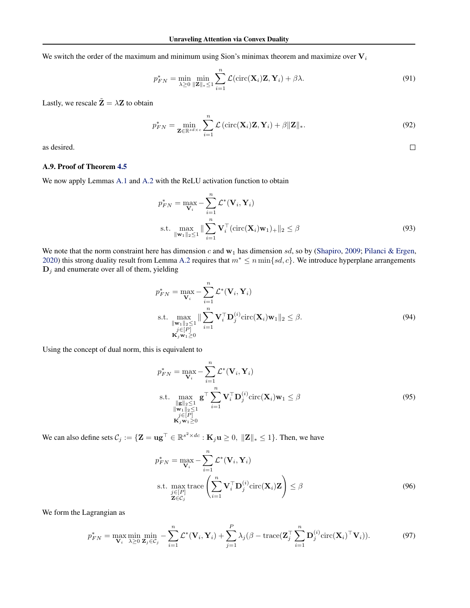We switch the order of the maximum and minimum using Sion's minimax theorem and maximize over  $V_i$ 

$$
p_{FN}^* = \min_{\lambda \ge 0} \min_{\|\mathbf{Z}\|_{*} \le 1} \sum_{i=1}^n \mathcal{L}(\text{circ}(\mathbf{X}_i)\mathbf{Z}, \mathbf{Y}_i) + \beta \lambda. \tag{91}
$$

Lastly, we rescale  $\tilde{\mathbf{Z}} = \lambda \mathbf{Z}$  to obtain

$$
p_{FN}^* = \min_{\mathbf{Z} \in \mathbb{R}^{sd \times c}} \sum_{i=1}^n \mathcal{L} \left( \text{circ}(\mathbf{X}_i) \mathbf{Z}, \mathbf{Y}_i \right) + \beta \|\mathbf{Z}\|_*.
$$
 (92)

 $\Box$ 

as desired.

## A.9. Proof of Theorem [4.5](#page-6-6)

We now apply Lemmas [A.1](#page-12-1) and [A.2](#page-12-2) with the ReLU activation function to obtain

$$
p_{FN}^* = \max_{\mathbf{V}_i} -\sum_{i=1}^n \mathcal{L}^*(\mathbf{V}_i, \mathbf{Y}_i)
$$
  
s.t. 
$$
\max_{\|\mathbf{w}_1\|_2 \le 1} \|\sum_{i=1}^n \mathbf{V}_i^{\top}(\text{circ}(\mathbf{X}_i)\mathbf{w}_1)_+\|_2 \le \beta
$$
 (93)

We note that the norm constraint here has dimension c and  $w_1$  has dimension sd, so by [\(Shapiro,](#page-10-18) [2009;](#page-10-18) [Pilanci & Ergen,](#page-10-8) [2020\)](#page-10-8) this strong duality result from Lemma [A.2](#page-12-2) requires that  $m^* \leq n \min\{sd, c\}$ . We introduce hyperplane arrangements  $D_j$  and enumerate over all of them, yielding

$$
p_{FN}^* = \max_{\mathbf{V}_i} -\sum_{i=1}^n \mathcal{L}^*(\mathbf{V}_i, \mathbf{Y}_i)
$$
  
s.t. 
$$
\max_{\substack{\|\mathbf{w}_1\|_2 \le 1 \\ j \in [P] \\ \mathbf{K}_j \mathbf{w}_1 \ge 0}} \|\sum_{i=1}^n \mathbf{V}_i^{\top} \mathbf{D}_j^{(i)} \text{circ}(\mathbf{X}_i) \mathbf{w}_1\|_2 \le \beta.
$$
 (94)

Using the concept of dual norm, this is equivalent to

$$
p_{FN}^* = \max_{\mathbf{V}_i} -\sum_{i=1}^n \mathcal{L}^*(\mathbf{V}_i, \mathbf{Y}_i)
$$
  
s.t. 
$$
\max_{\substack{\|\mathbf{g}\|_2 \le 1 \\ \|\mathbf{w}_1\|_2 \le 1 \\ j \in [P] \\ \mathbf{K}_j \mathbf{w}_1 \ge 0}} \mathbf{g}^\top \sum_{i=1}^n \mathbf{V}_i^\top \mathbf{D}_j^{(i)} \text{circ}(\mathbf{X}_i) \mathbf{w}_1 \le \beta
$$
(95)

We can also define sets  $C_j := \{ \mathbf{Z} = \mathbf{u}\mathbf{g}^\top \in \mathbb{R}^{s^2 \times dc} : \mathbf{K}_j\mathbf{u} \geq 0, \| \mathbf{Z} \|_* \leq 1 \}.$  Then, we have

$$
p_{FN}^{*} = \max_{\mathbf{V}_{i}} - \sum_{i=1}^{n} \mathcal{L}^{*}(\mathbf{V}_{i}, \mathbf{Y}_{i})
$$
  
s.t. 
$$
\max_{\substack{j \in [P] \\ \mathbf{Z} \in C_{j}}} \text{trace}\left(\sum_{i=1}^{n} \mathbf{V}_{i}^{\top} \mathbf{D}_{j}^{(i)} \text{circ}(\mathbf{X}_{i}) \mathbf{Z}\right) \leq \beta
$$
(96)

We form the Lagrangian as

$$
p_{FN}^* = \max_{\mathbf{V}_i} \min_{\lambda \ge 0} \min_{\mathbf{Z}_j \in \mathcal{C}_j} - \sum_{i=1}^n \mathcal{L}^*(\mathbf{V}_i, \mathbf{Y}_i) + \sum_{j=1}^P \lambda_j (\beta - \text{trace}(\mathbf{Z}_j^{\top} \sum_{i=1}^n \mathbf{D}_j^{(i)} \text{circ}(\mathbf{X}_i)^{\top} \mathbf{V}_i)).
$$
 (97)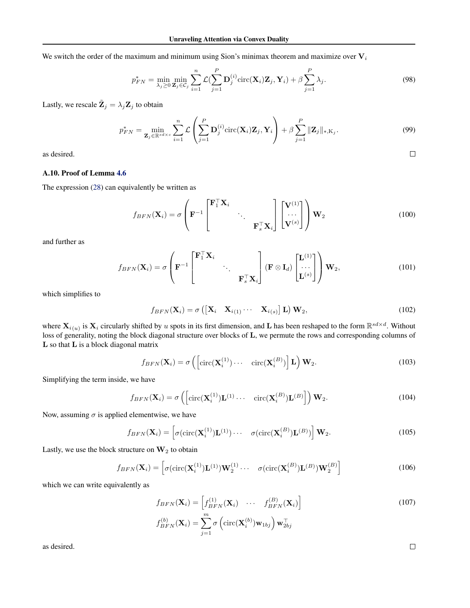We switch the order of the maximum and minimum using Sion's minimax theorem and maximize over  $V_i$ 

$$
p_{FN}^* = \min_{\lambda_j \ge 0} \min_{\mathbf{Z}_j \in \mathcal{C}_j} \sum_{i=1}^n \mathcal{L}(\sum_{j=1}^P \mathbf{D}_j^{(i)} \text{circ}(\mathbf{X}_i) \mathbf{Z}_j, \mathbf{Y}_i) + \beta \sum_{j=1}^P \lambda_j.
$$
 (98)

Lastly, we rescale  $\tilde{\mathbf{Z}}_j = \lambda_j \mathbf{Z}_j$  to obtain

$$
p_{FN}^* = \min_{\mathbf{Z}_j \in \mathbb{R}^{sd \times c}} \sum_{i=1}^n \mathcal{L}\left(\sum_{j=1}^P \mathbf{D}_j^{(i)} \text{circ}(\mathbf{X}_i) \mathbf{Z}_j, \mathbf{Y}_i\right) + \beta \sum_{j=1}^P \|\mathbf{Z}_j\|_{*, \mathbf{K}_j}.
$$
(99)

as desired.

## A.10. Proof of Lemma [4.6](#page-6-7)

The expression [\(28\)](#page-7-1) can equivalently be written as

$$
f_{BFN}(\mathbf{X}_i) = \sigma \left( \mathbf{F}^{-1} \begin{bmatrix} \mathbf{F}_1^{\top} \mathbf{X}_i & & \\ & \ddots & \\ & & \mathbf{F}_s^{\top} \mathbf{X}_i \end{bmatrix} \begin{bmatrix} \mathbf{V}^{(1)} \\ \cdots \\ \mathbf{V}^{(s)} \end{bmatrix} \right) \mathbf{W}_2
$$
(100)

and further as

$$
f_{BFN}(\mathbf{X}_i) = \sigma \left( \mathbf{F}^{-1} \begin{bmatrix} \mathbf{F}_1^{\top} \mathbf{X}_i & & \\ & \ddots & \\ & & \mathbf{F}_s^{\top} \mathbf{X}_i \end{bmatrix} (\mathbf{F} \otimes \mathbf{I}_d) \begin{bmatrix} \mathbf{L}^{(1)} \\ \ddots \\ \mathbf{L}^{(s)} \end{bmatrix} \right) \mathbf{W}_2,\tag{101}
$$

which simplifies to

$$
f_{BFN}(\mathbf{X}_i) = \sigma\left(\begin{bmatrix} \mathbf{X}_i & \mathbf{X}_{i(1)} & \cdots & \mathbf{X}_{i(s)} \end{bmatrix} \mathbf{L}\right) \mathbf{W}_2, \tag{102}
$$

where  $X_{i(u)}$  is  $X_i$  circularly shifted by u spots in its first dimension, and L has been reshaped to the form  $\mathbb{R}^{sd \times d}$ . Without loss of generality, noting the block diagonal structure over blocks of L, we permute the rows and corresponding columns of L so that L is a block diagonal matrix

$$
f_{BFN}(\mathbf{X}_i) = \sigma\left(\left[\text{circ}(\mathbf{X}_i^{(1)}) \cdots \quad \text{circ}(\mathbf{X}_i^{(B)})\right] \mathbf{L}\right) \mathbf{W}_2.
$$
 (103)

Simplifying the term inside, we have

$$
f_{BFN}(\mathbf{X}_i) = \sigma\left(\left[\text{circ}(\mathbf{X}_i^{(1)})\mathbf{L}^{(1)}\cdots \quad \text{circ}(\mathbf{X}_i^{(B)})\mathbf{L}^{(B)}\right]\right) \mathbf{W}_2.
$$
\n(104)

Now, assuming  $\sigma$  is applied elementwise, we have

$$
f_{BFN}(\mathbf{X}_i) = \left[ \sigma(\text{circ}(\mathbf{X}_i^{(1)})\mathbf{L}^{(1)}) \cdots \sigma(\text{circ}(\mathbf{X}_i^{(B)})\mathbf{L}^{(B)}) \right] \mathbf{W}_2.
$$
 (105)

Lastly, we use the block structure on  $W_2$  to obtain

$$
f_{BFN}(\mathbf{X}_i) = \left[ \sigma(\text{circ}(\mathbf{X}_i^{(1)}) \mathbf{L}^{(1)}) \mathbf{W}_2^{(1)} \cdots \sigma(\text{circ}(\mathbf{X}_i^{(B)}) \mathbf{L}^{(B)}) \mathbf{W}_2^{(B)} \right]
$$
(106)

which we can write equivalently as

$$
f_{BFN}(\mathbf{X}_i) = \begin{bmatrix} f_{BFN}^{(1)}(\mathbf{X}_i) & \cdots & f_{BFN}^{(B)}(\mathbf{X}_i) \end{bmatrix}
$$
  
\n
$$
f_{BFN}^{(b)}(\mathbf{X}_i) = \sum_{j=1}^m \sigma\left(\text{circ}(\mathbf{X}_i^{(b)})\mathbf{w}_{1bj}\right) \mathbf{w}_{2bj}^\top
$$
\n(107)

as desired.

 $\Box$ 

 $\Box$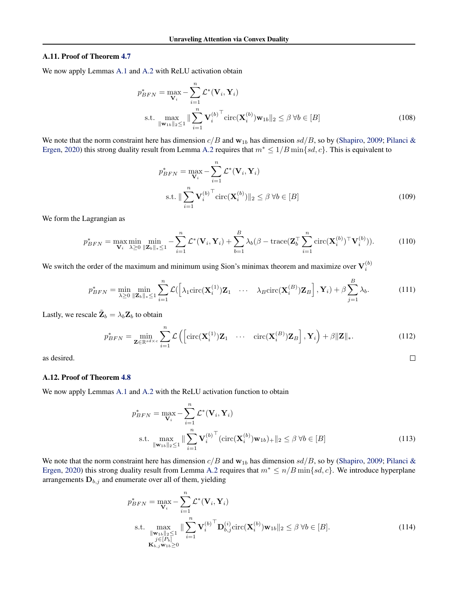#### A.11. Proof of Theorem [4.7](#page-7-2)

We now apply Lemmas [A.1](#page-12-1) and [A.2](#page-12-2) with ReLU activation obtain

$$
p_{BFN}^* = \max_{\mathbf{V}_i} -\sum_{i=1}^n \mathcal{L}^*(\mathbf{V}_i, \mathbf{Y}_i)
$$
  
s.t. 
$$
\max_{\|\mathbf{w}_{1b}\|_2 \le 1} \|\sum_{i=1}^n \mathbf{V}_i^{(b)}^\top \text{circ}(\mathbf{X}_i^{(b)}) \mathbf{w}_{1b}\|_2 \le \beta \ \forall b \in [B]
$$
(108)

We note that the norm constraint here has dimension  $c/B$  and  $w_{1b}$  has dimension  $sd/B$ , so by [\(Shapiro,](#page-10-18) [2009;](#page-10-18) [Pilanci &](#page-10-8) [Ergen,](#page-10-8) [2020\)](#page-10-8) this strong duality result from Lemma [A.2](#page-12-2) requires that  $m^* \leq 1/B \min\{sd, c\}$ . This is equivalent to

$$
p_{BFN}^{*} = \max_{\mathbf{V}_{i}} - \sum_{i=1}^{n} \mathcal{L}^{*}(\mathbf{V}_{i}, \mathbf{Y}_{i})
$$
  
s.t. 
$$
\|\sum_{i=1}^{n} \mathbf{V}_{i}^{(b)}^{\top} \text{circ}(\mathbf{X}_{i}^{(b)})\|_{2} \leq \beta \ \forall b \in [B]
$$
(109)

We form the Lagrangian as

$$
p_{BFN}^* = \max_{\mathbf{V}_i} \min_{\lambda \ge 0} \min_{\|\mathbf{Z}_b\|_{\ast} \le 1} -\sum_{i=1}^n \mathcal{L}^*(\mathbf{V}_i, \mathbf{Y}_i) + \sum_{b=1}^B \lambda_b (\beta - \text{trace}(\mathbf{Z}_b^\top \sum_{i=1}^n \text{circ}(\mathbf{X}_i^{(b)})^\top \mathbf{V}_i^{(b)})).
$$
 (110)

We switch the order of the maximum and minimum using Sion's minimax theorem and maximize over  $V_i^{(b)}$ 

$$
p_{BFN}^* = \min_{\lambda \ge 0} \min_{\|\mathbf{Z}_b\|_{*} \le 1} \sum_{i=1}^n \mathcal{L}(\left[\lambda_1 \text{circ}(\mathbf{X}_i^{(1)}) \mathbf{Z}_1 \cdots \lambda_B \text{circ}(\mathbf{X}_i^{(B)}) \mathbf{Z}_B\right], \mathbf{Y}_i) + \beta \sum_{j=1}^B \lambda_b.
$$
 (111)

Lastly, we rescale  $\tilde{\mathbf{Z}}_b = \lambda_b \mathbf{Z}_b$  to obtain

$$
p_{BFN}^* = \min_{\mathbf{Z} \in \mathbb{R}^{sd \times c}} \sum_{i=1}^n \mathcal{L}\left( \left[ \text{circ}(\mathbf{X}_i^{(1)}) \mathbf{Z}_1 \quad \cdots \quad \text{circ}(\mathbf{X}_i^{(B)}) \mathbf{Z}_B \right], \mathbf{Y}_i \right) + \beta \|\mathbf{Z}\|_*.
$$
 (112)

as desired.

## A.12. Proof of Theorem [4.8](#page-7-3)

We now apply Lemmas [A.1](#page-12-1) and [A.2](#page-12-2) with the ReLU activation function to obtain

$$
p_{BFN}^* = \max_{\mathbf{V}_i} -\sum_{i=1}^n \mathcal{L}^*(\mathbf{V}_i, \mathbf{Y}_i)
$$
  
s.t. 
$$
\max_{\|\mathbf{w}_{1b}\|_2 \le 1} \|\sum_{i=1}^n \mathbf{V}_i^{(b)\top}(\text{circ}(\mathbf{X}_i^{(b)})\mathbf{w}_{1b})_+\|_2 \le \beta \ \forall b \in [B]
$$
(113)

 $\Box$ 

We note that the norm constraint here has dimension  $c/B$  and  $w_{1b}$  has dimension  $sd/B$ , so by [\(Shapiro,](#page-10-18) [2009;](#page-10-18) [Pilanci &](#page-10-8) [Ergen,](#page-10-8) [2020\)](#page-10-8) this strong duality result from Lemma [A.2](#page-12-2) requires that  $m^* \le n/B \min\{sd, c\}$ . We introduce hyperplane arrangements  $D_{b,j}$  and enumerate over all of them, yielding

$$
p_{BFN}^* = \max_{\mathbf{V}_i} -\sum_{i=1}^n \mathcal{L}^*(\mathbf{V}_i, \mathbf{Y}_i)
$$
  
s.t. 
$$
\max_{\substack{\|\mathbf{w}_{1b}\|_2 \le 1 \\ j \in [P_b] \\ \mathbf{K}_{b,j} \mathbf{w}_{1b} \ge 0}} \|\sum_{i=1}^n \mathbf{V}_i^{(b)\top} \mathbf{D}_{b,j}^{(i)} \text{circ}(\mathbf{X}_i^{(b)}) \mathbf{w}_{1b}\|_2 \le \beta \ \forall b \in [B].
$$
 (114)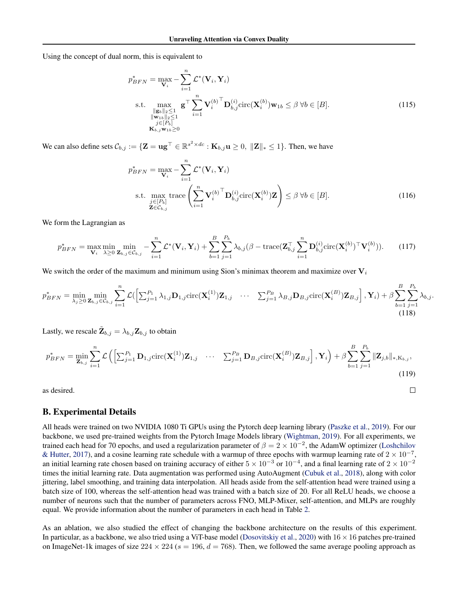Using the concept of dual norm, this is equivalent to

$$
p_{BFN}^* = \max_{\mathbf{V}_i} -\sum_{i=1}^n \mathcal{L}^*(\mathbf{V}_i, \mathbf{Y}_i)
$$
  
s.t. 
$$
\max_{\substack{\|\mathbf{g}_b\|_2 \le 1 \\ \|\mathbf{w}_{1b}\|_2 \le 1 \\ j \in [P_b] \\ \mathbf{K}_{b,j} \mathbf{w}_{1b} \ge 0}} \mathbf{g}^\top \sum_{i=1}^n \mathbf{V}_i^{(b)^\top} \mathbf{D}_{b,j}^{(i)} \text{circ}(\mathbf{X}_i^{(b)}) \mathbf{w}_{1b} \le \beta \ \forall b \in [B].
$$
 (115)

We can also define sets  $\mathcal{C}_{b,j} := \{ \mathbf{Z} = \mathbf{u}\mathbf{g}^\top \in \mathbb{R}^{s^2 \times dc} : \mathbf{K}_{b,j} \mathbf{u} \geq 0, \| \mathbf{Z} \|_* \leq 1 \}.$  Then, we have

$$
p_{BFN}^{*} = \max_{\mathbf{V}_{i}} - \sum_{i=1}^{n} \mathcal{L}^{*}(\mathbf{V}_{i}, \mathbf{Y}_{i})
$$
  
s.t. 
$$
\max_{\substack{j \in [P_{b}] \\ \mathbf{Z} \in \mathcal{C}_{b,j}}} \text{trace}\left(\sum_{i=1}^{n} \mathbf{V}_{i}^{(b)}^{\top} \mathbf{D}_{b,j}^{(i)} \text{circ}(\mathbf{X}_{i}^{(b)}) \mathbf{Z}\right) \leq \beta \ \forall b \in [B].
$$
 (116)

 $\Box$ 

We form the Lagrangian as

$$
p_{BFN}^* = \max_{\mathbf{V}_i} \min_{\lambda \ge 0} \min_{\mathbf{Z}_{b,j} \in \mathcal{C}_{b,j}} - \sum_{i=1}^n \mathcal{L}^*(\mathbf{V}_i, \mathbf{Y}_i) + \sum_{b=1}^B \sum_{j=1}^{P_b} \lambda_{b,j} (\beta - \text{trace}(\mathbf{Z}_{b,j}^\top \sum_{i=1}^n \mathbf{D}_{b,j}^{(i)} \text{circ}(\mathbf{X}_i^{(b)})^\top \mathbf{V}_i^{(b)})).
$$
 (117)

We switch the order of the maximum and minimum using Sion's minimax theorem and maximize over  $V_i$ 

$$
p_{BFN}^* = \min_{\lambda_j \geq 0} \min_{\mathbf{Z}_{b,j} \in \mathcal{C}_{b,j}} \sum_{i=1}^n \mathcal{L}\left( \left[ \sum_{j=1}^{P_1} \lambda_{1,j} \mathbf{D}_{1,j} \text{circ}(\mathbf{X}_i^{(1)}) \mathbf{Z}_{1,j} \quad \cdots \quad \sum_{j=1}^{P_B} \lambda_{B,j} \mathbf{D}_{B,j} \text{circ}(\mathbf{X}_i^{(B)}) \mathbf{Z}_{B,j} \right], \mathbf{Y}_i \right) + \beta \sum_{b=1}^B \sum_{j=1}^{P_b} \lambda_{b,j}.
$$
\n(118)

Lastly, we rescale  $\tilde{\mathbf{Z}}_{b,j} = \lambda_{b,j} \mathbf{Z}_{b,j}$  to obtain

$$
p_{BFN}^{*} = \min_{\mathbf{Z}_{b,j}} \sum_{i=1}^{n} \mathcal{L}\left( \left[ \sum_{j=1}^{P_1} \mathbf{D}_{1,j} \text{circ}(\mathbf{X}_{i}^{(1)}) \mathbf{Z}_{1,j} \quad \cdots \quad \sum_{j=1}^{P_B} \mathbf{D}_{B,j} \text{circ}(\mathbf{X}_{i}^{(B)}) \mathbf{Z}_{B,j} \right], \mathbf{Y}_{i} \right) + \beta \sum_{b=1}^{B} \sum_{j=1}^{P_b} \|\mathbf{Z}_{j,b}\|_{*, K_{b,j}},
$$
\n(119)

as desired.

## <span id="page-26-0"></span>B. Experimental Details

All heads were trained on two NVIDIA 1080 Ti GPUs using the Pytorch deep learning library [\(Paszke et al.,](#page-10-20) [2019\)](#page-10-20). For our backbone, we used pre-trained weights from the Pytorch Image Models library [\(Wightman,](#page-11-7) [2019\)](#page-11-7). For all experiments, we trained each head for 70 epochs, and used a regularization parameter of  $\beta = 2 \times 10^{-2}$ , the AdamW optimizer [\(Loshchilov](#page-10-21) [& Hutter,](#page-10-21) [2017\)](#page-10-21), and a cosine learning rate schedule with a warmup of three epochs with warmup learning rate of  $2 \times 10^{-7}$ , an initial learning rate chosen based on training accuracy of either  $5 \times 10^{-3}$  or  $10^{-4}$ , and a final learning rate of  $2 \times 10^{-2}$ times the initial learning rate. Data augmentation was performed using AutoAugment [\(Cubuk et al.,](#page-9-24) [2018\)](#page-9-24), along with color jittering, label smoothing, and training data interpolation. All heads aside from the self-attention head were trained using a batch size of 100, whereas the self-attention head was trained with a batch size of 20. For all ReLU heads, we choose a number of neurons such that the number of parameters across FNO, MLP-Mixer, self-attention, and MLPs are roughly equal. We provide information about the number of parameters in each head in Table [2.](#page-27-1)

As an ablation, we also studied the effect of changing the backbone architecture on the results of this experiment. In particular, as a backbone, we also tried using a ViT-base model [\(Dosovitskiy et al.,](#page-9-1) [2020\)](#page-9-1) with  $16 \times 16$  patches pre-trained on ImageNet-1k images of size  $224 \times 224$  ( $s = 196$ ,  $d = 768$ ). Then, we followed the same average pooling approach as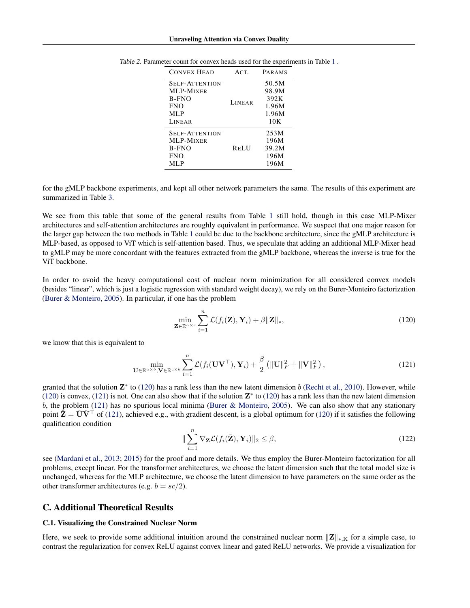| <b>CONVEX HEAD</b>                 | ACT.          | PARAMS         |
|------------------------------------|---------------|----------------|
| <b>SELF-ATTENTION</b><br>MLP-MIXER |               | 50.5M<br>98.9M |
| B-FNO                              | <b>LINEAR</b> | 392K           |
| <b>FNO</b>                         |               | 1.96M          |
| MLP<br>LINEAR                      |               | 1.96M<br>10K   |
|                                    |               |                |
| <b>SELF-ATTENTION</b>              |               | 253M           |
| MLP-MIXER<br>B-FNO                 | <b>RELU</b>   | 196M<br>39.2M  |
| <b>FNO</b>                         |               | 196M           |
| MLP                                |               | 196M           |

<span id="page-27-1"></span>

| Table 2. Parameter count for convex heads used for the experiments in Table 1. |  |  |
|--------------------------------------------------------------------------------|--|--|
|--------------------------------------------------------------------------------|--|--|

for the gMLP backbone experiments, and kept all other network parameters the same. The results of this experiment are summarized in Table [3.](#page-28-0)

We see from this table that some of the general results from Table [1](#page-8-0) still hold, though in this case MLP-Mixer architectures and self-attention architectures are roughly equivalent in performance. We suspect that one major reason for the larger gap between the two methods in Table [1](#page-8-0) could be due to the backbone architecture, since the gMLP architecture is MLP-based, as opposed to ViT which is self-attention based. Thus, we speculate that adding an additional MLP-Mixer head to gMLP may be more concordant with the features extracted from the gMLP backbone, whereas the inverse is true for the ViT backbone.

In order to avoid the heavy computational cost of nuclear norm minimization for all considered convex models (besides "linear", which is just a logistic regression with standard weight decay), we rely on the Burer-Monteiro factorization [\(Burer & Monteiro,](#page-9-25) [2005\)](#page-9-25). In particular, if one has the problem

<span id="page-27-2"></span>
$$
\min_{\mathbf{Z} \in \mathbb{R}^{a \times c}} \sum_{i=1}^{n} \mathcal{L}(f_i(\mathbf{Z}), \mathbf{Y}_i) + \beta \|\mathbf{Z}\|_*,
$$
\n(120)

we know that this is equivalent to

<span id="page-27-3"></span>
$$
\min_{\mathbf{U}\in\mathbb{R}^{a\times b},\mathbf{V}\in\mathbb{R}^{c\times b}}\sum_{i=1}^{n}\mathcal{L}(f_i(\mathbf{U}\mathbf{V}^{\top}),\mathbf{Y}_i)+\frac{\beta}{2}\left(\|\mathbf{U}\|_{F}^{2}+\|\mathbf{V}\|_{F}^{2}\right),\tag{121}
$$

granted that the solution  $\mathbf{Z}^*$  to [\(120\)](#page-27-2) has a rank less than the new latent dimension b [\(Recht et al.,](#page-10-14) [2010\)](#page-10-14). However, while [\(120\)](#page-27-2) is convex, [\(121\)](#page-27-3) is not. One can also show that if the solution  $\mathbb{Z}^*$  to (120) has a rank less than the new latent dimension b, the problem [\(121\)](#page-27-3) has no spurious local minima [\(Burer & Monteiro,](#page-9-25) [2005\)](#page-9-25). We can also show that any stationary point  $\hat{\mathbf{Z}} = \hat{\mathbf{U}} \hat{\mathbf{V}}^{\top}$  of [\(121\)](#page-27-3), achieved e.g., with gradient descent, is a global optimum for [\(120\)](#page-27-2) if it satisfies the following qualification condition

$$
\|\sum_{i=1}^{n} \nabla_{\mathbf{Z}} \mathcal{L}(f_i(\hat{\mathbf{Z}}), \mathbf{Y}_i)\|_2 \leq \beta,
$$
\n(122)

see [\(Mardani et al.,](#page-10-22) [2013;](#page-10-22) [2015\)](#page-10-23) for the proof and more details. We thus employ the Burer-Monteiro factorization for all problems, except linear. For the transformer architectures, we choose the latent dimension such that the total model size is unchanged, whereas for the MLP architecture, we choose the latent dimension to have parameters on the same order as the other transformer architectures (e.g.  $b = \frac{sc}{2}$ ).

## <span id="page-27-0"></span>C. Additional Theoretical Results

#### C.1. Visualizing the Constrained Nuclear Norm

Here, we seek to provide some additional intuition around the constrained nuclear norm  $||\mathbf{Z}||_{*,K}$  for a simple case, to contrast the regularization for convex ReLU against convex linear and gated ReLU networks. We provide a visualization for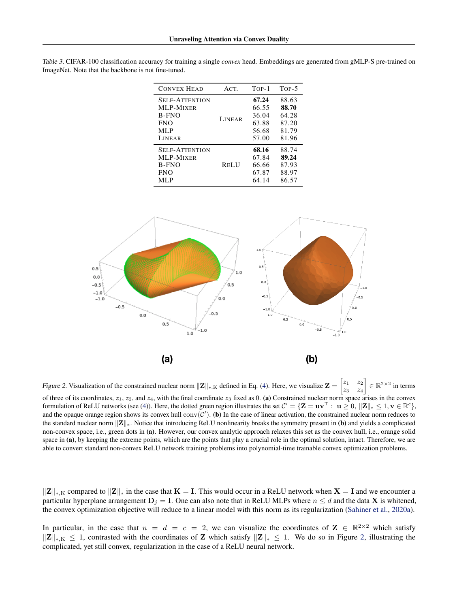| <b>CONVEX HEAD</b>                 | ACT.          | TOP-1          | $Top-5$        |
|------------------------------------|---------------|----------------|----------------|
| <b>SELF-ATTENTION</b><br>MLP-MIXER | <b>LINEAR</b> | 67.24<br>66.55 | 88.63<br>88.70 |
| B-FNO                              |               | 36.04          | 64.28          |
| <b>FNO</b>                         |               | 63.88          | 87.20          |
| MLP                                |               | 56.68          | 81.79          |
| LINEAR                             |               | 57.00          | 81.96          |
| <b>SELF-ATTENTION</b>              | <b>RELU</b>   | 68.16          | 88.74          |
| MLP-MIXER                          |               | 67.84          | 89.24          |
| B-FNO                              |               | 66.66          | 87.93          |
| <b>FNO</b>                         |               | 67.87          | 88.97          |
| MLP                                |               | 64.14          | 86.57          |

<span id="page-28-0"></span>Table 3. CIFAR-100 classification accuracy for training a single *convex* head. Embeddings are generated from gMLP-S pre-trained on ImageNet. Note that the backbone is not fine-tuned.

<span id="page-28-1"></span>

Figure 2. Visualization of the constrained nuclear norm  $||\mathbf{Z}||_{*,K}$  defined in Eq. [\(4\)](#page-2-4). Here, we visualize  $\mathbf{Z} = \begin{bmatrix} z_1 & z_2 \\ z_2 & z_1 \end{bmatrix}$  $z_3$   $z_4$  $\Big] \in \mathbb{R}^{2 \times 2}$  in terms of three of its coordinates,  $z_1$ ,  $z_2$ , and  $z_4$ , with the final coordinate  $z_3$  fixed as 0. (a) Constrained nuclear norm space arises in the convex formulation of ReLU networks (see [\(4\)](#page-2-4)). Here, the dotted green region illustrates the set  $C' = \{ \mathbf{Z} = \mathbf{u} \mathbf{v}^\top : \ \mathbf{u} \geq 0, \, \|\mathbf{Z}\|_* \leq 1, \mathbf{v} \in \mathbb{R}^c \},$ and the opaque orange region shows its convex hull  $conv(C')$ . (b) In the case of linear activation, the constrained nuclear norm reduces to the standard nuclear norm  $||\mathbf{Z}||_*$ . Notice that introducing ReLU nonlinearity breaks the symmetry present in (b) and yields a complicated non-convex space, i.e., green dots in (a). However, our convex analytic approach relaxes this set as the convex hull, i.e., orange solid space in (a), by keeping the extreme points, which are the points that play a crucial role in the optimal solution, intact. Therefore, we are able to convert standard non-convex ReLU network training problems into polynomial-time trainable convex optimization problems.

 $||Z||_{*,K}$  compared to  $||Z||_*$  in the case that  $K = I$ . This would occur in a ReLU network when  $X = I$  and we encounter a particular hyperplane arrangement  $D_j = I$ . One can also note that in ReLU MLPs where  $n \le d$  and the data X is whitened, the convex optimization objective will reduce to a linear model with this norm as its regularization [\(Sahiner et al.,](#page-10-9) [2020a\)](#page-10-9).

In particular, in the case that  $n = d = c = 2$ , we can visualize the coordinates of  $\mathbf{Z} \in \mathbb{R}^{2 \times 2}$  which satisfy  $||\mathbf{Z}||_{*,K} \leq 1$ , contrasted with the coordinates of Z which satisfy  $||\mathbf{Z}||_* \leq 1$ . We do so in Figure [2,](#page-28-1) illustrating the complicated, yet still convex, regularization in the case of a ReLU neural network.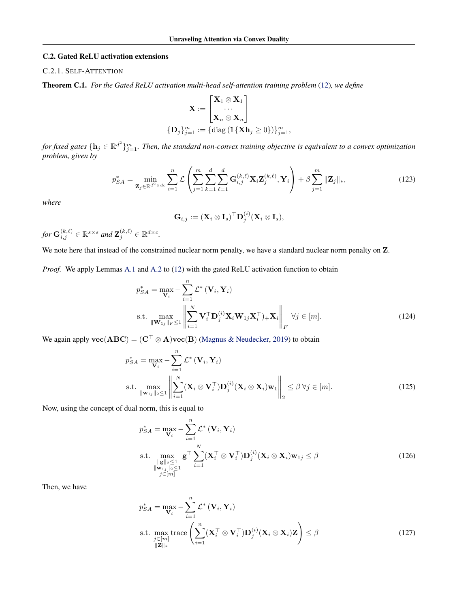#### <span id="page-29-0"></span>C.2. Gated ReLU activation extensions

## C.2.1. SELF-ATTENTION

Theorem C.1. *For the Gated ReLU activation multi-head self-attention training problem* [\(12\)](#page-3-2)*, we define*

$$
\mathbf{X} := \begin{bmatrix} \mathbf{X}_1 \otimes \mathbf{X}_1 \\ \cdots \\ \mathbf{X}_n \otimes \mathbf{X}_n \end{bmatrix}
$$

$$
\{\mathbf{D}_j\}_{j=1}^m := \{ \text{diag} \left( \mathbb{1} \{ \mathbf{X} \mathbf{h}_j \ge 0 \} \right) \}_{j=1}^m,
$$

for fixed gates  $\{{\bf h}_j\in\mathbb{R}^{d^2}\}_{j=1}^m.$  Then, the standard non-convex training objective is equivalent to a convex optimization *problem, given by*

$$
p_{SA}^{*} = \min_{\mathbf{Z}_{j} \in \mathbb{R}^{d^{2} \times dc}} \sum_{i=1}^{n} \mathcal{L} \left( \sum_{j=1}^{m} \sum_{k=1}^{d} \sum_{\ell=1}^{d} \mathbf{G}_{i,j}^{(k,\ell)} \mathbf{X}_{i} \mathbf{Z}_{j}^{(k,\ell)}, \mathbf{Y}_{i} \right) + \beta \sum_{j=1}^{m} \|\mathbf{Z}_{j}\|_{*},
$$
\n(123)

*where*

$$
\mathbf{G}_{i,j} := (\mathbf{X}_i \otimes \mathbf{I}_s)^\top \mathbf{D}_j^{(i)} (\mathbf{X}_i \otimes \mathbf{I}_s),
$$

for  $\mathbf{G}_{i,j}^{(k,\ell)} \in \mathbb{R}^{s \times s}$  and  $\mathbf{Z}_{j}^{(k,\ell)} \in \mathbb{R}^{d \times c}$ .

We note here that instead of the constrained nuclear norm penalty, we have a standard nuclear norm penalty on  $Z$ .

*Proof.* We apply Lemmas [A.1](#page-12-1) and [A.2](#page-12-2) to [\(12\)](#page-3-2) with the gated ReLU activation function to obtain

$$
p_{SA}^{*} = \max_{\mathbf{V}_{i}} - \sum_{i=1}^{n} \mathcal{L}^{*} (\mathbf{V}_{i}, \mathbf{Y}_{i})
$$
  
s.t. 
$$
\max_{\|\mathbf{W}_{1j}\|_{F} \leq 1} \left\| \sum_{i=1}^{N} \mathbf{V}_{i}^{\top} \mathbf{D}_{j}^{(i)} \mathbf{X}_{i} \mathbf{W}_{1j} \mathbf{X}_{i}^{\top} \right\|_{F} \forall j \in [m].
$$
 (124)

We again apply  $\mathbf{vec}(\mathbf{ABC}) = (\mathbf{C}^\top \otimes \mathbf{A})\mathbf{vec}(\mathbf{B})$  [\(Magnus & Neudecker,](#page-10-19) [2019\)](#page-10-19) to obtain

$$
p_{SA}^{*} = \max_{\mathbf{V}_{i}} - \sum_{i=1}^{n} \mathcal{L}^{*} (\mathbf{V}_{i}, \mathbf{Y}_{i})
$$
  
s.t. 
$$
\max_{\|\mathbf{w}_{1j}\|_{2} \leq 1} \left\| \sum_{i=1}^{N} (\mathbf{X}_{i} \otimes \mathbf{V}_{i}^{\top}) \mathbf{D}_{j}^{(i)} (\mathbf{X}_{i} \otimes \mathbf{X}_{i}) \mathbf{w}_{1} \right\|_{2} \leq \beta \ \forall j \in [m].
$$
 (125)

Now, using the concept of dual norm, this is equal to

$$
p_{SA}^{*} = \max_{\mathbf{V}_{i}} - \sum_{i=1}^{n} \mathcal{L}^{*} (\mathbf{V}_{i}, \mathbf{Y}_{i})
$$
  
s.t. 
$$
\max_{\substack{\|\mathbf{g}\|_{2} \leq 1 \\ \|\mathbf{w}_{1j}\|_{2} \leq 1 \\ j \in [m]}} \mathbf{g}^{\top} \sum_{i=1}^{N} (\mathbf{X}_{i}^{\top} \otimes \mathbf{V}_{i}^{\top}) \mathbf{D}_{j}^{(i)} (\mathbf{X}_{i} \otimes \mathbf{X}_{i}) \mathbf{w}_{1j} \leq \beta
$$
(126)

Then, we have

$$
p_{SA}^{*} = \max_{\mathbf{V}_{i}} - \sum_{i=1}^{n} \mathcal{L}^{*} (\mathbf{V}_{i}, \mathbf{Y}_{i})
$$
  
s.t. 
$$
\max_{\substack{j \in [m] \\ \|\mathbf{Z}\|_{*}}} \text{trace}\left(\sum_{i=1}^{n} (\mathbf{X}_{i}^{\top} \otimes \mathbf{V}_{i}^{\top}) \mathbf{D}_{j}^{(i)} (\mathbf{X}_{i} \otimes \mathbf{X}_{i}) \mathbf{Z}\right) \leq \beta
$$
(127)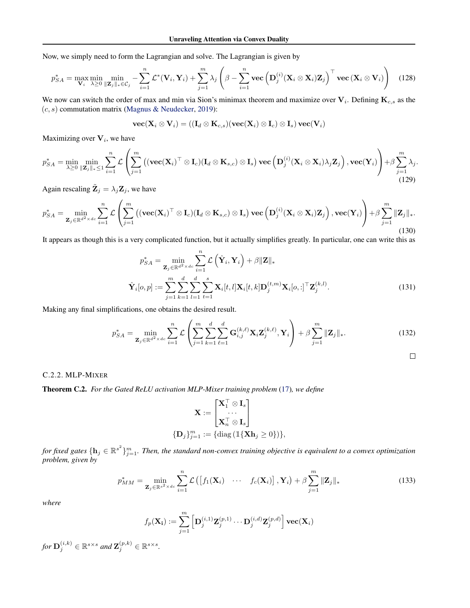Now, we simply need to form the Lagrangian and solve. The Lagrangian is given by

$$
p_{SA}^{*} = \max_{\mathbf{V}_{i}} \min_{\lambda \geq 0} \min_{\|\mathbf{Z}_{j}\|_{*} \in C_{j}} - \sum_{i=1}^{n} \mathcal{L}^{*}(\mathbf{V}_{i}, \mathbf{Y}_{i}) + \sum_{j=1}^{m} \lambda_{j} \left(\beta - \sum_{i=1}^{n} \text{vec}\left(\mathbf{D}_{j}^{(i)}(\mathbf{X}_{i} \otimes \mathbf{X}_{i})\mathbf{Z}_{j}\right)^{\top} \text{vec}\left(\mathbf{X}_{i} \otimes \mathbf{V}_{i}\right)\right) \quad (128)
$$

We now can switch the order of max and min via Sion's minimax theorem and maximize over  $V_i$ . Defining  $K_{c,s}$  as the  $(c, s)$  commutation matrix [\(Magnus & Neudecker,](#page-10-19) [2019\)](#page-10-19):

$$
\textbf{vec}(\textbf{X}_i\otimes \textbf{V}_i) = ((\textbf{I}_d\otimes \textbf{K}_{c,s})(\textbf{vec}(\textbf{X}_i)\otimes \textbf{I}_c)\otimes \textbf{I}_s)\,\textbf{vec}(\textbf{V}_i)
$$

Maximizing over  $V_i$ , we have

$$
p_{SA}^{*} = \min_{\lambda \geq 0} \min_{\|\mathbf{Z}_{j}\|_{*} \leq 1} \sum_{i=1}^{n} \mathcal{L}\left(\sum_{j=1}^{m} \left( (\mathbf{vec}(\mathbf{X}_{i})^{\top} \otimes \mathbf{I}_{c})(\mathbf{I}_{d} \otimes \mathbf{K}_{s,c}) \otimes \mathbf{I}_{s} \right) \mathbf{vec}\left(\mathbf{D}_{j}^{(i)}(\mathbf{X}_{i} \otimes \mathbf{X}_{i})\lambda_{j}\mathbf{Z}_{j}\right), \mathbf{vec}(\mathbf{Y}_{i})\right) + \beta \sum_{j=1}^{m} \lambda_{j}.
$$
\n(129)

Again rescaling  $\tilde{\mathbf{Z}}_j = \lambda_j \mathbf{Z}_j$ , we have

$$
p_{SA}^{*} = \min_{\mathbf{Z}_{j} \in \mathbb{R}^{d^{2} \times dc}} \sum_{i=1}^{n} \mathcal{L}\left(\sum_{j=1}^{m} \left( (\mathbf{vec}(\mathbf{X}_{i})^{\top} \otimes \mathbf{I}_{c})(\mathbf{I}_{d} \otimes \mathbf{K}_{s,c}) \otimes \mathbf{I}_{s} \right) \mathbf{vec}\left(\mathbf{D}_{j}^{(i)}(\mathbf{X}_{i} \otimes \mathbf{X}_{i})\mathbf{Z}_{j}\right), \mathbf{vec}(\mathbf{Y}_{i})\right) + \beta \sum_{j=1}^{m} \|\mathbf{Z}_{j}\|_{*}.
$$
\n(130)

It appears as though this is a very complicated function, but it actually simplifies greatly. In particular, one can write this as

$$
p_{SA}^* = \min_{\mathbf{Z}_j \in \mathbb{R}^{d^2 \times dc}} \sum_{i=1}^n \mathcal{L}\left(\hat{\mathbf{Y}}_i, \mathbf{Y}_i\right) + \beta \|\mathbf{Z}\|_*
$$

$$
\hat{\mathbf{Y}}_i[o, p] := \sum_{j=1}^m \sum_{k=1}^d \sum_{l=1}^d \sum_{t=1}^s \mathbf{X}_i[t, l] \mathbf{X}_i[t, k] \mathbf{D}_j^{(t, m)} \mathbf{X}_i[o, :]^\top \mathbf{Z}_j^{(k, l)}.
$$
(131)

Making any final simplifications, one obtains the desired result.

$$
p_{SA}^{*} = \min_{\mathbf{Z}_{j} \in \mathbb{R}^{d^{2} \times dc}} \sum_{i=1}^{n} \mathcal{L} \left( \sum_{j=1}^{m} \sum_{k=1}^{d} \sum_{\ell=1}^{d} \mathbf{G}_{i,j}^{(k,\ell)} \mathbf{X}_{i} \mathbf{Z}_{j}^{(k,\ell)}, \mathbf{Y}_{i} \right) + \beta \sum_{j=1}^{m} ||\mathbf{Z}_{j}||_{*}.
$$
 (132)

 $\Box$ 

$$
f_{\rm{max}}
$$

## C.2.2. MLP-MIXER

Theorem C.2. *For the Gated ReLU activation MLP-Mixer training problem* [\(17\)](#page-4-2)*, we define*

$$
\mathbf{X} := \begin{bmatrix} \mathbf{X}_1^\top \otimes \mathbf{I}_s \\ \cdots \\ \mathbf{X}_n^\top \otimes \mathbf{I}_s \end{bmatrix}
$$

$$
\{\mathbf{D}_j\}_{j=1}^m := \{ \text{diag} \left( \mathbb{1} \{\mathbf{X}\mathbf{h}_j \ge 0 \} \right) \},
$$

for fixed gates  $\{h_j\in\mathbb{R}^{s^2}\}_{j=1}^m$ . Then, the standard non-convex training objective is equivalent to a convex optimization *problem, given by*

$$
p_{MM}^{*} = \min_{\mathbf{Z}_{j} \in \mathbb{R}^{s^{2} \times dc}} \sum_{i=1}^{n} \mathcal{L}\left(\left[f_{1}(\mathbf{X}_{i}) \cdots f_{c}(\mathbf{X}_{i})\right], \mathbf{Y}_{i}\right) + \beta \sum_{j=1}^{m} \|\mathbf{Z}_{j}\|_{*}
$$
(133)

*where*

$$
f_p(\mathbf{X_i}) := \sum_{j=1}^m \left[ \mathbf{D}_j^{(i,1)} \mathbf{Z}_j^{(p,1)} \cdots \mathbf{D}_j^{(i,d)} \mathbf{Z}_j^{(p,d)} \right] \mathbf{vec}(\mathbf{X}_i)
$$

for  $\mathbf{D}_{j}^{(i,k)} \in \mathbb{R}^{s \times s}$  and  $\mathbf{Z}_{j}^{(p,k)} \in \mathbb{R}^{s \times s}$ .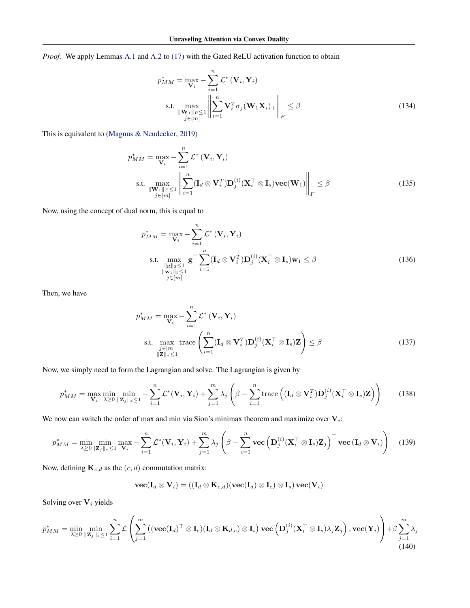*Proof.* We apply Lemmas [A.1](#page-12-1) and [A.2](#page-12-2) to [\(17\)](#page-4-2) with the Gated ReLU activation function to obtain

$$
p_{MM}^{*} = \max_{\mathbf{V}_{i}} - \sum_{i=1}^{n} \mathcal{L}^{*} (\mathbf{V}_{i}, \mathbf{Y}_{i})
$$
  
s.t. 
$$
\max_{\|\mathbf{W}_{1}\|_{F} \leq 1} \left\| \sum_{i=1}^{n} \mathbf{V}_{i}^{T} \sigma_{j} (\mathbf{W}_{1} \mathbf{X}_{i})_{+} \right\|_{F} \leq \beta
$$
(134)

This is equivalent to [\(Magnus & Neudecker,](#page-10-19) [2019\)](#page-10-19)

$$
p_{MM}^{*} = \max_{\mathbf{V}_{i}} - \sum_{i=1}^{n} \mathcal{L}^{*} (\mathbf{V}_{i}, \mathbf{Y}_{i})
$$
  
s.t. 
$$
\max_{\|\mathbf{W}_{1}\|_{F} \leq 1} \left\| \sum_{i=1}^{n} (\mathbf{I}_{d} \otimes \mathbf{V}_{i}^{T}) \mathbf{D}_{j}^{(i)}(\mathbf{X}_{i}^{T} \otimes \mathbf{I}_{s}) \mathbf{vec}(\mathbf{W}_{1}) \right\|_{F} \leq \beta
$$
(135)

Now, using the concept of dual norm, this is equal to

$$
p_{MM}^{*} = \max_{\mathbf{V}_{i}} - \sum_{i=1}^{n} \mathcal{L}^{*} (\mathbf{V}_{i}, \mathbf{Y}_{i})
$$
  
s.t. 
$$
\max_{\substack{\|\mathbf{g}\|_{2} \leq 1 \\ \|\mathbf{w}_{1}\|_{2} \leq 1}} \mathbf{g}^{\top} \sum_{i=1}^{n} (\mathbf{I}_{d} \otimes \mathbf{V}_{i}^{T}) \mathbf{D}_{j}^{(i)}(\mathbf{X}_{i}^{\top} \otimes \mathbf{I}_{s}) \mathbf{w}_{1} \leq \beta
$$
(136)

Then, we have

$$
p_{MM}^{*} = \max_{\mathbf{V}_{i}} - \sum_{i=1}^{n} \mathcal{L}^{*} (\mathbf{V}_{i}, \mathbf{Y}_{i})
$$
  
s.t. 
$$
\max_{\substack{j \in [m] \\ ||\mathbf{Z}||_{*} \leq 1}} \text{trace} \left( \sum_{i=1}^{n} (\mathbf{I}_{d} \otimes \mathbf{V}_{i}^{T}) \mathbf{D}_{j}^{(i)} (\mathbf{X}_{i}^{T} \otimes \mathbf{I}_{s}) \mathbf{Z} \right) \leq \beta
$$
(137)

Now, we simply need to form the Lagrangian and solve. The Lagrangian is given by

$$
p_{MM}^{*} = \max_{\mathbf{V}_{i}} \min_{\lambda \geq 0} \min_{\|\mathbf{Z}_{j}\|_{*} \leq 1} - \sum_{i=1}^{n} \mathcal{L}^{*}(\mathbf{V}_{i}, \mathbf{Y}_{i}) + \sum_{j=1}^{m} \lambda_{j} \left(\beta - \sum_{i=1}^{n} \text{trace}\left((\mathbf{I}_{d} \otimes \mathbf{V}_{i}^{T}) \mathbf{D}_{j}^{(i)}(\mathbf{X}_{i}^{T} \otimes \mathbf{I}_{s}) \mathbf{Z}\right)\right)
$$
(138)

We now can switch the order of max and min via Sion's minimax theorem and maximize over  $V_i$ :

$$
p_{MM}^{*} = \min_{\lambda \geq 0} \min_{\left|\mathbf{Z}_{j}\right|_{*} \leq 1} \max_{\mathbf{V}_{i}} - \sum_{i=1}^{n} \mathcal{L}^{*}(\mathbf{V}_{i}, \mathbf{Y}_{i}) + \sum_{j=1}^{m} \lambda_{j} \left(\beta - \sum_{i=1}^{n} \mathbf{vec}\left(\mathbf{D}_{j}^{(i)}(\mathbf{X}_{i}^{\top} \otimes \mathbf{I}_{s})\mathbf{Z}_{j}\right)^{\top} \mathbf{vec}\left(\mathbf{I}_{d} \otimes \mathbf{V}_{i}\right)\right) (139)
$$

Now, defining  $\mathbf{K}_{c,d}$  as the  $(c, d)$  commutation matrix:

$$
\textbf{vec}(\mathbf{I}_d \otimes \mathbf{V}_i) = ((\mathbf{I}_d \otimes \mathbf{K}_{c,d})(\textbf{vec}(\mathbf{I}_d) \otimes \mathbf{I}_c) \otimes \mathbf{I}_s)\,\textbf{vec}(\mathbf{V}_i)
$$

Solving over  $V_i$  yields

$$
p_{MM}^{*} = \min_{\lambda \geq 0} \min_{\|\mathbf{Z}_{j}\|_{*} \leq 1} \sum_{i=1}^{n} \mathcal{L}\left(\sum_{j=1}^{m} \left( (\mathbf{vec}(\mathbf{I}_{d})^{\top} \otimes \mathbf{I}_{c})(\mathbf{I}_{d} \otimes \mathbf{K}_{d,c}) \otimes \mathbf{I}_{s} \right) \mathbf{vec}\left(\mathbf{D}_{j}^{(i)}(\mathbf{X}_{i}^{\top} \otimes \mathbf{I}_{s})\lambda_{j}\mathbf{Z}_{j}\right), \mathbf{vec}(\mathbf{Y}_{i})\right) + \beta \sum_{j=1}^{m} \lambda_{j} \tag{140}
$$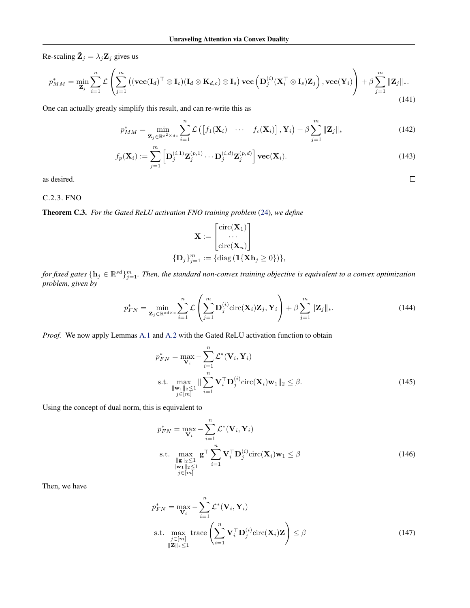Re-scaling  $\tilde{\mathbf{Z}}_j = \lambda_j \mathbf{Z}_j$  gives us

$$
p_{MM}^{*} = \min_{\mathbf{Z}_{j}} \sum_{i=1}^{n} \mathcal{L}\left(\sum_{j=1}^{m} \left( (\mathbf{vec}(\mathbf{I}_{d})^{\top} \otimes \mathbf{I}_{c})(\mathbf{I}_{d} \otimes \mathbf{K}_{d,c}) \otimes \mathbf{I}_{s} \right) \mathbf{vec}\left(\mathbf{D}_{j}^{(i)}(\mathbf{X}_{i}^{\top} \otimes \mathbf{I}_{s})\mathbf{Z}_{j}\right), \mathbf{vec}(\mathbf{Y}_{i})\right) + \beta \sum_{j=1}^{m} \|\mathbf{Z}_{j}\|_{*}.
$$
\n(141)

One can actually greatly simplify this result, and can re-write this as

$$
p_{MM}^{*} = \min_{\mathbf{Z}_{j} \in \mathbb{R}^{s^{2} \times dc}} \sum_{i=1}^{n} \mathcal{L}\left(\left[f_{1}(\mathbf{X}_{i}) \cdots f_{c}(\mathbf{X}_{i})\right], \mathbf{Y}_{i}\right) + \beta \sum_{j=1}^{m} \|\mathbf{Z}_{j}\|_{*}
$$
(142)

$$
f_p(\mathbf{X}_i) := \sum_{j=1}^m \left[ \mathbf{D}_j^{(i,1)} \mathbf{Z}_j^{(p,1)} \cdots \mathbf{D}_j^{(i,d)} \mathbf{Z}_j^{(p,d)} \right] \mathbf{vec}(\mathbf{X}_i). \tag{143}
$$

 $\Box$ 

as desired.

## C.2.3. FNO

Theorem C.3. *For the Gated ReLU activation FNO training problem* [\(24\)](#page-6-1)*, we define*

$$
\mathbf{X} := \begin{bmatrix} \text{circ}(\mathbf{X}_1) \\ \cdots \\ \text{circ}(\mathbf{X}_n) \end{bmatrix}
$$

$$
\{\mathbf{D}_j\}_{j=1}^m := \{ \text{diag} \left( \mathbb{1} \{\mathbf{X} \mathbf{h}_j \ge 0 \} \right) \},
$$

for fixed gates  $\{h_j\in\mathbb{R}^{sd}\}_{j=1}^m$ . Then, the standard non-convex training objective is equivalent to a convex optimization *problem, given by*

$$
p_{FN}^* = \min_{\mathbf{Z}_j \in \mathbb{R}^{sd \times c}} \sum_{i=1}^n \mathcal{L}\left(\sum_{j=1}^m \mathbf{D}_j^{(i)} \text{circ}(\mathbf{X}_i) \mathbf{Z}_j, \mathbf{Y}_i\right) + \beta \sum_{j=1}^m \|\mathbf{Z}_j\|_*.
$$
 (144)

*Proof.* We now apply Lemmas [A.1](#page-12-1) and [A.2](#page-12-2) with the Gated ReLU activation function to obtain

$$
p_{FN}^* = \max_{\mathbf{V}_i} -\sum_{i=1}^n \mathcal{L}^*(\mathbf{V}_i, \mathbf{Y}_i)
$$
  
s.t. 
$$
\max_{\substack{\|\mathbf{w}_1\|_2 \le 1 \\ j \in [m]}} \|\sum_{i=1}^n \mathbf{V}_i^{\top} \mathbf{D}_j^{(i)} \text{circ}(\mathbf{X}_i) \mathbf{w}_1\|_2 \le \beta.
$$
 (145)

Using the concept of dual norm, this is equivalent to

$$
p_{FN}^* = \max_{\mathbf{V}_i} -\sum_{i=1}^n \mathcal{L}^*(\mathbf{V}_i, \mathbf{Y}_i)
$$
  
s.t. 
$$
\max_{\substack{\|\mathbf{g}\|_2 \le 1 \\ \|\mathbf{w}_1\|_2 \le 1}} \mathbf{g}^\top \sum_{i=1}^n \mathbf{V}_i^\top \mathbf{D}_j^{(i)} \text{circ}(\mathbf{X}_i) \mathbf{w}_1 \le \beta
$$
  

$$
\sum_{j \in [m]} (146)
$$

Then, we have

$$
p_{FN}^{*} = \max_{\mathbf{V}_{i}} - \sum_{i=1}^{n} \mathcal{L}^{*}(\mathbf{V}_{i}, \mathbf{Y}_{i})
$$
  
s.t. 
$$
\max_{\substack{j \in [m] \\ ||\mathbf{Z}||_{*} \leq 1}} \text{trace}\left(\sum_{i=1}^{n} \mathbf{V}_{i}^{\top} \mathbf{D}_{j}^{(i)} \text{circ}(\mathbf{X}_{i}) \mathbf{Z}\right) \leq \beta
$$
 (147)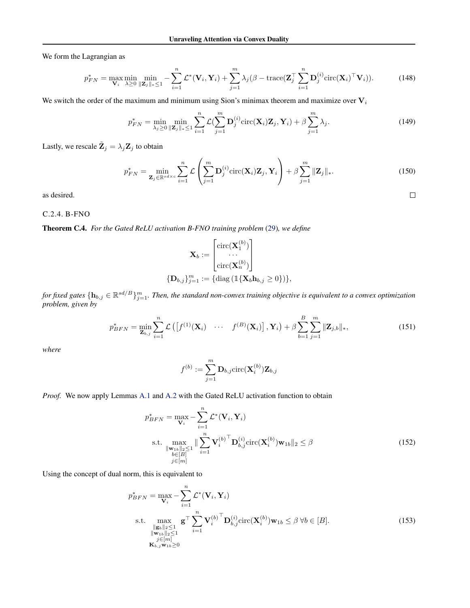We form the Lagrangian as

$$
p_{FN}^* = \max_{\mathbf{V}_i} \min_{\lambda \ge 0} \min_{\|\mathbf{Z}_j\|_{*} \le 1} - \sum_{i=1}^n \mathcal{L}^*(\mathbf{V}_i, \mathbf{Y}_i) + \sum_{j=1}^m \lambda_j (\beta - \text{trace}(\mathbf{Z}_j^{\top} \sum_{i=1}^n \mathbf{D}_j^{(i)} \text{circ}(\mathbf{X}_i)^{\top} \mathbf{V}_i)).
$$
 (148)

We switch the order of the maximum and minimum using Sion's minimax theorem and maximize over  $V_i$ 

$$
p_{FN}^* = \min_{\lambda_j \ge 0} \min_{\|\mathbf{Z}_j\|_{*} \le 1} \sum_{i=1}^n \mathcal{L}(\sum_{j=1}^m \mathbf{D}_j^{(i)} \text{circ}(\mathbf{X}_i) \mathbf{Z}_j, \mathbf{Y}_i) + \beta \sum_{j=1}^m \lambda_j.
$$
 (149)

Lastly, we rescale  $\tilde{\mathbf{Z}}_j = \lambda_j \mathbf{Z}_j$  to obtain

$$
p_{FN}^* = \min_{\mathbf{Z}_j \in \mathbb{R}^{sd \times c}} \sum_{i=1}^n \mathcal{L}\left(\sum_{j=1}^m \mathbf{D}_j^{(i)} \text{circ}(\mathbf{X}_i) \mathbf{Z}_j, \mathbf{Y}_i\right) + \beta \sum_{j=1}^m \|\mathbf{Z}_j\|_*.
$$
 (150)

 $\Box$ 

as desired.

## C.2.4. B-FNO

Theorem C.4. *For the Gated ReLU activation B-FNO training problem* [\(29\)](#page-7-0)*, we define*

$$
\mathbf{X}_b := \begin{bmatrix} \text{circ}(\mathbf{X}_1^{(b)}) \\ \dots \\ \text{circ}(\mathbf{X}_n^{(b)}) \end{bmatrix}
$$

$$
\{\mathbf{D}_{b,j}\}_{j=1}^m := \{ \text{diag} \left( \mathbb{I} \{ \mathbf{X}_b \mathbf{h}_{b,j} \ge 0 \} \right) \},
$$

for fixed gates  $\{h_{b,j}\in\mathbb{R}^{sd/B}\}_{j=1}^m$ . Then, the standard non-convex training objective is equivalent to a convex optimization *problem, given by*

$$
p_{BFN}^* = \min_{\mathbf{Z}_{b,j}} \sum_{i=1}^n \mathcal{L}\left( \left[ f^{(1)}(\mathbf{X}_i) \cdots f^{(B)}(\mathbf{X}_i) \right], \mathbf{Y}_i \right) + \beta \sum_{b=1}^B \sum_{j=1}^m \|\mathbf{Z}_{j,b}\|_*,
$$
\n(151)

*where*

$$
f^{(b)}:=\sum_{j=1}^m \mathbf{D}_{b,j}\text{circ}(\mathbf{X}^{(b)}_i)\mathbf{Z}_{b,j}
$$

*Proof.* We now apply Lemmas [A.1](#page-12-1) and [A.2](#page-12-2) with the Gated ReLU activation function to obtain

$$
p_{BFN}^* = \max_{\mathbf{V}_i} -\sum_{i=1}^n \mathcal{L}^*(\mathbf{V}_i, \mathbf{Y}_i)
$$
  
s.t. 
$$
\max_{\substack{\|\mathbf{w}_{1b}\|_2 \le 1 \\ b \in [B]}} \|\sum_{i=1}^n \mathbf{V}_i^{(b)\top} \mathbf{D}_{b,j}^{(i)} \text{circ}(\mathbf{X}_i^{(b)}) \mathbf{w}_{1b}\|_2 \le \beta
$$
  

$$
j \in [m]
$$
 (152)

Using the concept of dual norm, this is equivalent to

$$
p_{BFN}^* = \max_{\mathbf{V}_i} - \sum_{i=1}^n \mathcal{L}^*(\mathbf{V}_i, \mathbf{Y}_i)
$$
  
s.t. 
$$
\max_{\substack{\|\mathbf{g}_b\|_2 \le 1 \\ \|\mathbf{w}_{1b}\|_2 \le 1 \\ j \in [m] \\ \mathbf{K}_{b,j} \mathbf{w}_{1b} \ge 0}} \mathbf{g}^\top \sum_{i=1}^n {\mathbf{V}_i^{(b)}}^\top \mathbf{D}_{b,j}^{(i)} \text{circ}(\mathbf{X}_i^{(b)}) \mathbf{w}_{1b} \le \beta \ \forall b \in [B].
$$
 (153)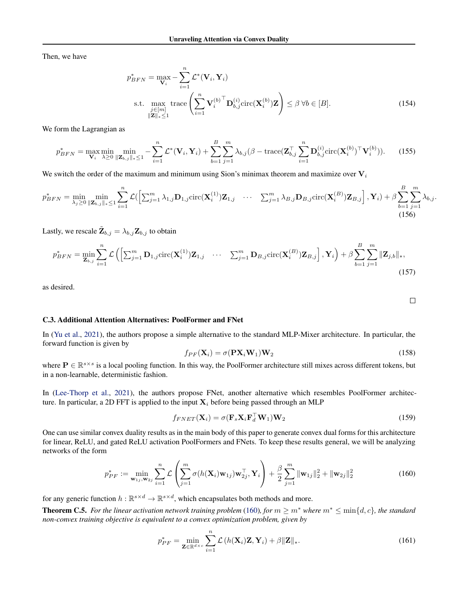Then, we have

$$
p_{BFN}^{*} = \max_{\mathbf{V}_{i}} - \sum_{i=1}^{n} \mathcal{L}^{*}(\mathbf{V}_{i}, \mathbf{Y}_{i})
$$
  
s.t. 
$$
\max_{\substack{j \in [m] \\ ||\mathbf{Z}||_{*} \leq 1}} \text{trace}\left(\sum_{i=1}^{n} \mathbf{V}_{i}^{(b)}^{\top} \mathbf{D}_{b,j}^{(i)} \text{circ}(\mathbf{X}_{i}^{(b)}) \mathbf{Z}\right) \leq \beta \ \forall b \in [B].
$$
 (154)

We form the Lagrangian as

$$
p_{BFN}^* = \max_{\mathbf{V}_i} \min_{\lambda \ge 0} \min_{\|\mathbf{Z}_{b,j}\|_{*} \le 1} - \sum_{i=1}^n \mathcal{L}^*(\mathbf{V}_i, \mathbf{Y}_i) + \sum_{b=1}^B \sum_{j=1}^m \lambda_{b,j} (\beta - \text{trace}(\mathbf{Z}_{b,j}^\top \sum_{i=1}^n \mathbf{D}_{b,j}^{(i)} \text{circ}(\mathbf{X}_i^{(b)})^\top \mathbf{V}_i^{(b)})).
$$
 (155)

We switch the order of the maximum and minimum using Sion's minimax theorem and maximize over  $V_i$ 

$$
p_{BFN}^* = \min_{\lambda_j \geq 0} \min_{\|\mathbf{Z}_{b,j}\|_{*} \leq 1} \sum_{i=1}^n \mathcal{L}\left( \left[ \sum_{j=1}^m \lambda_{1,j} \mathbf{D}_{1,j} \text{circ}(\mathbf{X}_i^{(1)}) \mathbf{Z}_{1,j} \quad \cdots \quad \sum_{j=1}^m \lambda_{B,j} \mathbf{D}_{B,j} \text{circ}(\mathbf{X}_i^{(B)}) \mathbf{Z}_{B,j} \right], \mathbf{Y}_i \right) + \beta \sum_{b=1}^B \sum_{j=1}^m \lambda_{b,j}.
$$
\n(156)

Lastly, we rescale  $\tilde{\mathbf{Z}}_{b,j} = \lambda_{b,j} \mathbf{Z}_{b,j}$  to obtain

$$
p_{BFN}^* = \min_{\mathbf{Z}_{b,j}} \sum_{i=1}^n \mathcal{L}\left( \left[ \sum_{j=1}^m \mathbf{D}_{1,j} \text{circ}(\mathbf{X}_i^{(1)}) \mathbf{Z}_{1,j} \quad \cdots \quad \sum_{j=1}^m \mathbf{D}_{B,j} \text{circ}(\mathbf{X}_i^{(B)}) \mathbf{Z}_{B,j} \right], \mathbf{Y}_i \right) + \beta \sum_{b=1}^B \sum_{j=1}^m \|\mathbf{Z}_{j,b}\|_*,
$$
\n(157)

as desired.

#### C.3. Additional Attention Alternatives: PoolFormer and FNet

In [\(Yu et al.,](#page-11-2) [2021\)](#page-11-2), the authors propose a simple alternative to the standard MLP-Mixer architecture. In particular, the forward function is given by

$$
f_{PF}(\mathbf{X}_i) = \sigma(\mathbf{P}\mathbf{X}_i \mathbf{W}_1) \mathbf{W}_2
$$
\n(158)

where  $P \in \mathbb{R}^{s \times s}$  is a local pooling function. In this way, the PoolFormer architecture still mixes across different tokens, but in a non-learnable, deterministic fashion.

In [\(Lee-Thorp et al.,](#page-9-3) [2021\)](#page-9-3), the authors propose FNet, another alternative which resembles PoolFormer architecture. In particular, a 2D FFT is applied to the input  $X_i$  before being passed through an MLP

$$
f_{FNET}(\mathbf{X}_i) = \sigma(\mathbf{F}_s \mathbf{X}_i \mathbf{F}_d^\top \mathbf{W}_1) \mathbf{W}_2
$$
\n(159)

One can use similar convex duality results as in the main body of this paper to generate convex dual forms for this architecture for linear, ReLU, and gated ReLU activation PoolFormers and FNets. To keep these results general, we will be analyzing networks of the form

<span id="page-34-0"></span>
$$
p_{PF}^* := \min_{\mathbf{w}_{1j}, \mathbf{w}_{2j}} \sum_{i=1}^n \mathcal{L}\left(\sum_{j=1}^m \sigma(h(\mathbf{X}_i)\mathbf{w}_{1j})\mathbf{w}_{2j}^\top, \mathbf{Y}_i\right) + \frac{\beta}{2} \sum_{j=1}^m \|\mathbf{w}_{1j}\|_2^2 + \|\mathbf{w}_{2j}\|_2^2
$$
(160)

for any generic function  $h : \mathbb{R}^{s \times d} \to \mathbb{R}^{s \times d}$ , which encapsulates both methods and more.

**Theorem C.5.** *For the linear activation network training problem* [\(160\)](#page-34-0)*, for*  $m \geq m^*$  *where*  $m^* \leq \min\{d, c\}$ *, the standard non-convex training objective is equivalent to a convex optimization problem, given by*

$$
p_{PF}^* = \min_{\mathbf{Z} \in \mathbb{R}^{d \times c}} \sum_{i=1}^n \mathcal{L}\left(h(\mathbf{X}_i)\mathbf{Z}, \mathbf{Y}_i\right) + \beta \|\mathbf{Z}\|_*.
$$
 (161)

 $\Box$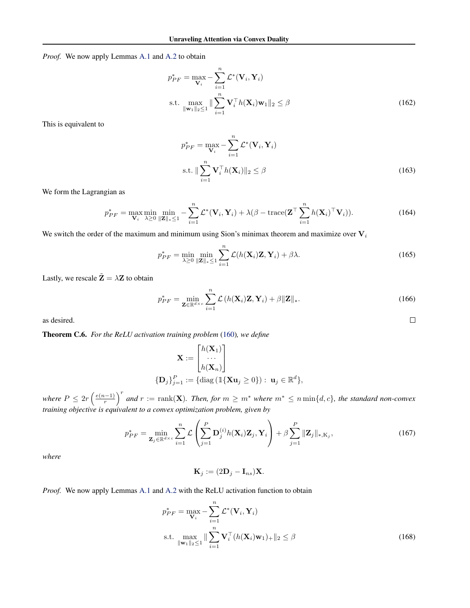*Proof.* We now apply Lemmas [A.1](#page-12-1) and [A.2](#page-12-2) to obtain

$$
p_{PF}^* = \max_{\mathbf{V}_i} -\sum_{i=1}^n \mathcal{L}^*(\mathbf{V}_i, \mathbf{Y}_i)
$$
  
s.t. 
$$
\max_{\|\mathbf{w}_1\|_2 \le 1} \|\sum_{i=1}^n \mathbf{V}_i^{\top} h(\mathbf{X}_i) \mathbf{w}_1\|_2 \le \beta
$$
 (162)

This is equivalent to

$$
p_{PF}^* = \max_{\mathbf{V}_i} -\sum_{i=1}^n \mathcal{L}^*(\mathbf{V}_i, \mathbf{Y}_i)
$$
  
s.t. 
$$
\|\sum_{i=1}^n \mathbf{V}_i^\top h(\mathbf{X}_i)\|_2 \le \beta
$$
 (163)

We form the Lagrangian as

$$
p_{PF}^* = \max_{\mathbf{V}_i} \min_{\lambda \ge 0} \min_{\|\mathbf{Z}\|_{*} \le 1} - \sum_{i=1}^n \mathcal{L}^*(\mathbf{V}_i, \mathbf{Y}_i) + \lambda(\beta - \text{trace}(\mathbf{Z}^{\top} \sum_{i=1}^n h(\mathbf{X}_i)^{\top} \mathbf{V}_i)).
$$
\n(164)

We switch the order of the maximum and minimum using Sion's minimax theorem and maximize over  $V_i$ 

$$
p_{PF}^* = \min_{\lambda \ge 0} \min_{\|\mathbf{Z}\|_{\ast} \le 1} \sum_{i=1}^n \mathcal{L}(h(\mathbf{X}_i)\mathbf{Z}, \mathbf{Y}_i) + \beta \lambda.
$$
 (165)

Lastly, we rescale  $\tilde{Z} = \lambda Z$  to obtain

$$
p_{PF}^* = \min_{\mathbf{Z} \in \mathbb{R}^{d \times c}} \sum_{i=1}^n \mathcal{L}\left(h(\mathbf{X}_i)\mathbf{Z}, \mathbf{Y}_i\right) + \beta \|\mathbf{Z}\|_*.
$$
 (166)

 $\Box$ 

as desired.

Theorem C.6. *For the ReLU activation training problem* [\(160\)](#page-34-0)*, we define*

$$
\mathbf{X} := \begin{bmatrix} h(\mathbf{X}_1) \\ \cdots \\ h(\mathbf{X}_n) \end{bmatrix}
$$

$$
\{\mathbf{D}_j\}_{j=1}^P := \{\text{diag}(\mathbb{1}\{\mathbf{X}\mathbf{u}_j \ge 0\}): \mathbf{u}_j \in \mathbb{R}^d\},
$$

where  $P \leq 2r \left(\frac{e(n-1)}{r}\right)$  $\left(\frac{n-1}{r}\right)^r$  and  $r := \text{rank}(\mathbf{X})$ *. Then, for*  $m \geq m^*$  *where*  $m^* \leq n \min\{d, c\}$ *, the standard non-convex training objective is equivalent to a convex optimization problem, given by*

$$
p_{PF}^* = \min_{\mathbf{Z}_j \in \mathbb{R}^{d \times c}} \sum_{i=1}^n \mathcal{L}\left(\sum_{j=1}^P \mathbf{D}_j^{(i)} h(\mathbf{X}_i) \mathbf{Z}_j, \mathbf{Y}_i\right) + \beta \sum_{j=1}^P \|\mathbf{Z}_j\|_{*, \mathbf{K}_j},\tag{167}
$$

*where*

$$
\mathbf{K}_j := (2\mathbf{D}_j - \mathbf{I}_{ns})\mathbf{X}.
$$

*Proof.* We now apply Lemmas [A.1](#page-12-1) and [A.2](#page-12-2) with the ReLU activation function to obtain

$$
p_{PF}^* = \max_{\mathbf{V}_i} -\sum_{i=1}^n \mathcal{L}^*(\mathbf{V}_i, \mathbf{Y}_i)
$$
  
s.t. 
$$
\max_{\|\mathbf{w}_1\|_2 \le 1} \|\sum_{i=1}^n \mathbf{V}_i^{\top} (h(\mathbf{X}_i)\mathbf{w}_1)_+\|_2 \le \beta
$$
 (168)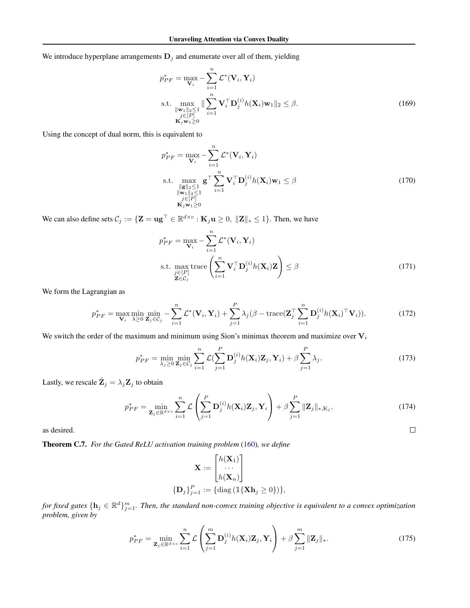We introduce hyperplane arrangements  $D_j$  and enumerate over all of them, yielding

$$
p_{PF}^* = \max_{\mathbf{V}_i} -\sum_{i=1}^n \mathcal{L}^*(\mathbf{V}_i, \mathbf{Y}_i)
$$
  
s.t. 
$$
\max_{\substack{\|\mathbf{w}_1\|_2 \le 1 \\ j \in [P] \\ \mathbf{K}_j \mathbf{w}_1 \ge 0}} \|\sum_{i=1}^n \mathbf{V}_i^{\top} \mathbf{D}_j^{(i)} h(\mathbf{X}_i) \mathbf{w}_1\|_2 \le \beta.
$$
 (169)

Using the concept of dual norm, this is equivalent to

$$
p_{PF}^{*} = \max_{\mathbf{V}_{i}} - \sum_{i=1}^{n} \mathcal{L}^{*}(\mathbf{V}_{i}, \mathbf{Y}_{i})
$$
  
s.t. 
$$
\max_{\substack{\|\mathbf{g}\|_{2} \leq 1 \\ \|\mathbf{w}_{1}\|_{2} \leq 1 \\ j \in [P] \\ \mathbf{K}_{j} \mathbf{w}_{1} \geq 0}} \mathbf{g}^{\top} \sum_{i=1}^{n} \mathbf{V}_{i}^{\top} \mathbf{D}_{j}^{(i)} h(\mathbf{X}_{i}) \mathbf{w}_{1} \leq \beta
$$
(170)

We can also define sets  $C_j := \{ \mathbf{Z} = \mathbf{u}\mathbf{g}^\top \in \mathbb{R}^{d \times c} : \mathbf{K}_j \mathbf{u} \geq 0, \| \mathbf{Z} \|_* \leq 1 \}.$  Then, we have

$$
p_{PF}^{*} = \max_{\mathbf{V}_{i}} - \sum_{i=1}^{n} \mathcal{L}^{*}(\mathbf{V}_{i}, \mathbf{Y}_{i})
$$
  
s.t. 
$$
\max_{\substack{j \in [P] \\ \mathbf{Z} \in C_{j}}} \text{trace}\left(\sum_{i=1}^{n} \mathbf{V}_{i}^{\top} \mathbf{D}_{j}^{(i)} h(\mathbf{X}_{i}) \mathbf{Z}\right) \leq \beta
$$
(171)

We form the Lagrangian as

$$
p_{PF}^* = \max_{\mathbf{V}_i} \min_{\lambda \ge 0} \min_{\mathbf{Z}_j \in \mathcal{C}_j} - \sum_{i=1}^n \mathcal{L}^*(\mathbf{V}_i, \mathbf{Y}_i) + \sum_{j=1}^P \lambda_j (\beta - \text{trace}(\mathbf{Z}_j^{\top} \sum_{i=1}^n \mathbf{D}_j^{(i)} h(\mathbf{X}_i)^{\top} \mathbf{V}_i)).
$$
 (172)

We switch the order of the maximum and minimum using Sion's minimax theorem and maximize over  $V_i$ 

$$
p_{PF}^* = \min_{\lambda_j \ge 0} \min_{\mathbf{Z}_j \in \mathcal{C}_j} \sum_{i=1}^n \mathcal{L}(\sum_{j=1}^P \mathbf{D}_j^{(i)} h(\mathbf{X}_i) \mathbf{Z}_j, \mathbf{Y}_i) + \beta \sum_{j=1}^P \lambda_j.
$$
 (173)

Lastly, we rescale  $\tilde{\mathbf{Z}}_j = \lambda_j \mathbf{Z}_j$  to obtain

$$
p_{PF}^* = \min_{\mathbf{Z}_j \in \mathbb{R}^{d \times c}} \sum_{i=1}^n \mathcal{L}\left(\sum_{j=1}^P \mathbf{D}_j^{(i)} h(\mathbf{X}_i) \mathbf{Z}_j, \mathbf{Y}_i\right) + \beta \sum_{j=1}^P \|\mathbf{Z}_j\|_{*, \mathbf{K}_j}.
$$
 (174)

 $\Box$ 

as desired.

Theorem C.7. *For the Gated ReLU activation training problem* [\(160\)](#page-34-0)*, we define*

$$
\mathbf{X} := \begin{bmatrix} h(\mathbf{X}_1) \\ \cdots \\ h(\mathbf{X}_n) \end{bmatrix}
$$

$$
\{\mathbf{D}_j\}_{j=1}^P := \{\text{diag } (\mathbb{1}\{\mathbf{X}\mathbf{h}_j \ge 0\})\},
$$

for fixed gates  $\{h_j\in\mathbb{R}^d\}_{j=1}^m$ . Then, the standard non-convex training objective is equivalent to a convex optimization *problem, given by*

$$
p_{PF}^* = \min_{\mathbf{Z}_j \in \mathbb{R}^{d \times c}} \sum_{i=1}^n \mathcal{L}\left(\sum_{j=1}^m \mathbf{D}_j^{(i)} h(\mathbf{X}_i) \mathbf{Z}_j, \mathbf{Y}_i\right) + \beta \sum_{j=1}^m \|\mathbf{Z}_j\|_*.
$$
 (175)